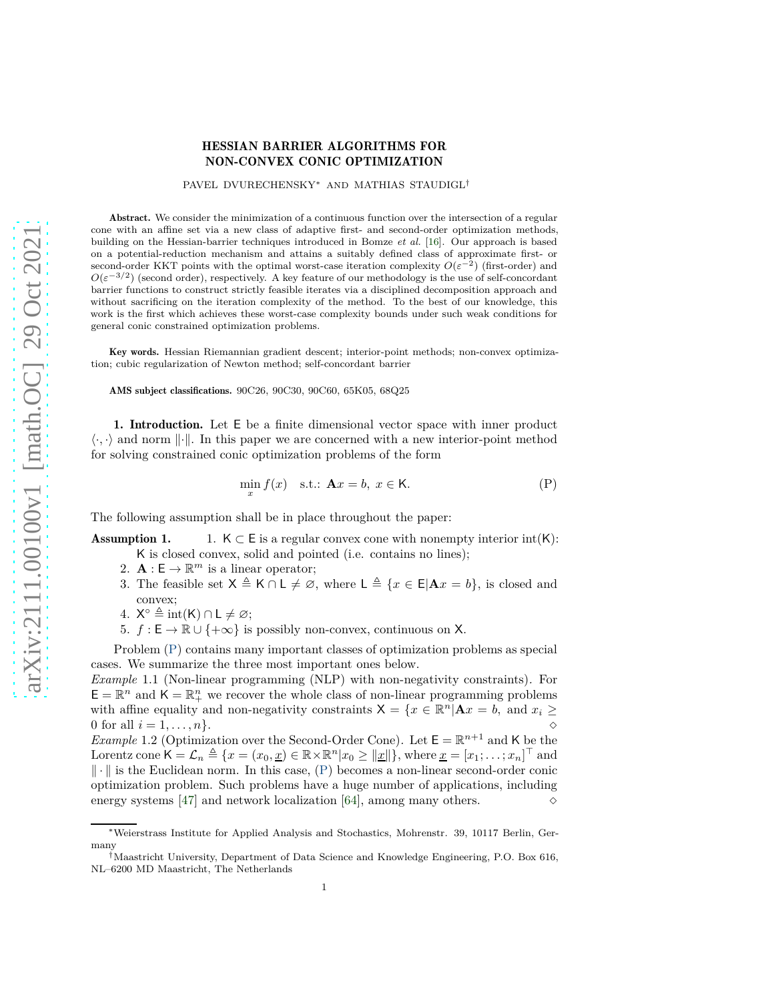## HESSIAN BARRIER ALGORITHMS FOR NON-CONVEX CONIC OPTIMIZATION

## PAVEL DVURECHENSKY<sup>∗</sup> AND MATHIAS STAUDIGL†

Abstract. We consider the minimization of a continuous function over the intersection of a regular cone with an affine set via a new class of adaptive first- and second-order optimization methods, building on the Hessian-barrier techniques introduced in Bomze *et al.* [\[16\]](#page-27-0). Our approach is based on a potential-reduction mechanism and attains a suitably defined class of approximate first- or second-order KKT points with the optimal worst-case iteration complexity  $O(\varepsilon^{-2})$  (first-order) and  $O(\varepsilon^{-3/2})$  (second order), respectively. A key feature of our methodology is the use of self-concordant barrier functions to construct strictly feasible iterates via a disciplined decomposition approach and without sacrificing on the iteration complexity of the method. To the best of our knowledge, this work is the first which achieves these worst-case complexity bounds under such weak conditions for general conic constrained optimization problems.

Key words. Hessian Riemannian gradient descent; interior-point methods; non-convex optimization; cubic regularization of Newton method; self-concordant barrier

AMS subject classifications. 90C26, 90C30, 90C60, 65K05, 68Q25

1. Introduction. Let E be a finite dimensional vector space with inner product  $\langle \cdot, \cdot \rangle$  and norm  $\|\cdot\|$ . In this paper we are concerned with a new interior-point method for solving constrained conic optimization problems of the form

<span id="page-0-0"></span>
$$
\min_{x} f(x) \quad \text{s.t.:} \quad \mathbf{A}x = b, \ x \in \mathsf{K}. \tag{P}
$$

<span id="page-0-2"></span>The following assumption shall be in place throughout the paper:

**Assumption 1.** 1.  $K \subset E$  is a regular convex cone with nonempty interior int(K):

- K is closed convex, solid and pointed (i.e. contains no lines);
- 2.  $\mathbf{A} : \mathsf{E} \to \mathbb{R}^m$  is a linear operator;
- 3. The feasible set  $X \triangleq K \cap L \neq \emptyset$ , where  $L \triangleq \{x \in E | \mathbf{A}x = b\}$ , is closed and convex;
- 4.  $X^{\circ} \triangleq \text{int}(K) \cap L \neq \emptyset;$
- 5.  $f : E \to \mathbb{R} \cup \{+\infty\}$  is possibly non-convex, continuous on X.

Problem [\(P\)](#page-0-0) contains many important classes of optimization problems as special cases. We summarize the three most important ones below.

<span id="page-0-1"></span>*Example* 1.1 (Non-linear programming (NLP) with non-negativity constraints)*.* For  $\mathsf{E} = \mathbb{R}^n$  and  $\mathsf{K} = \mathbb{R}^n_+$  we recover the whole class of non-linear programming problems with affine equality and non-negativity constraints  $X = \{x \in \mathbb{R}^n | \mathbf{A}x = b, \text{ and } x_i \geq 0\}$ 0 for all  $i = 1, ..., n$ }.

*Example* 1.2 (Optimization over the Second-Order Cone). Let  $\mathsf{E} = \mathbb{R}^{n+1}$  and K be the Lorentz cone  $\mathsf{K} = \mathcal{L}_n \triangleq \{x = (x_0, \underline{x}) \in \mathbb{R} \times \mathbb{R}^n | x_0 \geq ||\underline{x}||\}$ , where  $\underline{x} = [x_1; \dots; x_n]^\top$  and  $\|\cdot\|$  is the Euclidean norm. In this case, [\(P\)](#page-0-0) becomes a non-linear second-order conic optimization problem. Such problems have a huge number of applications, including energy systems [\[47\]](#page-28-0) and network localization [\[64\]](#page-28-1), among many others.  $\Diamond$ 

<sup>∗</sup>Weierstrass Institute for Applied Analysis and Stochastics, Mohrenstr. 39, 10117 Berlin, Germany

<sup>†</sup>Maastricht University, Department of Data Science and Knowledge Engineering, P.O. Box 616, NL–6200 MD Maastricht, The Netherlands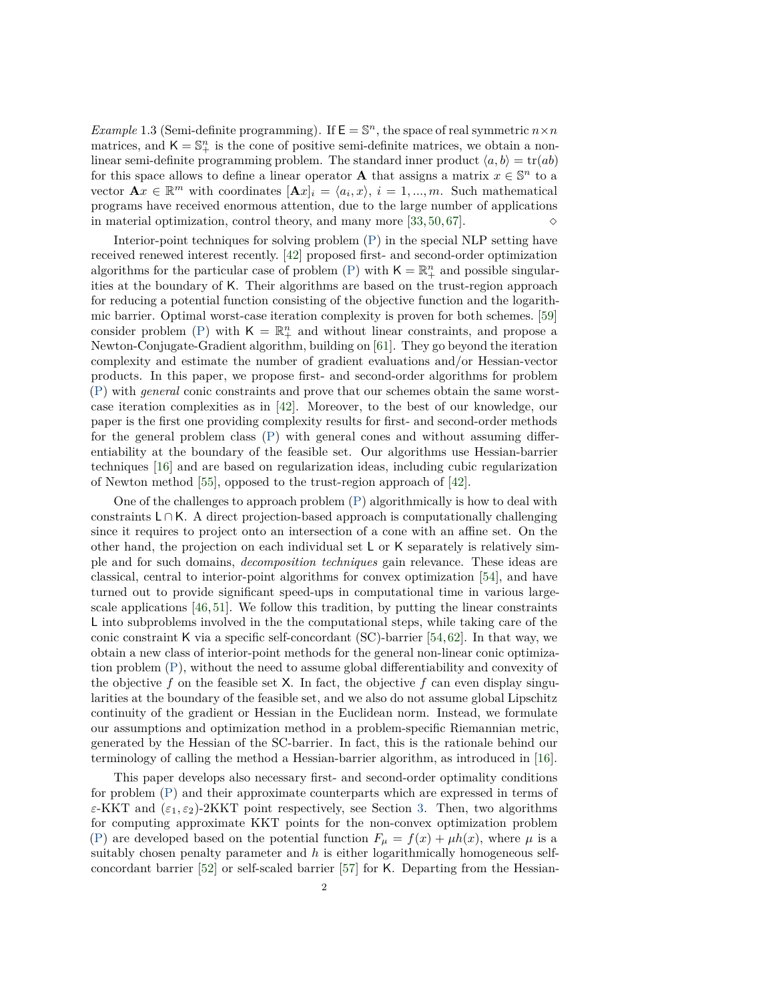*Example* 1.3 (Semi-definite programming). If  $\mathsf{E} = \mathbb{S}^n$ , the space of real symmetric  $n \times n$ matrices, and  $K = \mathbb{S}^n_+$  is the cone of positive semi-definite matrices, we obtain a nonlinear semi-definite programming problem. The standard inner product  $\langle a, b \rangle = \text{tr}(ab)$ for this space allows to define a linear operator **A** that assigns a matrix  $x \in \mathbb{S}^n$  to a vector  $\mathbf{A}x \in \mathbb{R}^m$  with coordinates  $[\mathbf{A}x]_i = \langle a_i, x \rangle$ ,  $i = 1, ..., m$ . Such mathematical programs have received enormous attention, due to the large number of applications in material optimization, control theory, and many more [\[33,](#page-27-1) [50,](#page-28-2) [67\]](#page-29-0).  $\Diamond$ 

Interior-point techniques for solving problem [\(P\)](#page-0-0) in the special NLP setting have received renewed interest recently. [\[42\]](#page-28-3) proposed first- and second-order optimization algorithms for the particular case of problem [\(P\)](#page-0-0) with  $\mathsf{K} = \mathbb{R}^n_+$  and possible singularities at the boundary of K. Their algorithms are based on the trust-region approach for reducing a potential function consisting of the objective function and the logarithmic barrier. Optimal worst-case iteration complexity is proven for both schemes. [\[59\]](#page-28-4) consider problem [\(P\)](#page-0-0) with  $K = \mathbb{R}^n_+$  and without linear constraints, and propose a Newton-Conjugate-Gradient algorithm, building on [\[61\]](#page-28-5). They go beyond the iteration complexity and estimate the number of gradient evaluations and/or Hessian-vector products. In this paper, we propose first- and second-order algorithms for problem [\(P\)](#page-0-0) with *general* conic constraints and prove that our schemes obtain the same worstcase iteration complexities as in [\[42\]](#page-28-3). Moreover, to the best of our knowledge, our paper is the first one providing complexity results for first- and second-order methods for the general problem class [\(P\)](#page-0-0) with general cones and without assuming differentiability at the boundary of the feasible set. Our algorithms use Hessian-barrier techniques [\[16\]](#page-27-0) and are based on regularization ideas, including cubic regularization of Newton method [\[55\]](#page-28-6), opposed to the trust-region approach of [\[42\]](#page-28-3).

One of the challenges to approach problem [\(P\)](#page-0-0) algorithmically is how to deal with constraints <sup>L</sup> <sup>∩</sup> <sup>K</sup>. A direct projection-based approach is computationally challenging since it requires to project onto an intersection of a cone with an affine set. On the other hand, the projection on each individual set L or K separately is relatively simple and for such domains, *decomposition techniques* gain relevance. These ideas are classical, central to interior-point algorithms for convex optimization [\[54\]](#page-28-7), and have turned out to provide significant speed-ups in computational time in various largescale applications [\[46,](#page-28-8) [51\]](#page-28-9). We follow this tradition, by putting the linear constraints L into subproblems involved in the the computational steps, while taking care of the conic constraint K via a specific self-concordant  $SC$ )-barrier [\[54,](#page-28-7)[62\]](#page-28-10). In that way, we obtain a new class of interior-point methods for the general non-linear conic optimization problem [\(P\)](#page-0-0), without the need to assume global differentiability and convexity of the objective  $f$  on the feasible set  $X$ . In fact, the objective  $f$  can even display singularities at the boundary of the feasible set, and we also do not assume global Lipschitz continuity of the gradient or Hessian in the Euclidean norm. Instead, we formulate our assumptions and optimization method in a problem-specific Riemannian metric, generated by the Hessian of the SC-barrier. In fact, this is the rationale behind our terminology of calling the method a Hessian-barrier algorithm, as introduced in [\[16\]](#page-27-0).

This paper develops also necessary first- and second-order optimality conditions for problem [\(P\)](#page-0-0) and their approximate counterparts which are expressed in terms of *ε*-KKT and (*ε*1*, ε*2)-2KKT point respectively, see Section [3.](#page-6-0) Then, two algorithms for computing approximate KKT points for the non-convex optimization problem [\(P\)](#page-0-0) are developed based on the potential function  $F_{\mu} = f(x) + \mu h(x)$ , where  $\mu$  is a suitably chosen penalty parameter and *h* is either logarithmically homogeneous selfconcordant barrier [\[52\]](#page-28-11) or self-scaled barrier [\[57\]](#page-28-12) for K. Departing from the Hessian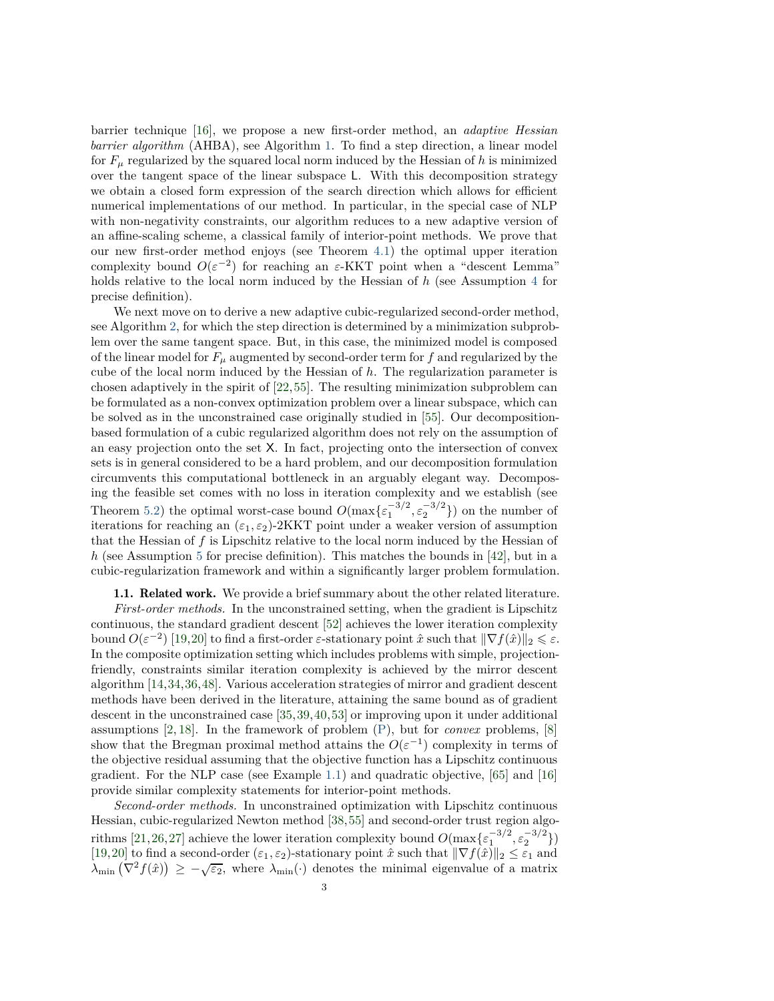barrier technique [\[16\]](#page-27-0), we propose a new first-order method, an *adaptive Hessian barrier algorithm* (AHBA), see Algorithm [1.](#page-12-0) To find a step direction, a linear model for  $F_\mu$  regularized by the squared local norm induced by the Hessian of h is minimized over the tangent space of the linear subspace L. With this decomposition strategy we obtain a closed form expression of the search direction which allows for efficient numerical implementations of our method. In particular, in the special case of NLP with non-negativity constraints, our algorithm reduces to a new adaptive version of an affine-scaling scheme, a classical family of interior-point methods. We prove that our new first-order method enjoys (see Theorem [4.1\)](#page-12-1) the optimal upper iteration complexity bound  $O(\varepsilon^{-2})$  for reaching an  $\varepsilon$ -KKT point when a "descent Lemma" holds relative to the local norm induced by the Hessian of *h* (see Assumption [4](#page-10-0) for precise definition).

We next move on to derive a new adaptive cubic-regularized second-order method, see Algorithm [2,](#page-21-0) for which the step direction is determined by a minimization subproblem over the same tangent space. But, in this case, the minimized model is composed of the linear model for  $F_\mu$  augmented by second-order term for f and regularized by the cube of the local norm induced by the Hessian of *h*. The regularization parameter is chosen adaptively in the spirit of [\[22,](#page-27-2)[55\]](#page-28-6). The resulting minimization subproblem can be formulated as a non-convex optimization problem over a linear subspace, which can be solved as in the unconstrained case originally studied in [\[55\]](#page-28-6). Our decompositionbased formulation of a cubic regularized algorithm does not rely on the assumption of an easy projection onto the set X. In fact, projecting onto the intersection of convex sets is in general considered to be a hard problem, and our decomposition formulation circumvents this computational bottleneck in an arguably elegant way. Decomposing the feasible set comes with no loss in iteration complexity and we establish (see Theorem [5.2\)](#page-20-0) the optimal worst-case bound  $O(\max{\{\varepsilon_1^{-3/2}, \varepsilon_2^{-3/2}\}})$  on the number of iterations for reaching an (*ε*1*, ε*2)-2KKT point under a weaker version of assumption that the Hessian of  $f$  is Lipschitz relative to the local norm induced by the Hessian of *h* (see Assumption [5](#page-16-0) for precise definition). This matches the bounds in [\[42\]](#page-28-3), but in a cubic-regularization framework and within a significantly larger problem formulation.

## 1.1. Related work. We provide a brief summary about the other related literature.

*First-order methods.* In the unconstrained setting, when the gradient is Lipschitz continuous, the standard gradient descent [\[52\]](#page-28-11) achieves the lower iteration complexity bound  $O(\varepsilon^{-2})$  [\[19,](#page-27-3)[20\]](#page-27-4) to find a first-order  $\varepsilon$ -stationary point  $\hat{x}$  such that  $\|\nabla f(\hat{x})\|_2 \leq \varepsilon$ . In the composite optimization setting which includes problems with simple, projectionfriendly, constraints similar iteration complexity is achieved by the mirror descent algorithm [\[14,](#page-26-0)[34,](#page-27-5)[36,](#page-27-6)[48\]](#page-28-13). Various acceleration strategies of mirror and gradient descent methods have been derived in the literature, attaining the same bound as of gradient descent in the unconstrained case [\[35,](#page-27-7)[39,](#page-28-14)[40,](#page-28-15)[53\]](#page-28-16) or improving upon it under additional assumptions [\[2,](#page-26-1) [18\]](#page-27-8). In the framework of problem [\(P\)](#page-0-0), but for *convex* problems, [\[8\]](#page-26-2) show that the Bregman proximal method attains the  $O(\varepsilon^{-1})$  complexity in terms of the objective residual assuming that the objective function has a Lipschitz continuous gradient. For the NLP case (see Example [1.1\)](#page-0-1) and quadratic objective, [\[65\]](#page-28-17) and [\[16\]](#page-27-0) provide similar complexity statements for interior-point methods.

*Second-order methods.* In unconstrained optimization with Lipschitz continuous Hessian, cubic-regularized Newton method [\[38,](#page-27-9)[55\]](#page-28-6) and second-order trust region algo-rithms [\[21,](#page-27-10)[26,](#page-27-11)[27\]](#page-27-12) achieve the lower iteration complexity bound  $O(\max{\{\varepsilon_1^{-3/2}, \varepsilon_2^{-3/2}\}})$ [\[19,](#page-27-3)[20\]](#page-27-4) to find a second-order  $(\varepsilon_1, \varepsilon_2)$ -stationary point  $\hat{x}$  such that  $\|\nabla f(\hat{x})\|_2 \leq \varepsilon_1$  and  $\lambda_{\min}(\nabla^2 f(\hat{x})) \geq -\sqrt{\varepsilon_2}$ , where  $\lambda_{\min}(\cdot)$  denotes the minimal eigenvalue of a matrix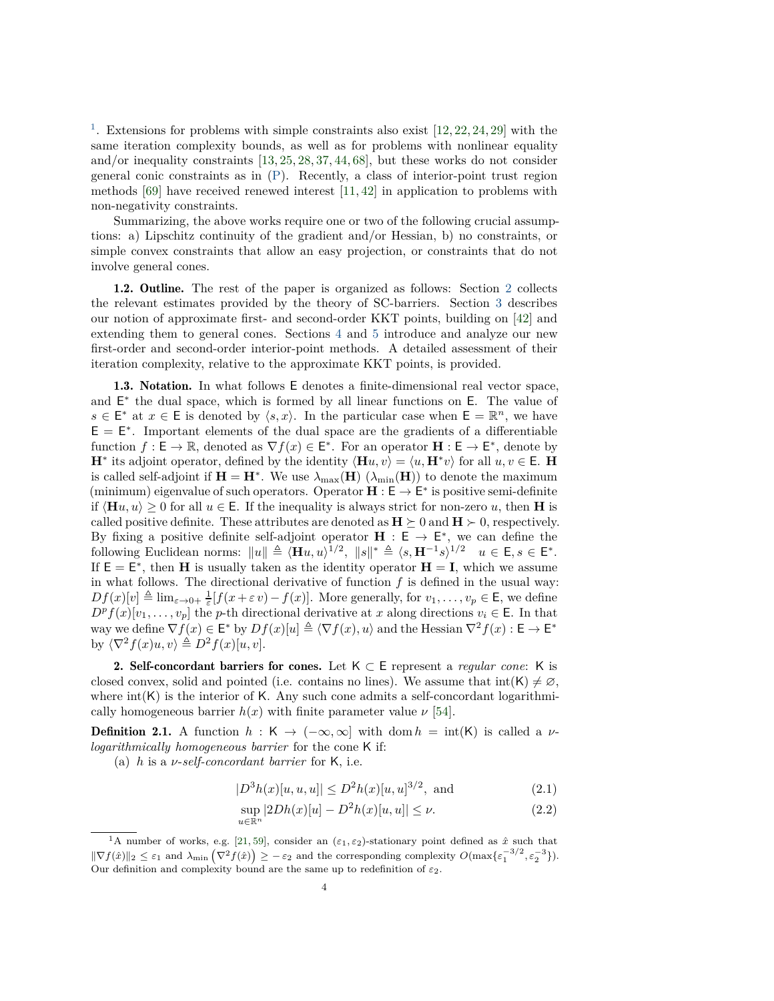<sup>[1](#page-3-0)</sup>. Extensions for problems with simple constraints also exist [\[12,](#page-26-3) [22,](#page-27-2) [24,](#page-27-13) [29\]](#page-27-14) with the same iteration complexity bounds, as well as for problems with nonlinear equality and/or inequality constraints [\[13,](#page-26-4) [25,](#page-27-15) [28,](#page-27-16) [37,](#page-27-17) [44,](#page-28-18) [68\]](#page-29-1), but these works do not consider general conic constraints as in [\(P\)](#page-0-0). Recently, a class of interior-point trust region methods  $[69]$  have received renewed interest  $[11, 42]$  $[11, 42]$  in application to problems with non-negativity constraints.

Summarizing, the above works require one or two of the following crucial assumptions: a) Lipschitz continuity of the gradient and/or Hessian, b) no constraints, or simple convex constraints that allow an easy projection, or constraints that do not involve general cones.

1.2. Outline. The rest of the paper is organized as follows: Section [2](#page-3-1) collects the relevant estimates provided by the theory of SC-barriers. Section [3](#page-6-0) describes our notion of approximate first- and second-order KKT points, building on [\[42\]](#page-28-3) and extending them to general cones. Sections [4](#page-10-1) and [5](#page-16-1) introduce and analyze our new first-order and second-order interior-point methods. A detailed assessment of their iteration complexity, relative to the approximate KKT points, is provided.

1.3. Notation. In what follows E denotes a finite-dimensional real vector space, and  $E^*$  the dual space, which is formed by all linear functions on E. The value of *s* ∈ E<sup>\*</sup> at *x* ∈ E is denoted by  $\langle s, x \rangle$ . In the particular case when E =  $\mathbb{R}^n$ , we have  $E = E^*$ . Important elements of the dual space are the gradients of a differentiable function  $f : \mathsf{E} \to \mathbb{R}$ , denoted as  $\nabla f(x) \in \mathsf{E}^*$ . For an operator  $\mathbf{H} : \mathsf{E} \to \mathsf{E}^*$ , denote by  $\mathbf{H}^*$  its adjoint operator, defined by the identity  $\langle \mathbf{H} u, v \rangle = \langle u, \mathbf{H}^* v \rangle$  for all  $u, v \in \mathsf{E}$ . **H** is called self-adjoint if  $H = H^*$ . We use  $\lambda_{\max}(H)$  ( $\lambda_{\min}(H)$ ) to denote the maximum (minimum) eigenvalue of such operators. Operator  $H : E \to E^*$  is positive semi-definite if  $\langle \mathbf{H} u, u \rangle \geq 0$  for all  $u \in E$ . If the inequality is always strict for non-zero *u*, then **H** is called positive definite. These attributes are denoted as  $H \succeq 0$  and  $H \succ 0$ , respectively. By fixing a positive definite self-adjoint operator  $\mathbf{H} : \mathsf{E} \to \mathsf{E}^*$ , we can define the following Euclidean norms:  $||u|| \triangleq \langle \mathbf{H}u, u \rangle^{1/2}, ||s||^* \triangleq \langle s, \mathbf{H}^{-1} s \rangle^{1/2}, u \in \mathsf{E}, s \in \mathsf{E}^*.$ If  $E = E^*$ , then **H** is usually taken as the identity operator  $H = I$ , which we assume in what follows. The directional derivative of function  $f$  is defined in the usual way:  $Df(x)[v] \triangleq \lim_{\varepsilon \to 0+} \frac{1}{\varepsilon} [f(x+\varepsilon v) - f(x)]$ . More generally, for  $v_1, \ldots, v_p \in \mathsf{E}$ , we define  $D^p f(x)[v_1, \ldots, v_p]$  the *p*-th directional derivative at *x* along directions  $v_i \in \mathsf{E}$ . In that way we define  $\nabla f(x) \in \mathsf{E}^*$  by  $Df(x)[u] \triangleq \langle \nabla f(x), u \rangle$  and the Hessian  $\nabla^2 f(x) : \mathsf{E} \to \mathsf{E}^*$ by  $\langle \nabla^2 f(x)u, v \rangle \triangleq D^2 f(x)[u, v].$ 

<span id="page-3-1"></span>2. Self-concordant barriers for cones. Let  $K \subset E$  represent a *regular cone*: K is closed convex, solid and pointed (i.e. contains no lines). We assume that  $int(K) \neq \emptyset$ , where  $int(K)$  is the interior of K. Any such cone admits a self-concordant logarithmically homogeneous barrier  $h(x)$  with finite parameter value  $\nu$  [\[54\]](#page-28-7).

**Definition 2.1.** A function  $h : K \to (-\infty, \infty]$  with dom  $h = \text{int}(K)$  is called a *vlogarithmically homogeneous barrier* for the cone K if:

(a) *h* is a *ν*-*self-concordant barrier* for K, i.e.

$$
|D^{3}h(x)[u, u, u]| \le D^{2}h(x)[u, u]^{3/2}, \text{ and} \qquad (2.1)
$$

<span id="page-3-2"></span>
$$
\sup_{u \in \mathbb{R}^n} |2Dh(x)[u] - D^2h(x)[u, u]| \le \nu.
$$
 (2.2)

<span id="page-3-0"></span><sup>&</sup>lt;sup>1</sup>A number of works, e.g. [\[21,](#page-27-10) [59\]](#page-28-4), consider an  $(\varepsilon_1, \varepsilon_2)$ -stationary point defined as  $\hat{x}$  such that  $\|\nabla f(\hat{x})\|_2 \leq \varepsilon_1$  and  $\lambda_{\min} \left(\nabla^2 f(\hat{x})\right) \geq -\varepsilon_2$  and the corresponding complexity  $O(\max\{\varepsilon_1^{-3/2}, \varepsilon_2^{-3}\}).$ Our definition and complexity bound are the same up to redefinition of  $\varepsilon_2$ .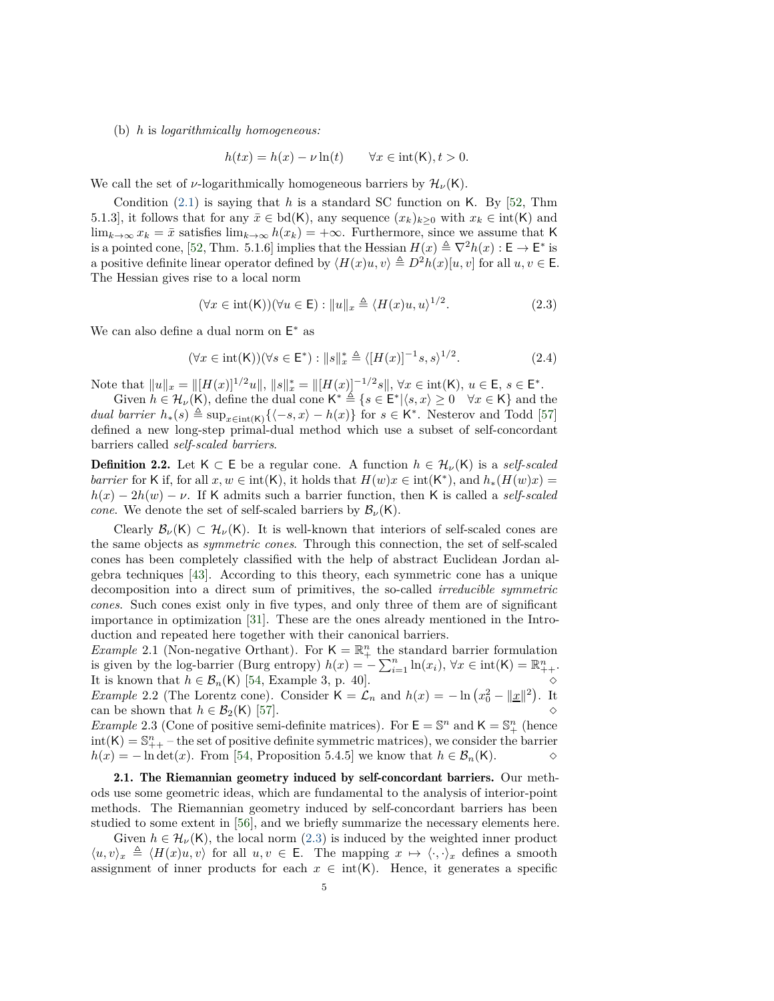(b) *h* is *logarithmically homogeneous:*

$$
h(tx) = h(x) - \nu \ln(t) \qquad \forall x \in \text{int}(\mathsf{K}), t > 0.
$$

We call the set of *ν*-logarithmically homogeneous barriers by  $\mathcal{H}_{\nu}(\mathsf{K})$ .

Condition [\(2.1\)](#page-3-2) is saying that *h* is a standard SC function on K. By [\[52,](#page-28-11) Thm 5.1.3], it follows that for any  $\bar{x} \in bd(K)$ , any sequence  $(x_k)_{k\geq 0}$  with  $x_k \in int(K)$  and lim<sub>*k*→∞</sub>  $x_k = \bar{x}$  satisfies lim<sub>*k→*∞</sub>  $h(x_k) = +\infty$ . Furthermore, since we assume that K is a pointed cone, [\[52,](#page-28-11) Thm. 5.1.6] implies that the Hessian  $H(x) \triangleq \nabla^2 h(x) : \mathsf{E} \to \mathsf{E}^*$  is a positive definite linear operator defined by  $\langle H(x)u, v \rangle \triangleq D^2h(x)[u, v]$  for all  $u, v \in \mathsf{E}.$ The Hessian gives rise to a local norm

<span id="page-4-0"></span>
$$
(\forall x \in \text{int}(\mathsf{K})) (\forall u \in \mathsf{E}) : \|u\|_{x} \triangleq \langle H(x)u, u \rangle^{1/2}.
$$
 (2.3)

We can also define a dual norm on  $\mathsf{E}^*$  as

<span id="page-4-2"></span>
$$
(\forall x \in \text{int}(\mathsf{K}))(\forall s \in \mathsf{E}^*) : \|s\|_x^* \triangleq \langle [H(x)]^{-1}s, s \rangle^{1/2}.
$$
 (2.4)

Note that  $||u||_x = ||[H(x)]^{1/2}u||$ ,  $||s||_x^* = ||[H(x)]^{-1/2}s||$ ,  $\forall x \in \text{int}(\mathsf{K})$ ,  $u \in \mathsf{E}, s \in \mathsf{E}^*$ .

Given  $h \in \mathcal{H}_{\nu}(\mathsf{K})$ , define the dual cone  $\mathsf{K}^* \stackrel{\Delta}{=} \{s \in \mathsf{E}^* | \langle s, x \rangle \geq 0 \quad \forall x \in \mathsf{K} \}$  and the *dual barrier*  $h_*(s) \triangleq \sup_{x \in \text{int}(K)} \{(-s, x) - h(x)\}$  for  $s \in K^*$ . Nesterov and Todd [\[57\]](#page-28-12) defined a new long-step primal-dual method which use a subset of self-concordant barriers called *self-scaled barriers*.

**Definition 2.2.** Let  $K \subset E$  be a regular cone. A function  $h \in \mathcal{H}_{\nu}(K)$  is a *self-scaled barrier* for K if, for all  $x, w \in \text{int}(\mathsf{K})$ , it holds that  $H(w)x \in \text{int}(\mathsf{K}^*)$ , and  $h_*(H(w)x) =$  $h(x) - 2h(w) - \nu$ . If K admits such a barrier function, then K is called a *self-scaled cone*. We denote the set of self-scaled barriers by  $\mathcal{B}_{\nu}(K)$ .

Clearly  $\mathcal{B}_{\nu}(\mathsf{K}) \subset \mathcal{H}_{\nu}(\mathsf{K})$ . It is well-known that interiors of self-scaled cones are the same objects as *symmetric cones*. Through this connection, the set of self-scaled cones has been completely classified with the help of abstract Euclidean Jordan algebra techniques [\[43\]](#page-28-19). According to this theory, each symmetric cone has a unique decomposition into a direct sum of primitives, the so-called *irreducible symmetric cones*. Such cones exist only in five types, and only three of them are of significant importance in optimization [\[31\]](#page-27-18). These are the ones already mentioned in the Introduction and repeated here together with their canonical barriers.

<span id="page-4-1"></span>*Example* 2.1 (Non-negative Orthant). For  $K = \mathbb{R}^n_+$  the standard barrier formulation is given by the log-barrier (Burg entropy)  $h(x) = -\sum_{i=1}^{n} \ln(x_i)$ ,  $\forall x \in \text{int}(\mathsf{K}) = \mathbb{R}^n_{++}$ . It is known that  $h \in \mathcal{B}_n(\mathsf{K})$  [\[54,](#page-28-7) Example 3, p. 40]. *Example* 2.2 (The Lorentz cone). Consider  $K = \mathcal{L}_n$  and  $h(x) = -\ln (x_0^2 - ||\underline{x}||^2)$ . It can be shown that  $h \in \mathcal{B}_2(K)$  [\[57\]](#page-28-12).

*Example* 2.3 (Cone of positive semi-definite matrices). For  $\mathsf{E} = \mathbb{S}^n$  and  $\mathsf{K} = \mathbb{S}^n_+$  (hence  $\text{int}(\mathsf{K}) = \mathbb{S}_{++}^n$  – the set of positive definite symmetric matrices), we consider the barrier  $h(x) = -\ln \det(x)$ . From [\[54,](#page-28-7) Proposition 5.4.5] we know that  $h \in \mathcal{B}_n(\mathsf{K})$ .  $\diamond$ 

2.1. The Riemannian geometry induced by self-concordant barriers. Our methods use some geometric ideas, which are fundamental to the analysis of interior-point methods. The Riemannian geometry induced by self-concordant barriers has been studied to some extent in [\[56\]](#page-28-20), and we briefly summarize the necessary elements here.

Given  $h \in \mathcal{H}_{\nu}(\mathsf{K})$ , the local norm [\(2.3\)](#page-4-0) is induced by the weighted inner product  $\langle u, v \rangle_x \triangleq \langle H(x)u, v \rangle$  for all  $u, v \in E$ . The mapping  $x \mapsto \langle \cdot, \cdot \rangle_x$  defines a smooth assignment of inner products for each  $x \in \text{int(K)}$ . Hence, it generates a specific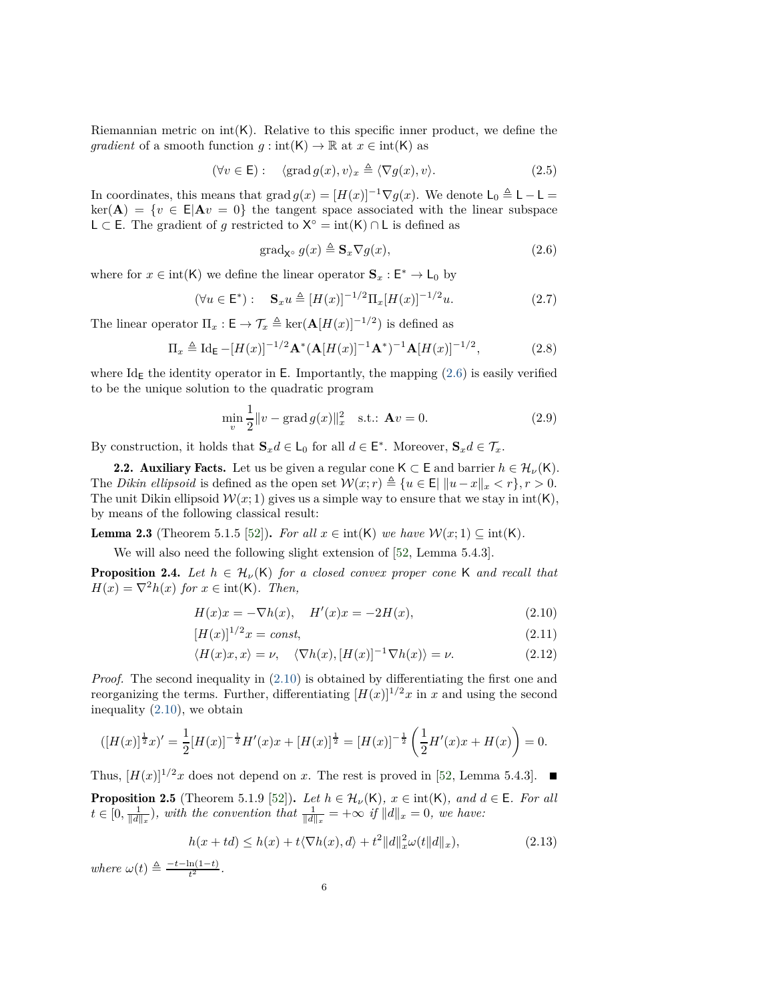Riemannian metric on  $int(K)$ . Relative to this specific inner product, we define the *gradient* of a smooth function  $g: \text{int}(\mathsf{K}) \to \mathbb{R}$  at  $x \in \text{int}(\mathsf{K})$  as

<span id="page-5-5"></span>
$$
(\forall v \in \mathsf{E}): \quad \langle \text{grad } g(x), v \rangle_x \triangleq \langle \nabla g(x), v \rangle. \tag{2.5}
$$

In coordinates, this means that grad  $g(x) = [H(x)]^{-1} \nabla g(x)$ . We denote  $L_0 \triangleq L - L =$  $ker(A) = \{v \in E | A v = 0\}$  the tangent space associated with the linear subspace L ⊂ E. The gradient of *g* restricted to  $X^{\circ} = \text{int}(K) \cap L$  is defined as

<span id="page-5-0"></span>
$$
\operatorname{grad}_{\mathbf{X}^{\circ}} g(x) \triangleq \mathbf{S}_x \nabla g(x),\tag{2.6}
$$

where for  $x \in \text{int}(\mathsf{K})$  we define the linear operator  $\mathbf{S}_x : \mathsf{E}^* \to \mathsf{L}_0$  by

<span id="page-5-7"></span>
$$
(\forall u \in \mathsf{E}^*) : \quad \mathbf{S}_x u \triangleq [H(x)]^{-1/2} \Pi_x [H(x)]^{-1/2} u. \tag{2.7}
$$

The linear operator  $\Pi_x : \mathsf{E} \to \mathcal{T}_x \triangleq \ker(\mathbf{A}[H(x)]^{-1/2})$  is defined as

$$
\Pi_x \triangleq \text{Id}_{\mathsf{E}} - [H(x)]^{-1/2} \mathbf{A}^* (\mathbf{A}[H(x)]^{-1} \mathbf{A}^*)^{-1} \mathbf{A}[H(x)]^{-1/2}, \tag{2.8}
$$

where  $Id_{\mathsf{E}}$  the identity operator in E. Importantly, the mapping [\(2.6\)](#page-5-0) is easily verified to be the unique solution to the quadratic program

<span id="page-5-6"></span>
$$
\min_{v} \frac{1}{2} \|v - \text{grad } g(x)\|_{x}^{2} \quad \text{s.t.:} \quad \mathbf{A}v = 0. \tag{2.9}
$$

By construction, it holds that  $\mathbf{S}_x d \in \mathsf{L}_0$  for all  $d \in \mathsf{E}^*$ . Moreover,  $\mathbf{S}_x d \in \mathcal{T}_x$ .

2.2. Auxiliary Facts. Let us be given a regular cone  $K \subset E$  and barrier  $h \in \mathcal{H}_{\nu}(K)$ . The *Dikin ellipsoid* is defined as the open set  $W(x; r) \triangleq \{u \in E \mid ||u-x||_x < r\}, r > 0$ . The unit Dikin ellipsoid  $W(x; 1)$  gives us a simple way to ensure that we stay in  $int(K)$ , by means of the following classical result:

<span id="page-5-4"></span>**Lemma 2.3** (Theorem 5.1.5 [\[52\]](#page-28-11)). *For all*  $x \in \text{int}(\mathsf{K})$  *we have*  $\mathcal{W}(x; 1) \subseteq \text{int}(\mathsf{K})$ *.* 

We will also need the following slight extension of [\[52,](#page-28-11) Lemma 5.4.3].

**Proposition 2.4.** Let  $h \in H_\nu(\mathsf{K})$  for a closed convex proper cone K and recall that  $H(x) = \nabla^2 h(x)$  *for*  $x \in \text{int}(\mathsf{K})$ *. Then,* 

<span id="page-5-1"></span>
$$
H(x)x = -\nabla h(x), \quad H'(x)x = -2H(x), \tag{2.10}
$$

$$
[H(x)]^{1/2}x = const,
$$
\n(2.11)

<span id="page-5-8"></span><span id="page-5-3"></span>
$$
\langle H(x)x, x \rangle = \nu, \quad \langle \nabla h(x), [H(x)]^{-1} \nabla h(x) \rangle = \nu. \tag{2.12}
$$

*Proof.* The second inequality in  $(2.10)$  is obtained by differentiating the first one and reorganizing the terms. Further, differentiating  $[H(x)]^{1/2}x$  in *x* and using the second inequality [\(2.10\)](#page-5-1), we obtain

$$
([H(x)]^{\frac{1}{2}}x)' = \frac{1}{2}[H(x)]^{-\frac{1}{2}}H'(x)x + [H(x)]^{\frac{1}{2}} = [H(x)]^{-\frac{1}{2}}\left(\frac{1}{2}H'(x)x + H(x)\right) = 0.
$$

<span id="page-5-2"></span>Thus,  $[H(x)]^{1/2}x$  does not depend on *x*. The rest is proved in [\[52,](#page-28-11) Lemma 5.4.3]. **Proposition 2.5** (Theorem 5.1.9 [\[52\]](#page-28-11)). Let  $h \in \mathcal{H}_{\nu}(\mathsf{K})$ ,  $x \in \text{int}(\mathsf{K})$ , and  $d \in \mathsf{E}$ . For all  $t \in [0, \frac{1}{\|d\|_x})$ , with the convention that  $\frac{1}{\|d\|_x} = +\infty$  if  $\|d\|_x = 0$ , we have:

$$
h(x+td) \le h(x) + t\langle \nabla h(x), d \rangle + t^2 ||d||_x^2 \omega(t ||d||_x), \tag{2.13}
$$

 $where \omega(t) \triangleq \frac{-t - \ln(1-t)}{t^2}$ .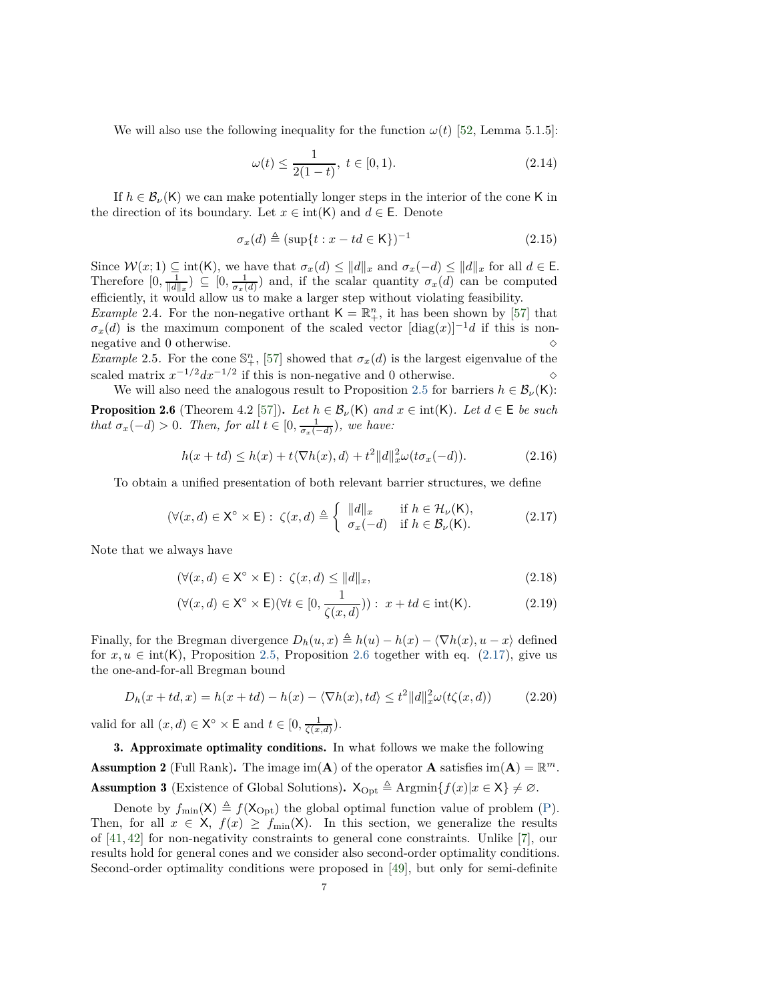We will also use the following inequality for the function  $\omega(t)$  [\[52,](#page-28-11) Lemma 5.1.5]:

<span id="page-6-5"></span>
$$
\omega(t) \le \frac{1}{2(1-t)}, \ t \in [0,1). \tag{2.14}
$$

If  $h \in \mathcal{B}_{\nu}(\mathsf{K})$  we can make potentially longer steps in the interior of the cone K in the direction of its boundary. Let  $x \in \text{int}(\mathsf{K})$  and  $d \in \mathsf{E}$ . Denote

$$
\sigma_x(d) \triangleq (\sup\{t : x - td \in \mathsf{K}\})^{-1} \tag{2.15}
$$

Since  $W(x; 1) \subseteq \text{int(K)}$ , we have that  $\sigma_x(d) \le ||d||_x$  and  $\sigma_x(-d) \le ||d||_x$  for all  $d \in \mathsf{E}$ . Therefore  $[0, \frac{1}{\|d\|_x}) \subseteq [0, \frac{1}{\sigma_x(d)})$  and, if the scalar quantity  $\sigma_x(d)$  can be computed efficiently, it would allow us to make a larger step without violating feasibility.

*Example* 2.4. For the non-negative orthant  $K = \mathbb{R}^n_+$ , it has been shown by [\[57\]](#page-28-12) that  $\sigma_x(d)$  is the maximum component of the scaled vector  $[\text{diag}(x)]^{-1}d$  if this is nonnegative and 0 otherwise.  $\Diamond$ 

*Example* 2.5. For the cone  $\mathbb{S}^n_+$ , [\[57\]](#page-28-12) showed that  $\sigma_x(d)$  is the largest eigenvalue of the scaled matrix  $x^{-1/2}dx^{-1/2}$  if this is non-negative and 0 otherwise. <br>  $\diamond$ 

<span id="page-6-1"></span>We will also need the analogous result to Proposition [2.5](#page-5-2) for barriers  $h \in \mathcal{B}_{\nu}(\mathsf{K})$ : **Proposition 2.6** (Theorem 4.2 [\[57\]](#page-28-12)). Let  $h \in \mathcal{B}_{\nu}(\mathsf{K})$  and  $x \in \text{int}(\mathsf{K})$ . Let  $d \in \mathsf{E}$  be such *that*  $\sigma_x(-d) > 0$ *. Then, for all*  $t \in [0, \frac{1}{\sigma_x(-d)})$ *, we have:* 

$$
h(x+td) \le h(x) + t\langle \nabla h(x), d \rangle + t^2 \|d\|_{x}^{2} \omega(t\sigma_{x}(-d)).
$$
\n(2.16)

To obtain a unified presentation of both relevant barrier structures, we define

<span id="page-6-2"></span>
$$
(\forall (x,d) \in \mathsf{X}^{\circ} \times \mathsf{E}) : \ \zeta(x,d) \triangleq \left\{ \begin{array}{ll} \|d\|_{x} & \text{if } h \in \mathcal{H}_{\nu}(\mathsf{K}), \\ \sigma_{x}(-d) & \text{if } h \in \mathcal{B}_{\nu}(\mathsf{K}). \end{array} \right. \tag{2.17}
$$

Note that we always have

<span id="page-6-8"></span>
$$
(\forall (x,d) \in \mathsf{X}^{\circ} \times \mathsf{E}): \ \zeta(x,d) \leq \|d\|_{x},\tag{2.18}
$$

<span id="page-6-3"></span>
$$
(\forall (x,d) \in \mathsf{X}^{\circ} \times \mathsf{E})(\forall t \in [0, \frac{1}{\zeta(x,d)})): x + td \in \text{int}(\mathsf{K}).\tag{2.19}
$$

Finally, for the Bregman divergence  $D_h(u, x) \triangleq h(u) - h(x) - \langle \nabla h(x), u - x \rangle$  defined for  $x, u \in \text{int}(K)$ , Proposition [2.5,](#page-5-2) Proposition [2.6](#page-6-1) together with eq. [\(2.17\)](#page-6-2), give us the one-and-for-all Bregman bound

<span id="page-6-4"></span>
$$
D_h(x+td,x) = h(x+td) - h(x) - \langle \nabla h(x), td \rangle \le t^2 ||d||_x^2 \omega(t\zeta(x,d)) \tag{2.20}
$$

valid for all  $(x, d) \in \mathsf{X}^{\circ} \times \mathsf{E}$  and  $t \in [0, \frac{1}{\zeta(x,d)})$ .

<span id="page-6-7"></span><span id="page-6-6"></span><span id="page-6-0"></span>3. Approximate optimality conditions. In what follows we make the following **Assumption 2** (Full Rank). The image  $\text{im}(\mathbf{A})$  of the operator **A** satisfies  $\text{im}(\mathbf{A}) = \mathbb{R}^m$ . Assumption 3 (Existence of Global Solutions).  $X_{\text{Opt}} \triangleq \text{Argmin}\{f(x)|x \in X\} \neq \emptyset$ .

Denote by  $f_{\text{min}}(\mathsf{X}) \triangleq f(\mathsf{X}_{\text{Opt}})$  the global optimal function value of problem [\(P\)](#page-0-0). Then, for all  $x \in X$ ,  $f(x) \ge f_{\min}(X)$ . In this section, we generalize the results of [\[41,](#page-28-21) [42\]](#page-28-3) for non-negativity constraints to general cone constraints. Unlike [\[7\]](#page-26-6), our results hold for general cones and we consider also second-order optimality conditions. Second-order optimality conditions were proposed in [\[49\]](#page-28-22), but only for semi-definite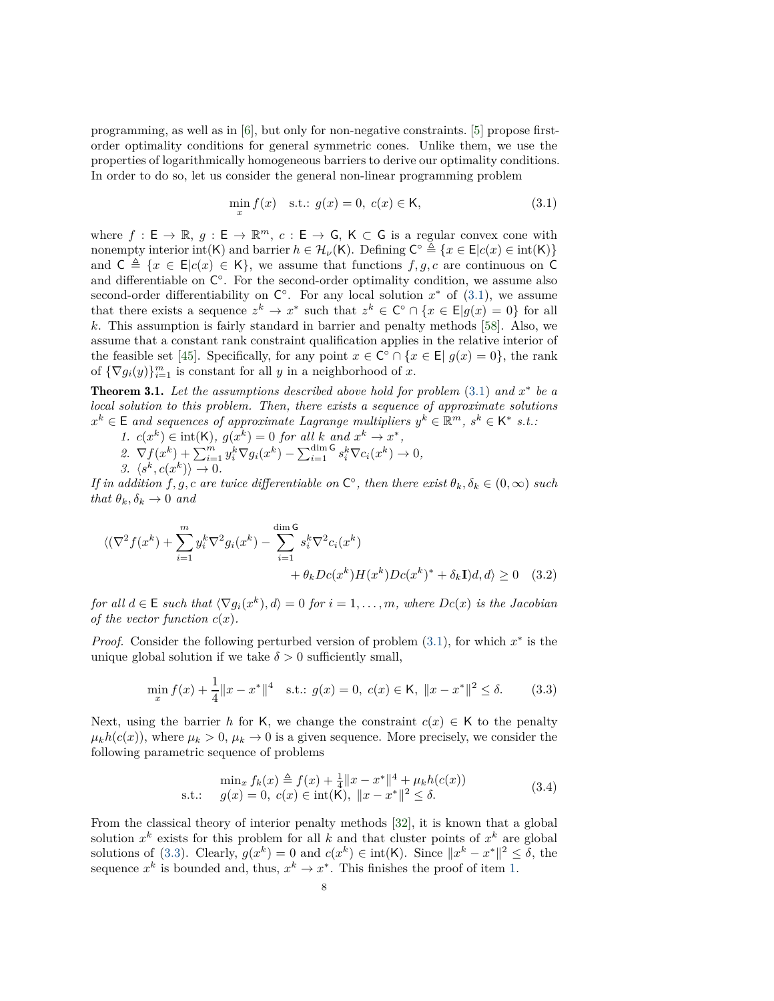programming, as well as in [\[6\]](#page-26-7), but only for non-negative constraints. [\[5\]](#page-26-8) propose firstorder optimality conditions for general symmetric cones. Unlike them, we use the properties of logarithmically homogeneous barriers to derive our optimality conditions. In order to do so, let us consider the general non-linear programming problem

<span id="page-7-0"></span>
$$
\min_{x} f(x) \quad \text{s.t.: } g(x) = 0, \ c(x) \in \mathsf{K}, \tag{3.1}
$$

where  $f : \mathsf{E} \to \mathbb{R}$ ,  $g : \mathsf{E} \to \mathbb{R}^m$ ,  $c : \mathsf{E} \to \mathsf{G}$ ,  $\mathsf{K} \subset \mathsf{G}$  is a regular convex cone with nonempty interior int(K) and barrier  $h \in \mathcal{H}_{\nu}(\mathsf{K})$ . Defining  $\mathsf{C}^{\circ} \triangleq \{x \in \mathsf{E}|c(x) \in \mathrm{int}(\mathsf{K})\}$ and  $C \triangleq \{x \in E | c(x) \in K\}$ , we assume that functions  $f, g, c$  are continuous on C and differentiable on  $\mathsf{C}^{\circ}$ . For the second-order optimality condition, we assume also second-order differentiability on  $\mathsf{C}^\circ$ . For any local solution  $x^*$  of [\(3.1\)](#page-7-0), we assume that there exists a sequence  $z^k \to x^*$  such that  $z^k \in \mathbb{C}^\circ \cap \{x \in \mathbb{E} | g(x) = 0\}$  for all *k*. This assumption is fairly standard in barrier and penalty methods [\[58\]](#page-28-23). Also, we assume that a constant rank constraint qualification applies in the relative interior of the feasible set [\[45\]](#page-28-24). Specifically, for any point  $x \in \mathbb{C}^{\circ} \cap \{x \in \mathbb{E} | g(x) = 0\}$ , the rank of  $\{\nabla g_i(y)\}_{i=1}^m$  is constant for all *y* in a neighborhood of *x*.

<span id="page-7-6"></span>Theorem 3.1. *Let the assumptions described above hold for problem* [\(3.1\)](#page-7-0) *and x* ∗ *be a local solution to this problem. Then, there exists a sequence of approximate solutions*  $x^k \in \mathsf{E}$  and sequences of approximate Lagrange multipliers  $y^k \in \mathbb{R}^m$ ,  $s^k \in \mathsf{K}^*$  s.t.:

- <span id="page-7-3"></span><span id="page-7-2"></span>*1.*  $c(x^k) \in \text{int}(\mathsf{K})$ ,  $g(x^k) = 0$  *for all*  $k$  *and*  $x^k \to x^*$ ,
- <span id="page-7-4"></span> $2. \nabla f(x^k) + \sum_{i=1}^m y_i^k \nabla g_i(x^k) - \sum_{i=1}^{\dim \mathsf{G}} s_i^k \nabla c_i(x^k) \to 0,$  $3. \langle s^k, c(x^k) \rangle \to 0.$

*If in addition*  $f, g, c$  *are twice differentiable on*  $C^{\circ}$ *, then there exist*  $\theta_k, \delta_k \in (0, \infty)$  *such that*  $\theta_k$ *,*  $\delta_k \to 0$  *and* 

$$
\langle (\nabla^2 f(x^k) + \sum_{i=1}^m y_i^k \nabla^2 g_i(x^k) - \sum_{i=1}^{\dim \mathsf{G}} s_i^k \nabla^2 c_i(x^k) + \theta_k D c(x^k) H(x^k) D c(x^k)^* + \delta_k \mathbf{I} \rangle d, d \rangle \ge 0 \quad (3.2)
$$

*for all*  $d \in E$  *such that*  $\langle \nabla g_i(x^k), d \rangle = 0$  *for*  $i = 1, \ldots, m$ *, where*  $Dc(x)$  *is the Jacobian of the vector function*  $c(x)$ *.* 

*Proof.* Consider the following perturbed version of problem [\(3.1\)](#page-7-0), for which  $x^*$  is the unique global solution if we take  $\delta > 0$  sufficiently small,

<span id="page-7-5"></span><span id="page-7-1"></span>
$$
\min_{x} f(x) + \frac{1}{4} \|x - x^*\|^4 \quad \text{s.t.: } g(x) = 0, \ c(x) \in \mathsf{K}, \ \|x - x^*\|^2 \le \delta. \tag{3.3}
$$

Next, using the barrier *h* for K, we change the constraint  $c(x) \in K$  to the penalty  $\mu_k h(c(x))$ , where  $\mu_k > 0$ ,  $\mu_k \to 0$  is a given sequence. More precisely, we consider the following parametric sequence of problems

$$
\min_{x} f_k(x) \triangleq f(x) + \frac{1}{4} ||x - x^*||^4 + \mu_k h(c(x))
$$
  
s.t.:  $g(x) = 0, c(x) \in \text{int}(\mathsf{K}), ||x - x^*||^2 \le \delta.$  (3.4)

From the classical theory of interior penalty methods [\[32\]](#page-27-19), it is known that a global solution  $x^k$  exists for this problem for all  $k$  and that cluster points of  $x^k$  are global solutions of [\(3.3\)](#page-7-1). Clearly,  $g(x^k) = 0$  and  $c(x^k) \in \text{int}(\mathsf{K})$ . Since  $||x^k - x^*||^2 \le \delta$ , the sequence  $x^k$  is bounded and, thus,  $x^k \to x^*$ . This finishes the proof of item [1.](#page-7-2)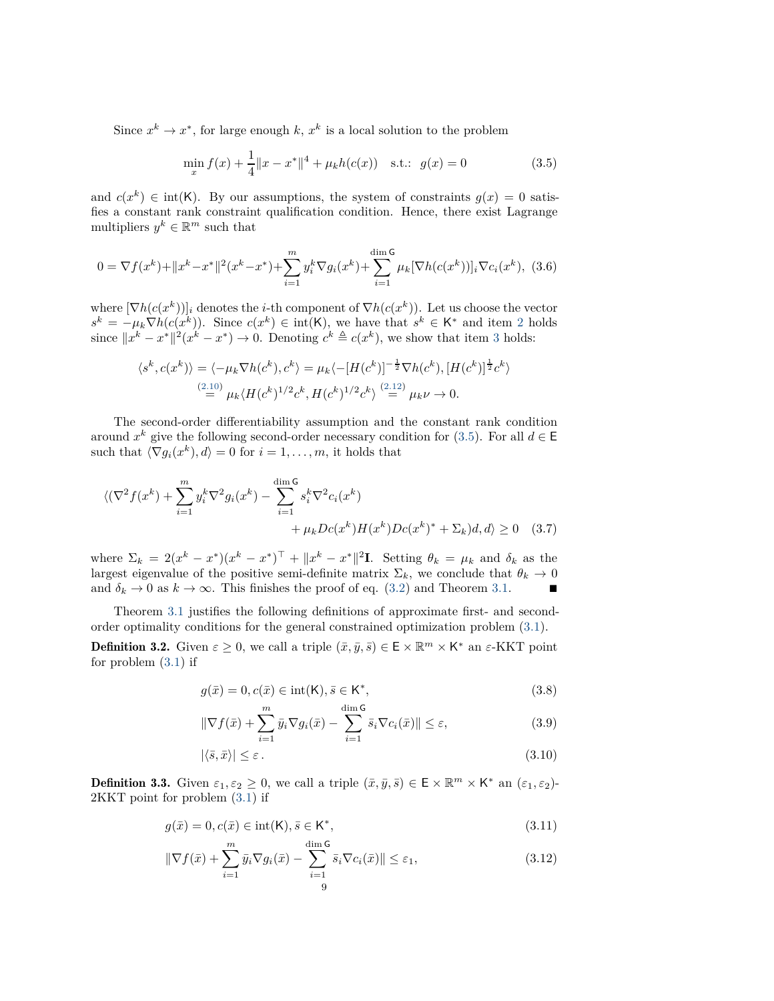Since  $x^k \to x^*$ , for large enough  $k, x^k$  is a local solution to the problem

<span id="page-8-0"></span>
$$
\min_{x} f(x) + \frac{1}{4} \|x - x^*\|^4 + \mu_k h(c(x)) \quad \text{s.t.:} \quad g(x) = 0 \tag{3.5}
$$

and  $c(x^k) \in \text{int}(\mathsf{K})$ . By our assumptions, the system of constraints  $g(x) = 0$  satisfies a constant rank constraint qualification condition. Hence, there exist Lagrange multipliers  $y^k \in \mathbb{R}^m$  such that

$$
0 = \nabla f(x^k) + \|x^k - x^*\|^2 (x^k - x^*) + \sum_{i=1}^m y_i^k \nabla g_i(x^k) + \sum_{i=1}^{\dim \mathsf{G}} \mu_k [\nabla h(c(x^k))]_i \nabla c_i(x^k), \tag{3.6}
$$

where  $[\nabla h(c(x^k))]$  denotes the *i*-th component of  $\nabla h(c(x^k))$ . Let us choose the vector  $s^k = -\mu_k \nabla h(c(x^k))$ . Since  $c(x^k) \in \text{int}(\mathsf{K})$ , we have that  $s^k \in \mathsf{K}^*$  and item [2](#page-7-3) holds since  $||x^k - x^*||^2(x^k - x^*) \to 0$ . Denoting  $c^k \triangleq c(x^k)$ , we show that item [3](#page-7-4) holds:

$$
\langle s^k, c(x^k) \rangle = \langle -\mu_k \nabla h(c^k), c^k \rangle = \mu_k \langle -[H(c^k)]^{-\frac{1}{2}} \nabla h(c^k), [H(c^k)]^{\frac{1}{2}} c^k \rangle
$$
  

$$
\stackrel{(2.10)}{=} \mu_k \langle H(c^k)^{1/2} c^k, H(c^k)^{1/2} c^k \rangle \stackrel{(2.12)}{=} \mu_k \nu \to 0.
$$

The second-order differentiability assumption and the constant rank condition around  $x^k$  give the following second-order necessary condition for [\(3.5\)](#page-8-0). For all  $d \in \mathsf{E}$ such that  $\langle \nabla g_i(x^k), d \rangle = 0$  for  $i = 1, \ldots, m$ , it holds that

$$
\langle (\nabla^2 f(x^k) + \sum_{i=1}^m y_i^k \nabla^2 g_i(x^k) - \sum_{i=1}^{\dim \mathsf{G}} s_i^k \nabla^2 c_i(x^k) + \mu_k D c(x^k) H(x^k) D c(x^k)^* + \Sigma_k) d, d \rangle \ge 0 \quad (3.7)
$$

where  $\Sigma_k = 2(x^k - x^*)(x^k - x^*)^\top + ||x^k - x^*||^2$ . Setting  $\theta_k = \mu_k$  and  $\delta_k$  as the largest eigenvalue of the positive semi-definite matrix  $\Sigma_k$ , we conclude that  $\theta_k \to 0$  and  $\delta_k \to 0$  as  $k \to \infty$ . This finishes the proof of eq. (3.2) and Theorem 3.1. and  $\delta_k \to 0$  as  $k \to \infty$ . This finishes the proof of eq. [\(3.2\)](#page-7-5) and Theorem [3.1.](#page-7-6)

<span id="page-8-1"></span>Theorem [3.1](#page-7-6) justifies the following definitions of approximate first- and secondorder optimality conditions for the general constrained optimization problem [\(3.1\)](#page-7-0).

**Definition 3.2.** Given  $\varepsilon \geq 0$ , we call a triple  $(\bar{x}, \bar{y}, \bar{s}) \in \mathsf{E} \times \mathbb{R}^m \times \mathsf{K}^*$  an  $\varepsilon$ -KKT point for problem [\(3.1\)](#page-7-0) if

$$
g(\bar{x}) = 0, c(\bar{x}) \in \text{int}(\mathsf{K}), \bar{s} \in \mathsf{K}^*,
$$
\n
$$
(3.8)
$$

$$
\|\nabla f(\bar{x}) + \sum_{i=1}^{m} \bar{y}_i \nabla g_i(\bar{x}) - \sum_{i=1}^{\dim \mathsf{G}} \bar{s}_i \nabla c_i(\bar{x})\| \le \varepsilon,
$$
\n(3.9)

$$
|\langle \bar{s}, \bar{x} \rangle| \le \varepsilon. \tag{3.10}
$$

<span id="page-8-2"></span>**Definition 3.3.** Given  $\varepsilon_1, \varepsilon_2 \geq 0$ , we call a triple  $(\bar{x}, \bar{y}, \bar{s}) \in \mathsf{E} \times \mathbb{R}^m \times \mathsf{K}^*$  an  $(\varepsilon_1, \varepsilon_2)$ -2KKT point for problem [\(3.1\)](#page-7-0) if

$$
g(\bar{x}) = 0, c(\bar{x}) \in \text{int}(\mathsf{K}), \bar{s} \in \mathsf{K}^*,
$$
\n(3.11)

$$
\|\nabla f(\bar{x}) + \sum_{i=1}^{m} \bar{y}_i \nabla g_i(\bar{x}) - \sum_{i=1}^{\dim \mathsf{G}} \bar{s}_i \nabla c_i(\bar{x})\| \le \varepsilon_1,
$$
\n(3.12)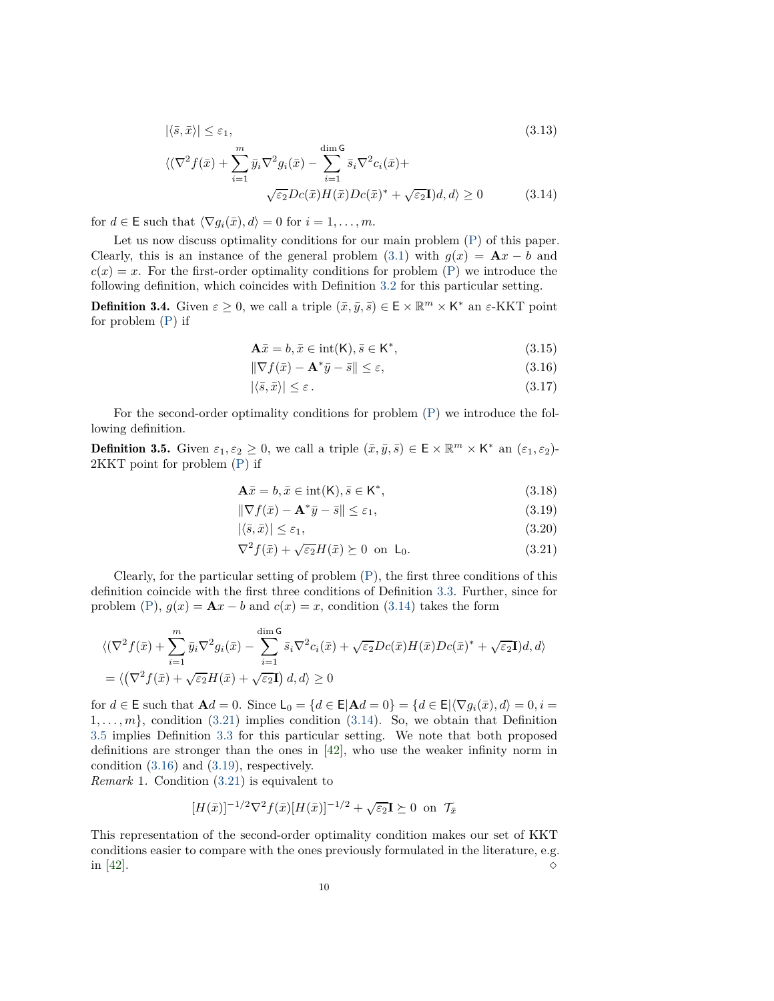$$
|\langle \bar{s}, \bar{x} \rangle| \leq \varepsilon_1,
$$
\n
$$
\langle (\nabla^2 f(\bar{x}) + \sum_{i=1}^m \bar{y}_i \nabla^2 g_i(\bar{x}) - \sum_{i=1}^{\dim \mathsf{G}} \bar{s}_i \nabla^2 c_i(\bar{x}) + \sqrt{\varepsilon_2} D c(\bar{x}) H(\bar{x}) D c(\bar{x})^* + \sqrt{\varepsilon_2} \mathbf{I} d, d \rangle \geq 0
$$
\n(3.14)

for  $d \in \mathsf{E}$  such that  $\langle \nabla g_i(\bar{x}), d \rangle = 0$  for  $i = 1, \ldots, m$ .

Let us now discuss optimality conditions for our main problem  $(P)$  of this paper. Clearly, this is an instance of the general problem [\(3.1\)](#page-7-0) with  $g(x) = \mathbf{A}x - b$  and  $c(x) = x$ . For the first-order optimality conditions for problem [\(P\)](#page-0-0) we introduce the following definition, which coincides with Definition [3.2](#page-8-1) for this particular setting.

<span id="page-9-5"></span>**Definition 3.4.** Given  $\varepsilon \geq 0$ , we call a triple  $(\bar{x}, \bar{y}, \bar{s}) \in \mathsf{E} \times \mathbb{R}^m \times \mathsf{K}^*$  an  $\varepsilon$ -KKT point for problem [\(P\)](#page-0-0) if

<span id="page-9-3"></span><span id="page-9-0"></span>
$$
\mathbf{A}\bar{x} = b, \bar{x} \in \text{int}(\mathsf{K}), \bar{s} \in \mathsf{K}^*,\tag{3.15}
$$

$$
\|\nabla f(\bar{x}) - \mathbf{A}^* \bar{y} - \bar{s}\| \le \varepsilon,\tag{3.16}
$$

$$
|\langle \bar{s}, \bar{x} \rangle| \le \varepsilon. \tag{3.17}
$$

<span id="page-9-2"></span>For the second-order optimality conditions for problem [\(P\)](#page-0-0) we introduce the following definition.

**Definition 3.5.** Given  $\varepsilon_1, \varepsilon_2 \geq 0$ , we call a triple  $(\bar{x}, \bar{y}, \bar{s}) \in \mathsf{E} \times \mathbb{R}^m \times \mathsf{K}^*$  an  $(\varepsilon_1, \varepsilon_2)$ -2KKT point for problem [\(P\)](#page-0-0) if

$$
\mathbf{A}\bar{x} = b, \bar{x} \in \text{int}(\mathsf{K}), \bar{s} \in \mathsf{K}^*,\tag{3.18}
$$

<span id="page-9-4"></span>
$$
\|\nabla f(\bar{x}) - \mathbf{A}^*\bar{y} - \bar{s}\| \le \varepsilon_1,\tag{3.19}
$$

$$
|\langle \bar{s}, \bar{x} \rangle| \le \varepsilon_1,\tag{3.20}
$$

<span id="page-9-1"></span>
$$
\nabla^2 f(\bar{x}) + \sqrt{\varepsilon_2} H(\bar{x}) \succeq 0 \text{ on } \mathsf{L}_0. \tag{3.21}
$$

Clearly, for the particular setting of problem  $(P)$ , the first three conditions of this definition coincide with the first three conditions of Definition [3.3.](#page-8-2) Further, since for problem [\(P\)](#page-0-0),  $g(x) = \mathbf{A}x - b$  and  $c(x) = x$ , condition [\(3.14\)](#page-9-0) takes the form

$$
\langle (\nabla^2 f(\bar{x}) + \sum_{i=1}^m \bar{y}_i \nabla^2 g_i(\bar{x}) - \sum_{i=1}^{\dim \mathsf{G}} \bar{s}_i \nabla^2 c_i(\bar{x}) + \sqrt{\varepsilon_2} D c(\bar{x}) H(\bar{x}) D c(\bar{x})^* + \sqrt{\varepsilon_2} \mathbf{I} ) d, d \rangle
$$
  
= \langle (\nabla^2 f(\bar{x}) + \sqrt{\varepsilon\_2} H(\bar{x}) + \sqrt{\varepsilon\_2} \mathbf{I}) d, d \rangle \ge 0

for  $d \in \mathsf{E}$  such that  $\mathbf{A}d = 0$ . Since  $\mathsf{L}_0 = \{d \in \mathsf{E} | \mathbf{A}d = 0\} = \{d \in \mathsf{E} | \nabla g_i(\bar{x}), d \geq 0, i = 0\}$  $1, \ldots, m$ , condition [\(3.21\)](#page-9-1) implies condition [\(3.14\)](#page-9-0). So, we obtain that Definition [3.5](#page-9-2) implies Definition [3.3](#page-8-2) for this particular setting. We note that both proposed definitions are stronger than the ones in [\[42\]](#page-28-3), who use the weaker infinity norm in condition [\(3.16\)](#page-9-3) and [\(3.19\)](#page-9-4), respectively.

*Remark* 1*.* Condition [\(3.21\)](#page-9-1) is equivalent to

$$
[H(\bar{x})]^{-1/2}\nabla^2 f(\bar{x})[H(\bar{x})]^{-1/2} + \sqrt{\varepsilon_2}\mathbf{I} \succeq 0 \text{ on } \mathcal{T}_{\bar{x}}
$$

This representation of the second-order optimality condition makes our set of KKT conditions easier to compare with the ones previously formulated in the literature, e.g. in [\[42\]](#page-28-3).  $\Diamond$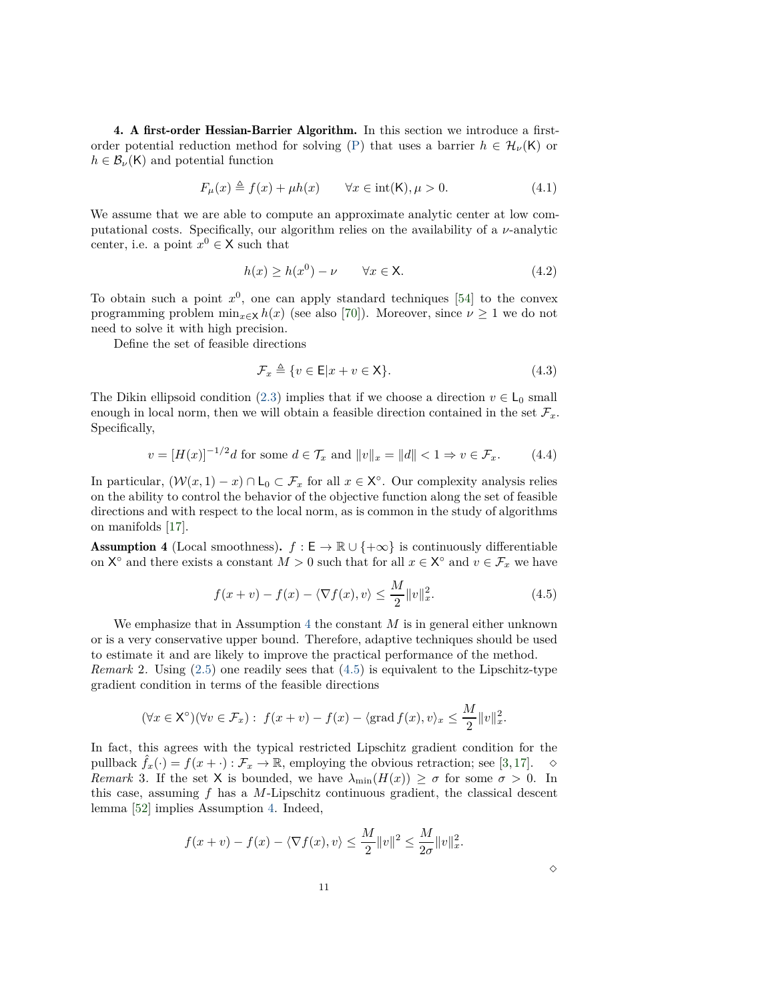<span id="page-10-1"></span>4. A first-order Hessian-Barrier Algorithm. In this section we introduce a first-order potential reduction method for solving [\(P\)](#page-0-0) that uses a barrier  $h \in \mathcal{H}_{\nu}(\mathsf{K})$  or  $h \in \mathcal{B}_{\nu}(\mathsf{K})$  and potential function

<span id="page-10-4"></span>
$$
F_{\mu}(x) \triangleq f(x) + \mu h(x) \qquad \forall x \in \text{int}(\mathsf{K}), \mu > 0. \tag{4.1}
$$

We assume that we are able to compute an approximate analytic center at low computational costs. Specifically, our algorithm relies on the availability of a *ν*-analytic center, i.e. a point  $x^0 \in \mathsf{X}$  such that

<span id="page-10-3"></span>
$$
h(x) \ge h(x^0) - \nu \qquad \forall x \in \mathsf{X}.\tag{4.2}
$$

To obtain such a point *x* 0 , one can apply standard techniques [\[54\]](#page-28-7) to the convex programming problem  $\min_{x \in \mathsf{X}} h(x)$  (see also [\[70\]](#page-29-3)). Moreover, since  $\nu \geq 1$  we do not need to solve it with high precision.

Define the set of feasible directions

<span id="page-10-5"></span>
$$
\mathcal{F}_x \triangleq \{ v \in \mathsf{E} | x + v \in \mathsf{X} \}. \tag{4.3}
$$

The Dikin ellipsoid condition [\(2.3\)](#page-5-4) implies that if we choose a direction  $v \in L_0$  small enough in local norm, then we will obtain a feasible direction contained in the set  $\mathcal{F}_x$ . Specifically,

$$
v = [H(x)]^{-1/2}d
$$
 for some  $d \in \mathcal{T}_x$  and  $||v||_x = ||d|| < 1 \Rightarrow v \in \mathcal{F}_x$ . (4.4)

In particular,  $(\mathcal{W}(x,1)-x) \cap L_0 \subset \mathcal{F}_x$  for all  $x \in \mathsf{X}^\circ$ . Our complexity analysis relies on the ability to control the behavior of the objective function along the set of feasible directions and with respect to the local norm, as is common in the study of algorithms on manifolds [\[17\]](#page-27-20).

<span id="page-10-0"></span>**Assumption 4** (Local smoothness).  $f : E \to \mathbb{R} \cup \{+\infty\}$  is continuously differentiable on  $X^{\circ}$  and there exists a constant  $M > 0$  such that for all  $x \in X^{\circ}$  and  $v \in \mathcal{F}_x$  we have

<span id="page-10-2"></span>
$$
f(x+v) - f(x) - \langle \nabla f(x), v \rangle \le \frac{M}{2} ||v||_x^2.
$$
 (4.5)

We emphasize that in Assumption [4](#page-10-0) the constant *M* is in general either unknown or is a very conservative upper bound. Therefore, adaptive techniques should be used to estimate it and are likely to improve the practical performance of the method.

*Remark* 2*.* Using [\(2.5\)](#page-5-5) one readily sees that [\(4.5\)](#page-10-2) is equivalent to the Lipschitz-type gradient condition in terms of the feasible directions

$$
(\forall x \in \mathsf{X}^{\circ})(\forall v \in \mathcal{F}_x): f(x+v) - f(x) - \langle \operatorname{grad} f(x), v \rangle_x \le \frac{M}{2} ||v||_x^2.
$$

In fact, this agrees with the typical restricted Lipschitz gradient condition for the pullback  $f_x(\cdot) = f(x + \cdot) : \mathcal{F}_x \to \mathbb{R}$ , employing the obvious retraction; see [\[3,](#page-26-9)[17\]](#page-27-20).  $\diamond$ *Remark* 3. If the set X is bounded, we have  $\lambda_{\min}(H(x)) \geq \sigma$  for some  $\sigma > 0$ . In this case, assuming *f* has a *M*-Lipschitz continuous gradient, the classical descent lemma [\[52\]](#page-28-11) implies Assumption [4.](#page-10-0) Indeed,

$$
f(x+v) - f(x) - \langle \nabla f(x), v \rangle \le \frac{M}{2} ||v||^2 \le \frac{M}{2\sigma} ||v||_x^2.
$$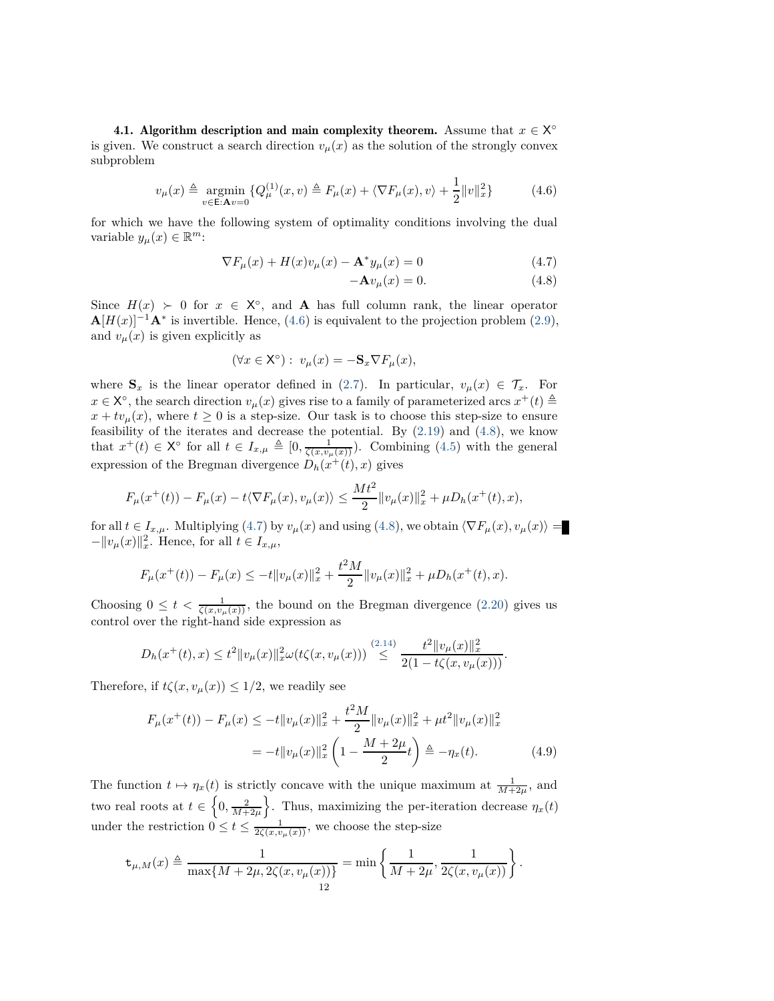**4.1.** Algorithm description and main complexity theorem. Assume that  $x \in X^{\circ}$ is given. We construct a search direction  $v_{\mu}(x)$  as the solution of the strongly convex subproblem

<span id="page-11-0"></span>
$$
v_{\mu}(x) \triangleq \underset{v \in \mathcal{E}: \mathbf{A}v = 0}{\text{argmin}} \{ Q_{\mu}^{(1)}(x, v) \triangleq F_{\mu}(x) + \langle \nabla F_{\mu}(x), v \rangle + \frac{1}{2} ||v||_{x}^{2} \}
$$
(4.6)

for which we have the following system of optimality conditions involving the dual variable  $y_{\mu}(x) \in \mathbb{R}^{m}$ :

$$
\nabla F_{\mu}(x) + H(x)v_{\mu}(x) - \mathbf{A}^* y_{\mu}(x) = 0 \tag{4.7}
$$

<span id="page-11-2"></span><span id="page-11-1"></span>
$$
-\mathbf{A}v_{\mu}(x) = 0.\t\t(4.8)
$$

Since  $H(x) \succ 0$  for  $x \in X^{\circ}$ , and **A** has full column rank, the linear operator  $\mathbf{A}[H(x)]^{-1}\mathbf{A}^*$  is invertible. Hence, [\(4.6\)](#page-11-0) is equivalent to the projection problem [\(2.9\)](#page-5-6), and  $v_\mu(x)$  is given explicitly as

$$
(\forall x \in \mathsf{X}^{\circ}): \ v_{\mu}(x) = -\mathbf{S}_{x} \nabla F_{\mu}(x),
$$

where  $\mathbf{S}_x$  is the linear operator defined in [\(2.7\)](#page-5-7). In particular,  $v_\mu(x) \in \mathcal{T}_x$ . For  $x \in X^{\circ}$ , the search direction  $v_{\mu}(x)$  gives rise to a family of parameterized arcs  $x^{+}(t) \triangleq$  $x + tv_\mu(x)$ , where  $t \geq 0$  is a step-size. Our task is to choose this step-size to ensure feasibility of the iterates and decrease the potential. By  $(2.19)$  and  $(4.8)$ , we know that  $x^+(t) \in \mathsf{X}^{\circ}$  for all  $t \in I_{x,\mu} \triangleq [0, \frac{1}{\zeta(x,\nu_\mu(x))})$ . Combining [\(4.5\)](#page-10-2) with the general expression of the Bregman divergence  $D_h(x^+(t),x)$  gives

$$
F_{\mu}(x^+(t)) - F_{\mu}(x) - t \langle \nabla F_{\mu}(x), v_{\mu}(x) \rangle \le \frac{Mt^2}{2} ||v_{\mu}(x)||_x^2 + \mu D_h(x^+(t), x),
$$

for all  $t \in I_{x,\mu}$ . Multiplying [\(4.7\)](#page-11-2) by  $v_{\mu}(x)$  and using [\(4.8\)](#page-11-1), we obtain  $\langle \nabla F_{\mu}(x), v_{\mu}(x) \rangle =$  $-\|v_\mu(x)\|_x^2$ . Hence, for all  $t \in I_{x,\mu}$ ,

$$
F_{\mu}(x^+(t)) - F_{\mu}(x) \le -t \|v_{\mu}(x)\|_{x}^{2} + \frac{t^{2}M}{2} \|v_{\mu}(x)\|_{x}^{2} + \mu D_{h}(x^+(t), x).
$$

Choosing  $0 \leq t < \frac{1}{\zeta(x,\nu_\mu(x))}$ , the bound on the Bregman divergence [\(2.20\)](#page-6-4) gives us control over the right-hand side expression as

$$
D_h(x^+(t),x) \le t^2 \|v_\mu(x)\|_{x}^2 \omega(t\zeta(x,v_\mu(x))) \stackrel{(2.14)}{\le} \frac{t^2 \|v_\mu(x)\|_{x}^2}{2(1-t\zeta(x,v_\mu(x)))}.
$$

Therefore, if  $t\zeta(x, v_\mu(x)) \leq 1/2$ , we readily see

<span id="page-11-3"></span>
$$
F_{\mu}(x^{+}(t)) - F_{\mu}(x) \le -t \|v_{\mu}(x)\|_{x}^{2} + \frac{t^{2}M}{2} \|v_{\mu}(x)\|_{x}^{2} + \mu t^{2} \|v_{\mu}(x)\|_{x}^{2}
$$

$$
= -t \|v_{\mu}(x)\|_{x}^{2} \left(1 - \frac{M + 2\mu}{2}t\right) \triangleq -\eta_{x}(t). \tag{4.9}
$$

The function  $t \mapsto \eta_x(t)$  is strictly concave with the unique maximum at  $\frac{1}{M+2\mu}$ , and two real roots at  $t \in \left\{0, \frac{2}{M+2\mu}\right\}$ }. Thus, maximizing the per-iteration decrease  $\eta_x(t)$ under the restriction  $0 \le t \le \frac{1}{2\zeta(x,v_\mu(x))}$ , we choose the step-size

$$
\mathsf{t}_{\mu,M}(x) \triangleq \frac{1}{\max\{M+2\mu, 2\zeta(x,v_\mu(x))\}} = \min\left\{\frac{1}{M+2\mu}, \frac{1}{2\zeta(x,v_\mu(x))}\right\}.
$$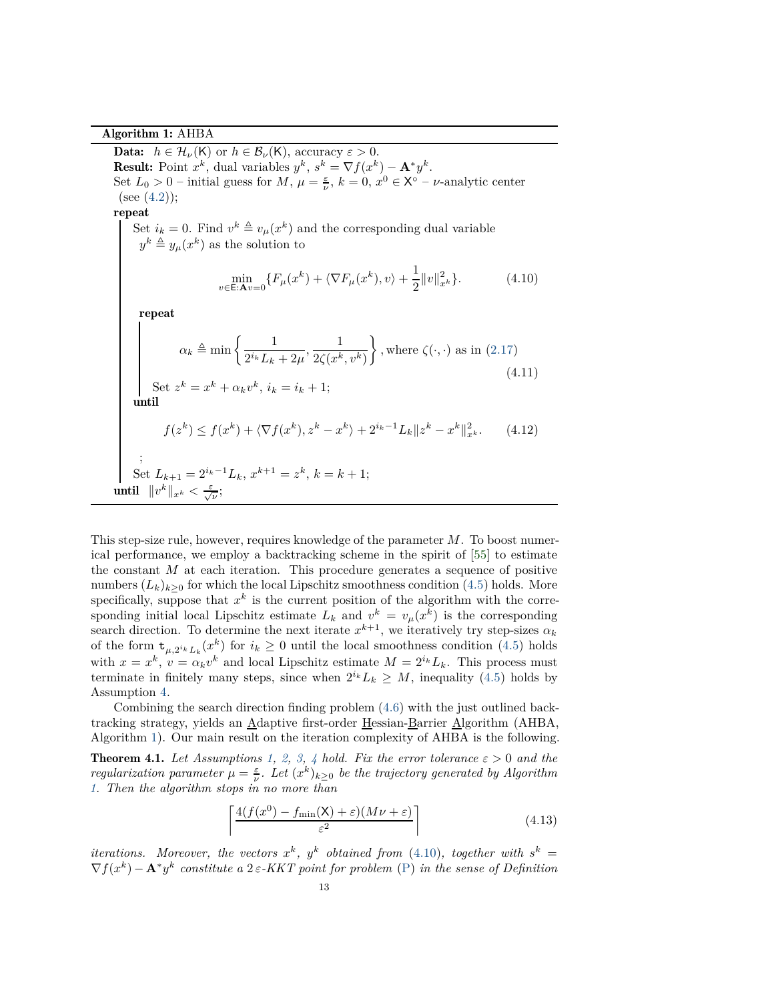Algorithm 1: AHBA

<span id="page-12-4"></span><span id="page-12-2"></span><span id="page-12-0"></span>**Data:**  $h \in \mathcal{H}_{\nu}(\mathsf{K})$  or  $h \in \mathcal{B}_{\nu}(\mathsf{K})$ , accuracy  $\varepsilon > 0$ . **Result:** Point  $x^k$ , dual variables  $y^k$ ,  $s^k = \nabla f(x^k) - \mathbf{A}^* y^k$ . Set  $L_0 > 0$  – initial guess for  $M$ ,  $\mu = \frac{\varepsilon}{\nu}$ ,  $k = 0$ ,  $x^0 \in X^{\circ}$  – *v*-analytic center (see  $(4.2)$ ); repeat Set  $i_k = 0$ . Find  $v^k \triangleq v_\mu(x^k)$  and the corresponding dual variable  $y^k \triangleq y_\mu(x^k)$  as the solution to  $\min_{v \in \mathsf{E}: \mathbf{A}v = 0} \{ F_{\mu}(x^k) + \langle \nabla F_{\mu}(x^k), v \rangle + \frac{1}{2}$  $\frac{1}{2}||v||_x^2$ *<sup>x</sup><sup>k</sup>* }*.* (4.10) repeat  $\alpha_k \triangleq \min \left\{ \frac{1}{2^{i_k} L} \right\}$  $\frac{1}{2^{i_k}L_k + 2\mu}, \frac{1}{2\zeta(x^k)}$ 2 $\zeta(x^k, v^k)$  $\mathcal{L}$ *,* where  $\zeta(\cdot, \cdot)$  as in  $(2.17)$ (4.11) Set  $z^k = x^k + \alpha_k v^k$ ,  $i_k = i_k + 1$ ; until  $f(z^k) \le f(x^k) + \langle \nabla f(x^k), z^k - x^k \rangle + 2^{i_k - 1} L_k ||z^k - x^k||_{x^k}^2.$  (4.12) ; Set  $L_{k+1} = 2^{i_k - 1}L_k$ ,  $x^{k+1} = z^k$ ,  $k = k+1$ ;  $\text{until } \ \|v^k\|_{x^k} < \frac{\varepsilon}{\sqrt{\nu}}$ ;

<span id="page-12-5"></span>This step-size rule, however, requires knowledge of the parameter *M*. To boost numerical performance, we employ a backtracking scheme in the spirit of [\[55\]](#page-28-6) to estimate the constant *M* at each iteration. This procedure generates a sequence of positive numbers  $(L_k)_{k>0}$  for which the local Lipschitz smoothness condition [\(4.5\)](#page-10-2) holds. More specifically, suppose that  $x^k$  is the current position of the algorithm with the corresponding initial local Lipschitz estimate  $L_k$  and  $v^k = v_\mu(x^k)$  is the corresponding search direction. To determine the next iterate  $x^{k+1}$ , we iteratively try step-sizes  $\alpha_k$ of the form  $\mathbf{t}_{\mu,2^{i_k}L_k}(x^k)$  for  $i_k \geq 0$  until the local smoothness condition [\(4.5\)](#page-10-2) holds with  $x = x^k$ ,  $v = \alpha_k v^k$  and local Lipschitz estimate  $M = 2^{i_k} L_k$ . This process must terminate in finitely many steps, since when  $2^{i_k}L_k \geq M$ , inequality [\(4.5\)](#page-10-2) holds by Assumption [4.](#page-10-0)

Combining the search direction finding problem [\(4.6\)](#page-11-0) with the just outlined backtracking strategy, yields an Adaptive first-order Hessian-Barrier Algorithm (AHBA, Algorithm [1\)](#page-12-0). Our main result on the iteration complexity of AHBA is the following.

<span id="page-12-1"></span>**Theorem [4](#page-10-0).1.** Let Assumptions [1,](#page-0-2) [2,](#page-6-6) [3,](#page-6-7) 4 hold. Fix the error tolerance  $\varepsilon > 0$  and the *regularization parameter*  $\mu = \frac{\varepsilon}{\nu}$ . Let  $(x^k)_{k \geq 0}$  be the trajectory generated by Algorithm *[1.](#page-12-0) Then the algorithm stops in no more than*

<span id="page-12-3"></span>
$$
\left[ \frac{4(f(x^{0}) - f_{\min}(\mathsf{X}) + \varepsilon)(M\nu + \varepsilon)}{\varepsilon^{2}} \right]
$$
\n(4.13)

*iterations.* Moreover, the vectors  $x^k$ ,  $y^k$  obtained from [\(4.10\)](#page-12-2), together with  $s^k =$  $\nabla f(x^k) - \mathbf{A}^* y^k$  constitute a 2 $\varepsilon$ -KKT point for problem [\(P\)](#page-0-0) in the sense of Definition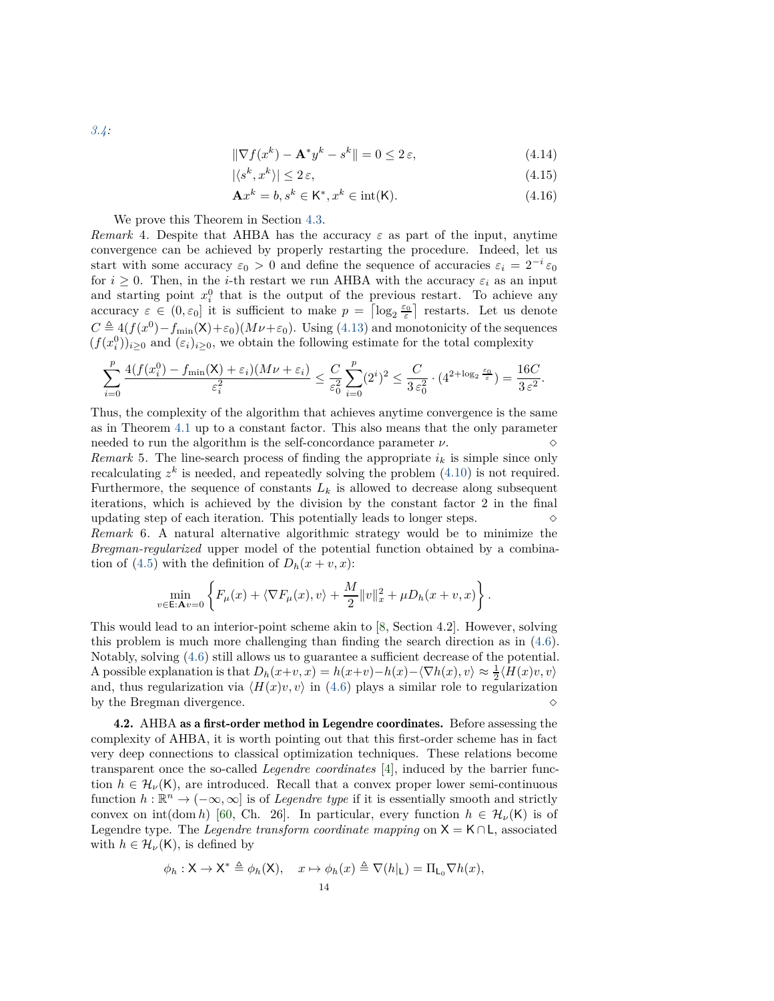<span id="page-13-2"></span><span id="page-13-1"></span><span id="page-13-0"></span>
$$
\|\nabla f(x^k) - \mathbf{A}^* y^k - s^k\| = 0 \le 2\,\varepsilon,\tag{4.14}
$$

$$
|\langle s^k, x^k \rangle| \le 2\,\varepsilon,\tag{4.15}
$$

$$
\mathbf{A}x^k = b, s^k \in \mathsf{K}^*, x^k \in \text{int}(\mathsf{K}).\tag{4.16}
$$

We prove this Theorem in Section [4.3.](#page-14-0)

<span id="page-13-3"></span>*Remark* 4. Despite that AHBA has the accuracy  $\varepsilon$  as part of the input, anytime convergence can be achieved by properly restarting the procedure. Indeed, let us start with some accuracy  $\varepsilon_0 > 0$  and define the sequence of accuracies  $\varepsilon_i = 2^{-i} \varepsilon_0$ for  $i \geq 0$ . Then, in the *i*-th restart we run AHBA with the accuracy  $\varepsilon_i$  as an input and starting point  $x_i^0$  that is the output of the previous restart. To achieve any accuracy  $\varepsilon \in (0, \varepsilon_0]$  it is sufficient to make  $p = \lceil \log_2 \frac{\varepsilon_0}{\varepsilon} \rceil$  restarts. Let us denote  $C \triangleq 4(f(x^0) - f_{\min}(X) + \varepsilon_0)(M\nu + \varepsilon_0)$ . Using [\(4.13\)](#page-12-3) and monotonicity of the sequences  $(f(x_i^0))_{i\geq 0}$  and  $(\varepsilon_i)_{i\geq 0}$ , we obtain the following estimate for the total complexity

$$
\sum_{i=0}^p\frac{4(f(x_i^0)-f_{\min}({\sf X})+\varepsilon_i)(M\nu+\varepsilon_i)}{\varepsilon_i^2}\leq \frac{C}{\varepsilon_0^2}\sum_{i=0}^p(2^i)^2\leq \frac{C}{3\,\varepsilon_0^2}\cdot(4^{2+\log_2\frac{\varepsilon_0}{\varepsilon}})=\frac{16C}{3\,\varepsilon^2}.
$$

Thus, the complexity of the algorithm that achieves anytime convergence is the same as in Theorem [4.1](#page-12-1) up to a constant factor. This also means that the only parameter needed to run the algorithm is the self-concordance parameter  $\nu$ .

*Remark* 5. The line-search process of finding the appropriate  $i_k$  is simple since only recalculating  $z^k$  is needed, and repeatedly solving the problem  $(4.10)$  is not required. Furthermore, the sequence of constants  $L_k$  is allowed to decrease along subsequent iterations, which is achieved by the division by the constant factor 2 in the final updating step of each iteration. This potentially leads to longer steps.  $\Diamond$ *Remark* 6*.* A natural alternative algorithmic strategy would be to minimize the *Bregman-regularized* upper model of the potential function obtained by a combina-tion of [\(4.5\)](#page-10-2) with the definition of  $D_h(x+v, x)$ :

$$
\min_{v \in \mathsf{E}:\mathbf{A}v=0} \left\{ F_{\mu}(x) + \langle \nabla F_{\mu}(x), v \rangle + \frac{M}{2} ||v||_{x}^{2} + \mu D_{h}(x+v, x) \right\}.
$$

This would lead to an interior-point scheme akin to [\[8,](#page-26-2) Section 4.2]. However, solving this problem is much more challenging than finding the search direction as in [\(4.6\)](#page-11-0). Notably, solving [\(4.6\)](#page-11-0) still allows us to guarantee a sufficient decrease of the potential. A possible explanation is that  $D_h(x+v, x) = h(x+v) - h(x) - \langle \nabla h(x), v \rangle \approx \frac{1}{2} \langle H(x)v, v \rangle$ and, thus regularization via  $\langle H(x)v, v \rangle$  in [\(4.6\)](#page-11-0) plays a similar role to regularization by the Bregman divergence. by the Bregman divergence.

4.2. AHBA as a first-order method in Legendre coordinates. Before assessing the complexity of AHBA, it is worth pointing out that this first-order scheme has in fact very deep connections to classical optimization techniques. These relations become transparent once the so-called *Legendre coordinates* [\[4\]](#page-26-10), induced by the barrier function  $h \in \mathcal{H}_{\nu}(\mathsf{K})$ , are introduced. Recall that a convex proper lower semi-continuous function  $h : \mathbb{R}^n \to (-\infty, \infty]$  is of *Legendre type* if it is essentially smooth and strictly convex on int(dom *h*) [\[60,](#page-28-25) Ch. 26]. In particular, every function  $h \in \mathcal{H}_{\nu}(\mathsf{K})$  is of Legendre type. The *Legendre transform coordinate mapping* on <sup>X</sup> <sup>=</sup> <sup>K</sup>∩L, associated with  $h \in \mathcal{H}_{\nu}(\mathsf{K})$ , is defined by

$$
\phi_h: \mathsf{X} \to \mathsf{X}^* \triangleq \phi_h(\mathsf{X}), \quad x \mapsto \phi_h(x) \triangleq \nabla(h|_{\mathsf{L}}) = \Pi_{\mathsf{L}_0} \nabla h(x),
$$
  
14

*[3.4:](#page-9-5)*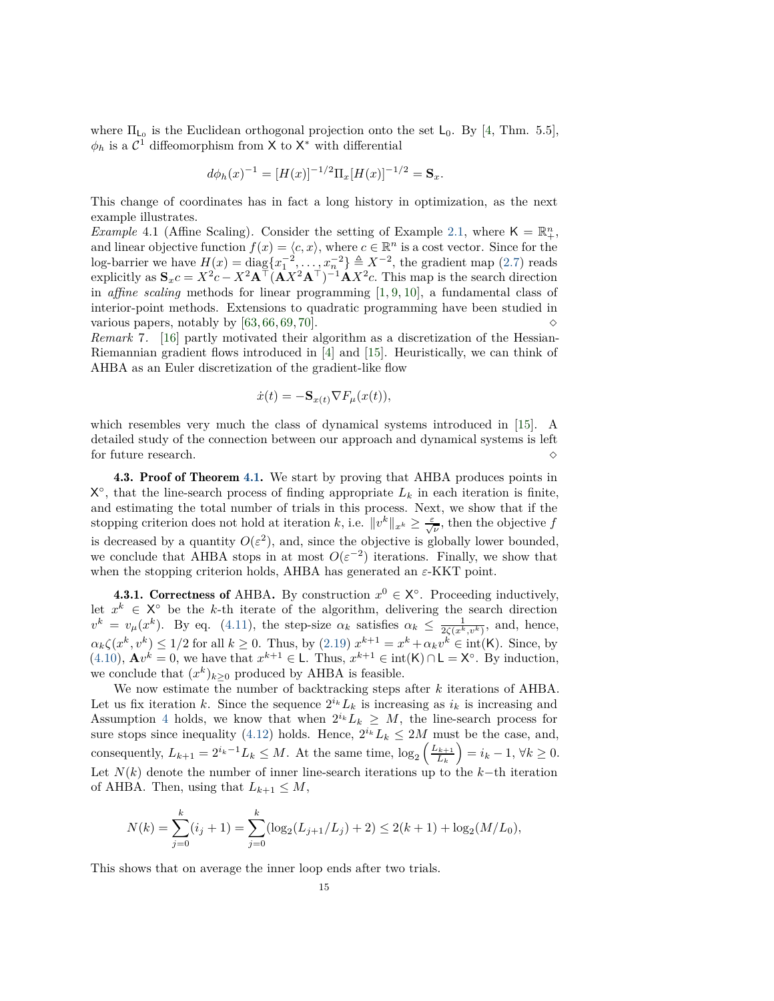where  $\Pi_{\mathsf{L}_0}$  is the Euclidean orthogonal projection onto the set  $\mathsf{L}_0$ . By [\[4,](#page-26-10) Thm. 5.5],  $\phi_h$  is a  $\mathcal{C}^{\mathbb{I}}$  diffeomorphism from X to X<sup>\*</sup> with differential

$$
d\phi_h(x)^{-1} = [H(x)]^{-1/2} \Pi_x [H(x)]^{-1/2} = \mathbf{S}_x.
$$

This change of coordinates has in fact a long history in optimization, as the next example illustrates.

*Example* 4.1 (Affine Scaling). Consider the setting of Example [2.1,](#page-4-1) where  $K = \mathbb{R}^n_+$ , and linear objective function  $f(x) = \langle c, x \rangle$ , where  $c \in \mathbb{R}^n$  is a cost vector. Since for the log-barrier we have  $H(x) = \text{diag}\{x_1^{-2}, \ldots, x_n^{-2}\} \triangleq X^{-2}$ , the gradient map [\(2.7\)](#page-5-7) reads explicitly as  $\mathbf{S}_x c = X^2 c - X^2 \mathbf{A}^\top (\mathbf{A} X^2 \mathbf{A}^\top)^{-1} \mathbf{A} X^2 c$ . This map is the search direction in *affine scaling* methods for linear programming [\[1,](#page-26-11) [9,](#page-26-12) [10\]](#page-26-13), a fundamental class of interior-point methods. Extensions to quadratic programming have been studied in various papers, notably by [\[63,](#page-28-26) [66,](#page-29-4) [69,](#page-29-2) [70\]](#page-29-3).  $\Diamond$ 

*Remark* 7*.* [\[16\]](#page-27-0) partly motivated their algorithm as a discretization of the Hessian-Riemannian gradient flows introduced in [\[4\]](#page-26-10) and [\[15\]](#page-26-14). Heuristically, we can think of AHBA as an Euler discretization of the gradient-like flow

$$
\dot{x}(t) = -\mathbf{S}_{x(t)} \nabla F_{\mu}(x(t)),
$$

which resembles very much the class of dynamical systems introduced in [\[15\]](#page-26-14). A detailed study of the connection between our approach and dynamical systems is left for future research.  $\Diamond$ 

<span id="page-14-0"></span>4.3. Proof of Theorem [4.1.](#page-12-1) We start by proving that AHBA produces points in  $X^{\circ}$ , that the line-search process of finding appropriate  $L_k$  in each iteration is finite, and estimating the total number of trials in this process. Next, we show that if the stopping criterion does not hold at iteration *k*, i.e.  $||v^k||_{x^k} \ge \frac{\varepsilon}{\sqrt{\nu}}$ , then the objective *f* is decreased by a quantity  $O(\varepsilon^2)$ , and, since the objective is globally lower bounded, we conclude that AHBA stops in at most  $O(\varepsilon^{-2})$  iterations. Finally, we show that when the stopping criterion holds, AHBA has generated an *ε*-KKT point.

<span id="page-14-1"></span>4.3.1. Correctness of AHBA. By construction  $x^0 \in X^{\circ}$ . Proceeding inductively, let  $x^k \in X^{\circ}$  be the *k*-th iterate of the algorithm, delivering the search direction  $v^k = v_\mu(x^k)$ . By eq. [\(4.11\)](#page-12-4), the step-size  $\alpha_k$  satisfies  $\alpha_k \leq \frac{1}{2\zeta(x^k, v^k)}$ , and, hence,  $\alpha_k \zeta(x^k, v^k) \leq 1/2$  for all  $k \geq 0$ . Thus, by [\(2.19\)](#page-6-3)  $x^{k+1} = x^k + \alpha_k v^k \in \text{int}(\mathsf{K})$ . Since, by [\(4.10\)](#page-12-2),  $\mathbf{A}v^k = 0$ , we have that  $x^{k+1} \in L$ . Thus,  $x^{k+1} \in \text{int}(\mathsf{K}) \cap \mathsf{L} = \mathsf{X}^{\circ}$ . By induction, we conclude that  $(x^k)_{k\geq 0}$  produced by AHBA is feasible.

We now estimate the number of backtracking steps after *k* iterations of AHBA. Let us fix iteration *k*. Since the sequence  $2^{i_k}L_k$  is increasing as  $i_k$  is increasing and Assumption [4](#page-10-0) holds, we know that when  $2^{i_k}L_k \geq M$ , the line-search process for sure stops since inequality [\(4.12\)](#page-12-5) holds. Hence,  $2^{i_k} L_k \leq 2M$  must be the case, and, consequently,  $L_{k+1} = 2^{i_k-1}L_k \leq M$ . At the same time,  $\log_2 \left( \frac{L_{k+1}}{L_k} \right)$ *L<sup>k</sup>*  $= i_k - 1, \forall k \geq 0.$ Let *N*(*k*) denote the number of inner line-search iterations up to the *k*−th iteration of AHBA. Then, using that  $L_{k+1} \leq M$ ,

$$
N(k) = \sum_{j=0}^{k} (i_j + 1) = \sum_{j=0}^{k} (\log_2(L_{j+1}/L_j) + 2) \le 2(k+1) + \log_2(M/L_0),
$$

This shows that on average the inner loop ends after two trials.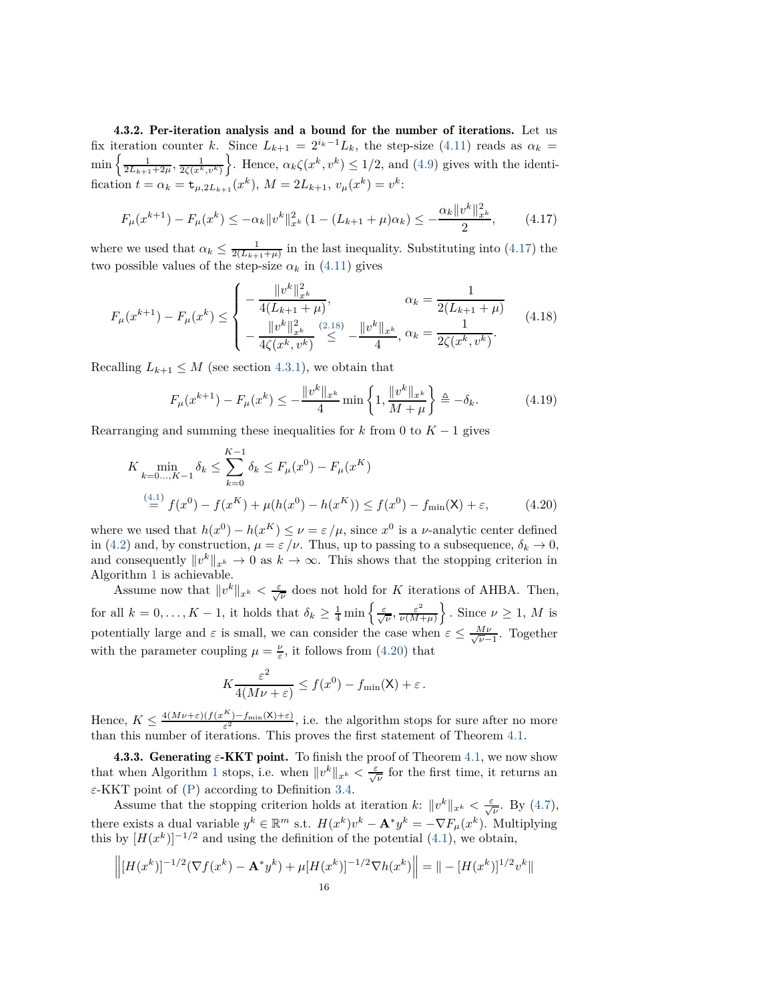4.3.2. Per-iteration analysis and a bound for the number of iterations. Let us fix iteration counter *k*. Since  $L_{k+1} = 2^{i_k-1}L_k$ , the step-size [\(4.11\)](#page-12-4) reads as  $\alpha_k =$  $\min \left\{ \frac{1}{2L_{k+1}+2\mu}, \frac{1}{2\zeta(x^k, v^k)} \right\}$ }. Hence,  $\alpha_k \zeta(x^k, v^k) \leq 1/2$ , and [\(4.9\)](#page-11-3) gives with the identification  $t = \alpha_k = \mathbf{t}_{\mu,2L_{k+1}}(x^k), M = 2L_{k+1}, v_\mu(x^k) = v^k$ :

<span id="page-15-0"></span>
$$
F_{\mu}(x^{k+1}) - F_{\mu}(x^k) \le -\alpha_k \|v^k\|_{x^k}^2 (1 - (L_{k+1} + \mu)\alpha_k) \le -\frac{\alpha_k \|v^k\|_{x^k}^2}{2},\tag{4.17}
$$

where we used that  $\alpha_k \leq \frac{1}{2(L_{k+1}+\mu)}$  in the last inequality. Substituting into [\(4.17\)](#page-15-0) the two possible values of the step-size  $\alpha_k$  in [\(4.11\)](#page-12-4) gives

$$
F_{\mu}(x^{k+1}) - F_{\mu}(x^k) \le \begin{cases} -\frac{\|v^k\|_{x^k}^2}{4(L_{k+1} + \mu)}, & \alpha_k = \frac{1}{2(L_{k+1} + \mu)}\\ -\frac{\|v^k\|_{x^k}^2}{4\zeta(x^k, v^k)} \stackrel{(2.18)}{\leq} -\frac{\|v^k\|_{x^k}}{4}, & \alpha_k = \frac{1}{2\zeta(x^k, v^k)}. \end{cases} (4.18)
$$

Recalling  $L_{k+1} \leq M$  (see section [4.3.1\)](#page-14-1), we obtain that

$$
F_{\mu}(x^{k+1}) - F_{\mu}(x^k) \le -\frac{\|v^k\|_{x^k}}{4} \min\left\{1, \frac{\|v^k\|_{x^k}}{M+\mu}\right\} \triangleq -\delta_k. \tag{4.19}
$$

Rearranging and summing these inequalities for  $k$  from 0 to  $K - 1$  gives

$$
K \min_{k=0...,K-1} \delta_k \le \sum_{k=0}^{K-1} \delta_k \le F_\mu(x^0) - F_\mu(x^K)
$$
  
\n
$$
\stackrel{(4.1)}{=} f(x^0) - f(x^K) + \mu(h(x^0) - h(x^K)) \le f(x^0) - f_{\min}(\mathsf{X}) + \varepsilon,
$$
\n(4.20)

where we used that  $h(x^0) - h(x^K) \le \nu = \varepsilon / \mu$ , since  $x^0$  is a *v*-analytic center defined in [\(4.2\)](#page-10-3) and, by construction,  $\mu = \varepsilon/\nu$ . Thus, up to passing to a subsequence,  $\delta_k \to 0$ , and consequently  $||v^k||_{x^k} \to 0$  as  $k \to \infty$ . This shows that the stopping criterion in Algorithm [1](#page-12-0) is achievable.

Assume now that  $||v^k||_{x^k} < \frac{\varepsilon}{\sqrt{\nu}}$  does not hold for *K* iterations of AHBA. Then, for all  $k = 0, \ldots, K - 1$ , it holds that  $\delta_k \geq \frac{1}{4} \min \left\{ \frac{\varepsilon}{\sqrt{\nu}}, \frac{\varepsilon^2}{\nu(M - 1)} \right\}$ *ν*(*M*+*µ*)  $\big\}$ . Since  $\nu \geq 1$ , *M* is potentially large and  $\varepsilon$  is small, we can consider the case when  $\varepsilon \leq \frac{M\nu}{\sqrt{\nu-1}}$ . Together with the parameter coupling  $\mu = \frac{\nu}{\varepsilon}$ , it follows from [\(4.20\)](#page-15-1) that

<span id="page-15-1"></span>
$$
K\frac{\varepsilon^2}{4(M\nu + \varepsilon)} \le f(x^0) - f_{\min}(\mathsf{X}) + \varepsilon.
$$

Hence,  $K \leq \frac{4(M\nu+\varepsilon)(f(x^{K})-f_{\min}(X)+\varepsilon)}{\varepsilon^{2}}$ , i.e. the algorithm stops for sure after no more than this number of iterations. This proves the first statement of Theorem [4.1.](#page-12-1)

**4.3.3. Generating**  $\varepsilon$ **-KKT point.** To finish the proof of Theorem [4.1,](#page-12-1) we now show that when Algorithm [1](#page-12-0) stops, i.e. when  $||v^k||_{x^k} < \frac{\varepsilon}{\sqrt{\nu}}$  for the first time, it returns an *ε*-KKT point of [\(P\)](#page-0-0) according to Definition [3.4.](#page-9-5)

Assume that the stopping criterion holds at iteration *k*:  $||v^k||_{x^k} < \frac{\varepsilon}{\sqrt{\nu}}$ . By [\(4.7\)](#page-11-2), there exists a dual variable  $y^k \in \mathbb{R}^m$  s.t.  $H(x^k)v^k - \mathbf{A}^*y^k = -\nabla F_\mu(x^k)$ . Multiplying this by  $[H(x^k)]^{-1/2}$  and using the definition of the potential [\(4.1\)](#page-10-4), we obtain,

$$
\left\| [H(x^k)]^{-1/2} (\nabla f(x^k) - \mathbf{A}^* y^k) + \mu [H(x^k)]^{-1/2} \nabla h(x^k) \right\| = \| - [H(x^k)]^{1/2} v^k \|
$$
  
16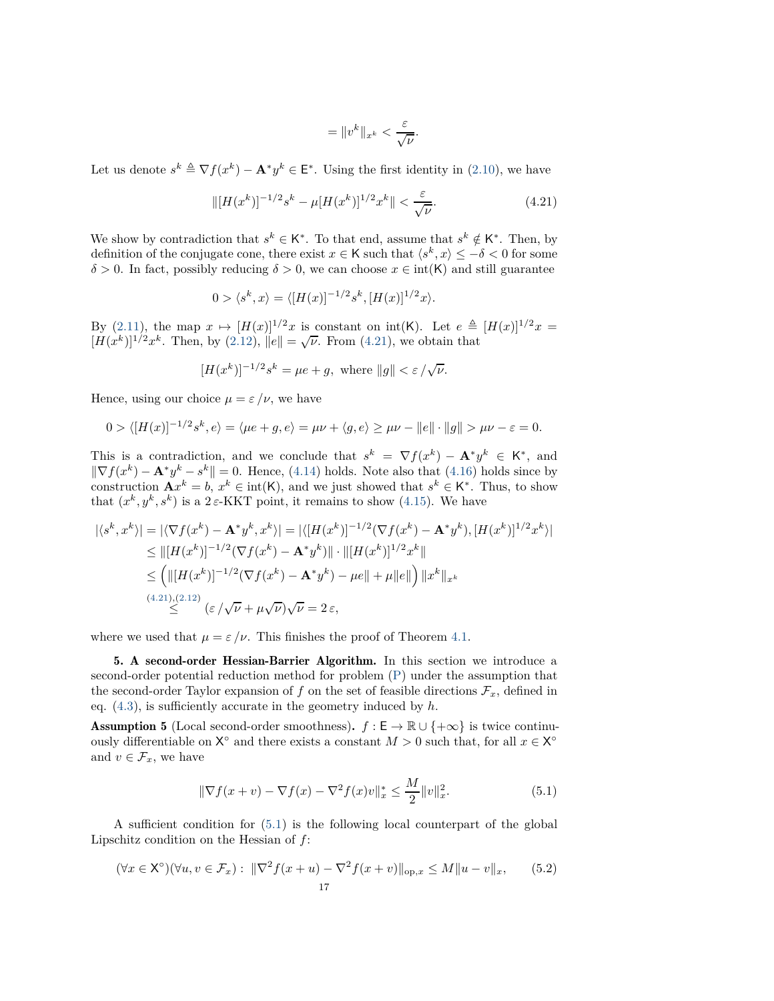$$
= \|v^k\|_{x^k} < \frac{\varepsilon}{\sqrt{\nu}}.
$$

Let us denote  $s^k \triangleq \nabla f(x^k) - \mathbf{A}^* y^k \in \mathsf{E}^*$ . Using the first identity in [\(2.10\)](#page-5-1), we have

<span id="page-16-2"></span>
$$
\| [H(x^k)]^{-1/2} s^k - \mu [H(x^k)]^{1/2} x^k \| < \frac{\varepsilon}{\sqrt{\nu}}.\tag{4.21}
$$

We show by contradiction that  $s^k \in K^*$ . To that end, assume that  $s^k \notin K^*$ . Then, by definition of the conjugate cone, there exist  $x \in K$  such that  $\langle s^k, x \rangle \leq -\delta < 0$  for some  $\delta$  > 0. In fact, possibly reducing  $\delta$  > 0, we can choose  $x \in \text{int(K)}$  and still guarantee

$$
0 > \langle s^k, x \rangle = \langle [H(x)]^{-1/2} s^k, [H(x)]^{1/2} x \rangle.
$$

By [\(2.11\)](#page-5-8), the map  $x \mapsto [H(x)]^{1/2}x$  is constant on int(K). Let  $e \triangleq [H(x)]^{1/2}x =$  $[\check{H}(x^k)]^{1/2}x^k$ . Then, by [\(2.12\)](#page-5-3),  $||e|| = \sqrt{\nu}$ . From [\(4.21\)](#page-16-2), we obtain that

$$
[H(x^k)]^{-1/2}s^k=\mu e+g, \text{ where } \|g\|<\varepsilon\,/\sqrt{\nu}.
$$

Hence, using our choice  $\mu = \varepsilon / \nu$ , we have

$$
0 > \langle [H(x)]^{-1/2} s^k, e \rangle = \langle \mu e + g, e \rangle = \mu \nu + \langle g, e \rangle \ge \mu \nu - \|e\| \cdot \|g\| > \mu \nu - \varepsilon = 0.
$$

This is a contradiction, and we conclude that  $s^k = \nabla f(x^k) - \mathbf{A}^* y^k \in \mathsf{K}^*$ , and  $\|\nabla f(x^k) - \mathbf{A}^* y^k - s^k\| = 0$ . Hence, [\(4.14\)](#page-13-0) holds. Note also that [\(4.16\)](#page-13-1) holds since by construction  $\mathbf{A}x^k = b$ ,  $x^k \in \text{int}(\mathsf{K})$ , and we just showed that  $s^k \in \mathsf{K}^*$ . Thus, to show that  $(x^k, y^k, s^k)$  is a  $2 \varepsilon$ -KKT point, it remains to show [\(4.15\)](#page-13-2). We have

$$
|\langle s^k, x^k \rangle| = |\langle \nabla f(x^k) - \mathbf{A}^* y^k, x^k \rangle| = |\langle [H(x^k)]^{-1/2} (\nabla f(x^k) - \mathbf{A}^* y^k), [H(x^k)]^{1/2} x^k \rangle|
$$
  
\n
$$
\leq ||[H(x^k)]^{-1/2} (\nabla f(x^k) - \mathbf{A}^* y^k) || \cdot ||[H(x^k)]^{1/2} x^k ||
$$
  
\n
$$
\leq \left( ||[H(x^k)]^{-1/2} (\nabla f(x^k) - \mathbf{A}^* y^k) - \mu e|| + \mu ||e|| \right) ||x^k||_{x^k}
$$
  
\n(4.21),(2.12)  
\n
$$
\leq (\sqrt{\nu} + \mu \sqrt{\nu}) \sqrt{\nu} = 2 \varepsilon,
$$

<span id="page-16-1"></span>where we used that  $\mu = \varepsilon / \nu$ . This finishes the proof of Theorem [4.1.](#page-12-1)

5. A second-order Hessian-Barrier Algorithm. In this section we introduce a second-order potential reduction method for problem [\(P\)](#page-0-0) under the assumption that the second-order Taylor expansion of  $f$  on the set of feasible directions  $\mathcal{F}_x$ , defined in eq. [\(4.3\)](#page-10-5), is sufficiently accurate in the geometry induced by *h*.

<span id="page-16-0"></span>**Assumption 5** (Local second-order smoothness).  $f : E \to \mathbb{R} \cup \{+\infty\}$  is twice continuously differentiable on  $X^{\circ}$  and there exists a constant  $M > 0$  such that, for all  $x \in X^{\circ}$ and  $v \in \mathcal{F}_x$ , we have

<span id="page-16-3"></span>
$$
\|\nabla f(x+v) - \nabla f(x) - \nabla^2 f(x)v\|_{x}^* \le \frac{M}{2} \|v\|_{x}^2.
$$
 (5.1)

A sufficient condition for [\(5.1\)](#page-16-3) is the following local counterpart of the global Lipschitz condition on the Hessian of *f*:

$$
(\forall x \in \mathsf{X}^{\circ})(\forall u, v \in \mathcal{F}_x): \|\nabla^2 f(x+u) - \nabla^2 f(x+v)\|_{\text{op},x} \le M \|u-v\|_x,\qquad(5.2)
$$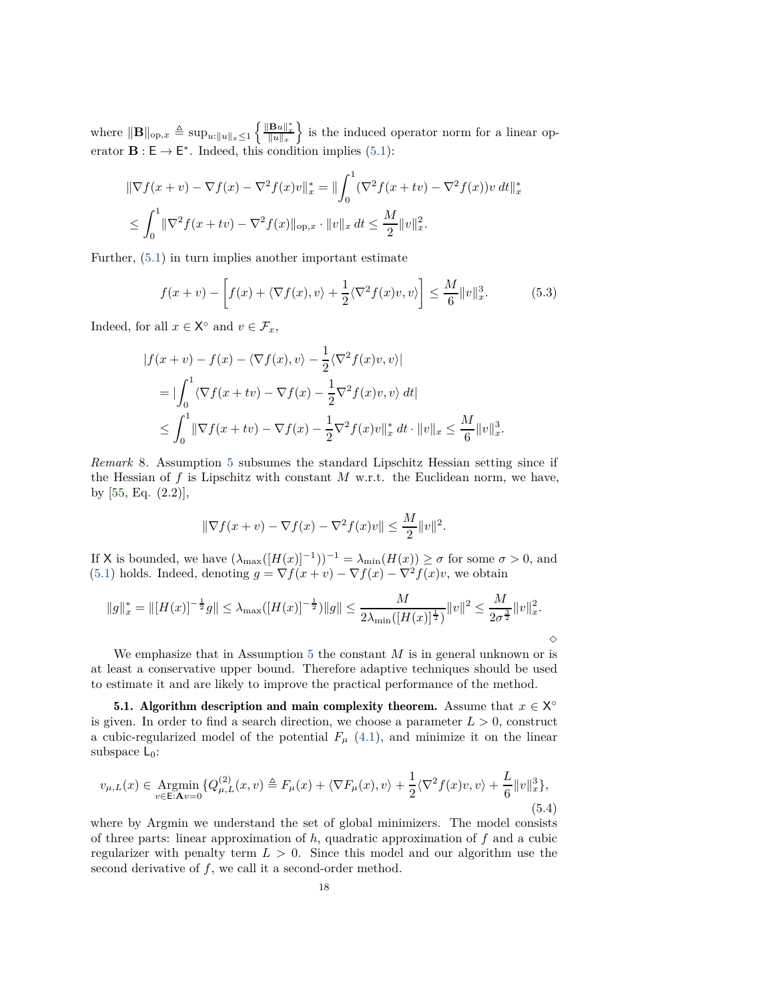where  $\|\mathbf{B}\|_{\text{op},x} \triangleq \sup_{u:\|u\|_{x} \leq 1} \left\{ \frac{\|\mathbf{B}u\|_{x}^{*}}{\|u\|_{x}} \right\}$ o is the induced operator norm for a linear operator  $\mathbf{B} : \mathsf{E} \to \mathsf{E}^*$ . Indeed, this condition implies [\(5.1\)](#page-16-3):

$$
\|\nabla f(x+v) - \nabla f(x) - \nabla^2 f(x)v\|_{x}^{*} = \|\int_0^1 (\nabla^2 f(x+tv) - \nabla^2 f(x))v \, dt\|_{x}^{*}
$$
  

$$
\leq \int_0^1 \|\nabla^2 f(x+tv) - \nabla^2 f(x)\|_{\text{op},x} \cdot \|v\|_{x} \, dt \leq \frac{M}{2} \|v\|_{x}^2.
$$

Further, [\(5.1\)](#page-16-3) in turn implies another important estimate

<span id="page-17-1"></span>
$$
f(x+v) - \left[f(x) + \langle \nabla f(x), v \rangle + \frac{1}{2} \langle \nabla^2 f(x)v, v \rangle \right] \le \frac{M}{6} ||v||_x^3.
$$
 (5.3)

Indeed, for all  $x \in \mathsf{X}^{\circ}$  and  $v \in \mathcal{F}_x$ ,

$$
|f(x+v) - f(x) - \langle \nabla f(x), v \rangle| = \frac{1}{2} \langle \nabla^2 f(x)v, v \rangle|
$$
  
=  $|\int_0^1 \langle \nabla f(x+tv) - \nabla f(x) - \frac{1}{2} \nabla^2 f(x)v, v \rangle dt|$   
 $\leq \int_0^1 \|\nabla f(x+tv) - \nabla f(x) - \frac{1}{2} \nabla^2 f(x)v\|_x^* dt \cdot \|v\|_x \leq \frac{M}{6} \|v\|_x^3.$ 

*Remark* 8*.* Assumption [5](#page-16-0) subsumes the standard Lipschitz Hessian setting since if the Hessian of  $f$  is Lipschitz with constant  $M$  w.r.t. the Euclidean norm, we have, by [\[55,](#page-28-6) Eq. (2.2)],

$$
\|\nabla f(x+v) - \nabla f(x) - \nabla^2 f(x)v\| \le \frac{M}{2} \|v\|^2.
$$

If X is bounded, we have  $(\lambda_{\max}([H(x)]^{-1}))^{-1} = \lambda_{\min}(H(x)) \ge \sigma$  for some  $\sigma > 0$ , and [\(5.1\)](#page-16-3) holds. Indeed, denoting  $g = \nabla f(x+v) - \nabla f(x) - \nabla^2 f(x)v$ , we obtain

$$
||g||_{x}^{*} = ||[H(x)]^{-\frac{1}{2}}g|| \leq \lambda_{\max}([H(x)]^{-\frac{1}{2}})||g|| \leq \frac{M}{2\lambda_{\min}([H(x)]^{\frac{1}{2}})}||v||^{2} \leq \frac{M}{2\sigma^{\frac{3}{2}}}||v||_{x}^{2}.
$$

 $\Diamond$ 

We emphasize that in Assumption [5](#page-16-0) the constant *M* is in general unknown or is at least a conservative upper bound. Therefore adaptive techniques should be used to estimate it and are likely to improve the practical performance of the method.

<span id="page-17-2"></span>**5.1.** Algorithm description and main complexity theorem. Assume that  $x \in X^{\circ}$ is given. In order to find a search direction, we choose a parameter  $L > 0$ , construct a cubic-regularized model of the potential  $F_\mu$  [\(4.1\)](#page-10-4), and minimize it on the linear subspace  $L_0$ :

<span id="page-17-0"></span>
$$
v_{\mu,L}(x) \in \underset{v \in \mathcal{E}: \mathbf{A}v = 0}{\text{Argmin}} \{ Q_{\mu,L}^{(2)}(x,v) \triangleq F_{\mu}(x) + \langle \nabla F_{\mu}(x), v \rangle + \frac{1}{2} \langle \nabla^2 f(x)v, v \rangle + \frac{L}{6} ||v||_x^3 \},\tag{5.4}
$$

where by Argmin we understand the set of global minimizers. The model consists of three parts: linear approximation of *h*, quadratic approximation of *f* and a cubic regularizer with penalty term  $L > 0$ . Since this model and our algorithm use the second derivative of *f*, we call it a second-order method.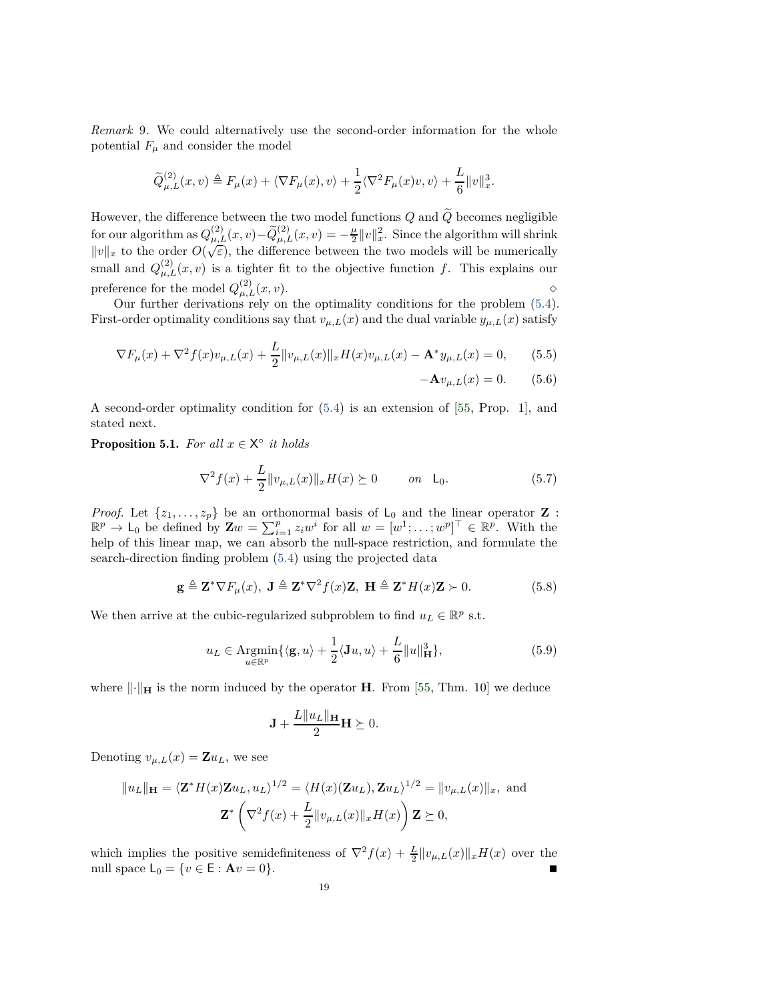*Remark* 9*.* We could alternatively use the second-order information for the whole potential  $F_\mu$  and consider the model

$$
\widetilde{Q}_{\mu,L}^{(2)}(x,v) \triangleq F_{\mu}(x) + \langle \nabla F_{\mu}(x), v \rangle + \frac{1}{2} \langle \nabla^2 F_{\mu}(x)v, v \rangle + \frac{L}{6} ||v||_x^3.
$$

However, the difference between the two model functions  $Q$  and  $\widetilde{Q}$  becomes negligible for our algorithm as  $Q_{\mu,L}^{(2)}(x,v) - \widetilde{Q}_{\mu,L}^{(2)}(x,v) = -\frac{\mu}{2} ||v||_x^2$ . Since the algorithm will shrink  $||v||_x$  to the order  $O(\sqrt{\varepsilon})$ , the difference between the two models will be numerically small and  $Q_{\mu,L}^{(2)}(x,v)$  is a tighter fit to the objective function f. This explains our preference for the model  $Q_{\mu,L}^{(2)}(x,v)$ .

Our further derivations rely on the optimality conditions for the problem [\(5.4\)](#page-17-0). First-order optimality conditions say that  $v_{\mu,L}(x)$  and the dual variable  $y_{\mu,L}(x)$  satisfy

$$
\nabla F_{\mu}(x) + \nabla^2 f(x)v_{\mu,L}(x) + \frac{L}{2} ||v_{\mu,L}(x)||_{x} H(x)v_{\mu,L}(x) - \mathbf{A}^* y_{\mu,L}(x) = 0, \qquad (5.5)
$$

<span id="page-18-4"></span><span id="page-18-2"></span>
$$
-\mathbf{A}v_{\mu,L}(x) = 0. \qquad (5.6)
$$

A second-order optimality condition for [\(5.4\)](#page-17-0) is an extension of [\[55,](#page-28-6) Prop. 1], and stated next.

**Proposition 5.1.** *For all*  $x \in X^{\circ}$  *it holds* 

<span id="page-18-3"></span>
$$
\nabla^2 f(x) + \frac{L}{2} \|v_{\mu,L}(x)\|_{x} H(x) \succeq 0 \qquad on \quad \mathsf{L}_0. \tag{5.7}
$$

*Proof.* Let  $\{z_1, ..., z_p\}$  be an orthonormal basis of  $L_0$  and the linear operator **Z**:<br> $\mathbb{R}^p \to L_0$  be defined by  $\mathbf{Z}w = \sum_{i=1}^p z_i w^i$  for all  $w = [w^1; \dots; w^p]^\top \in \mathbb{R}^p$ . With the help of this linear map, we can absorb the null-space restriction, and formulate the search-direction finding problem [\(5.4\)](#page-17-0) using the projected data

<span id="page-18-0"></span>
$$
\mathbf{g} \triangleq \mathbf{Z}^* \nabla F_{\mu}(x), \ \mathbf{J} \triangleq \mathbf{Z}^* \nabla^2 f(x) \mathbf{Z}, \ \mathbf{H} \triangleq \mathbf{Z}^* H(x) \mathbf{Z} \succ 0. \tag{5.8}
$$

We then arrive at the cubic-regularized subproblem to find  $u_L \in \mathbb{R}^p$  s.t.

<span id="page-18-1"></span>
$$
u_L \in \underset{u \in \mathbb{R}^p}{\text{Argmin}} \{ \langle \mathbf{g}, u \rangle + \frac{1}{2} \langle \mathbf{J}u, u \rangle + \frac{L}{6} ||u||^3_{\mathbf{H}} \},\tag{5.9}
$$

where  $\lVert \cdot \rVert_{\mathbf{H}}$  is the norm induced by the operator **H**. From [\[55,](#page-28-6) Thm. 10] we deduce

$$
\mathbf{J} + \frac{L||u_L||_{\mathbf{H}}}{2} \mathbf{H} \succeq 0.
$$

Denoting  $v_{\mu,L}(x) = \mathbf{Z} u_L$ , we see

$$
||u_L||_{\mathbf{H}} = \langle \mathbf{Z}^* H(x) \mathbf{Z} u_L, u_L \rangle^{1/2} = \langle H(x) (\mathbf{Z} u_L), \mathbf{Z} u_L \rangle^{1/2} = ||v_{\mu, L}(x)||_x, \text{ and}
$$

$$
\mathbf{Z}^* \left( \nabla^2 f(x) + \frac{L}{2} ||v_{\mu, L}(x)||_x H(x) \right) \mathbf{Z} \succeq 0,
$$

which implies the positive semidefiniteness of  $\nabla^2 f(x) + \frac{L}{2} ||v_{\mu,L}(x)||_x H(x)$  over the null space  $L_0 = \{ v \in E : A v = 0 \}.$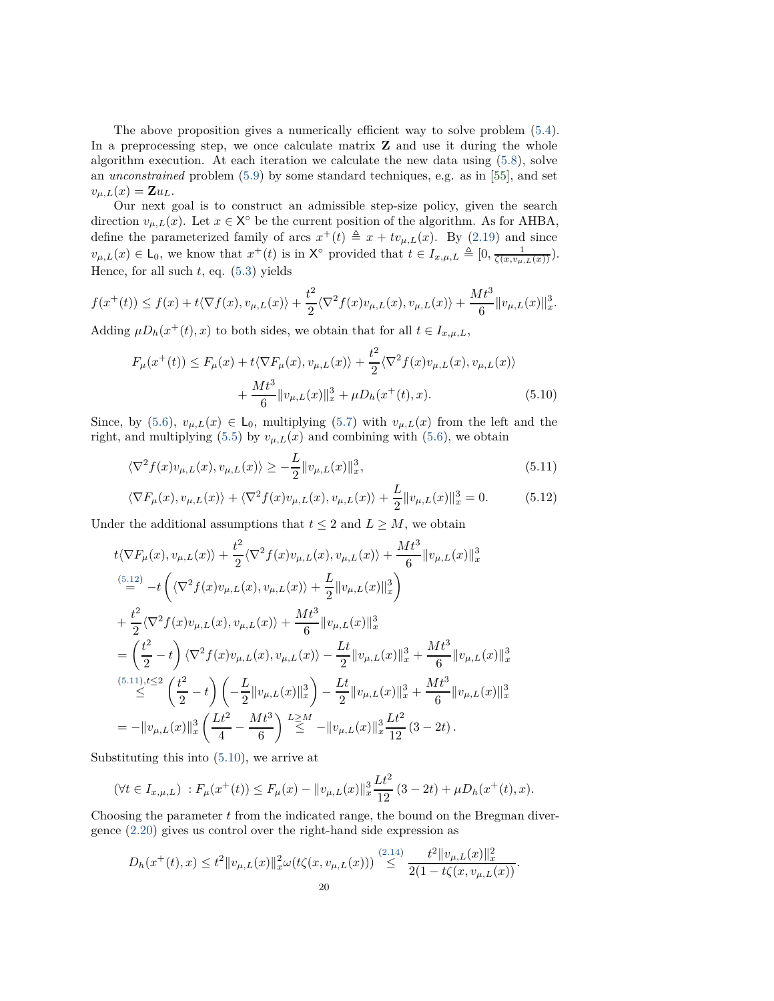The above proposition gives a numerically efficient way to solve problem [\(5.4\)](#page-17-0). In a preprocessing step, we once calculate matrix **Z** and use it during the whole algorithm execution. At each iteration we calculate the new data using [\(5.8\)](#page-18-0), solve an *unconstrained* problem [\(5.9\)](#page-18-1) by some standard techniques, e.g. as in [\[55\]](#page-28-6), and set  $v_{\mu,L}(x) = \mathbf{Z} u_L.$ 

Our next goal is to construct an admissible step-size policy, given the search direction  $v_{\mu,L}(x)$ . Let  $x \in X^{\circ}$  be the current position of the algorithm. As for AHBA, define the parameterized family of arcs  $x^+(t) \triangleq x + tv_{\mu,L}(x)$ . By [\(2.19\)](#page-6-3) and since  $v_{\mu,L}(x) \in \mathsf{L}_0$ , we know that  $x^+(t)$  is in  $\mathsf{X}^\circ$  provided that  $t \in I_{x,\mu,L} \triangleq [0, \frac{1}{\zeta(x,v_{\mu,L}(x))})$ . Hence, for all such *t*, eq. [\(5.3\)](#page-17-1) yields

$$
f(x^+(t)) \le f(x) + t \langle \nabla f(x), v_{\mu,L}(x) \rangle + \frac{t^2}{2} \langle \nabla^2 f(x) v_{\mu,L}(x), v_{\mu,L}(x) \rangle + \frac{Mt^3}{6} ||v_{\mu,L}(x)||_x^3.
$$

Adding  $\mu D_h(x^+(t), x)$  to both sides, we obtain that for all  $t \in I_{x,\mu,L}$ ,

<span id="page-19-2"></span>
$$
F_{\mu}(x^{+}(t)) \le F_{\mu}(x) + t\langle \nabla F_{\mu}(x), v_{\mu, L}(x) \rangle + \frac{t^{2}}{2} \langle \nabla^{2} f(x)v_{\mu, L}(x), v_{\mu, L}(x) \rangle + \frac{Mt^{3}}{6} ||v_{\mu, L}(x)||_{x}^{3} + \mu D_{h}(x^{+}(t), x).
$$
 (5.10)

Since, by [\(5.6\)](#page-18-2),  $v_{\mu,L}(x) \in \mathsf{L}_0$ , multiplying [\(5.7\)](#page-18-3) with  $v_{\mu,L}(x)$  from the left and the right, and multiplying [\(5.5\)](#page-18-4) by  $v_{\mu,L}(x)$  and combining with [\(5.6\)](#page-18-2), we obtain

$$
\langle \nabla^2 f(x) v_{\mu, L}(x), v_{\mu, L}(x) \rangle \ge -\frac{L}{2} \| v_{\mu, L}(x) \|_{x}^3,
$$
\n(5.11)

<span id="page-19-1"></span><span id="page-19-0"></span>
$$
\langle \nabla F_{\mu}(x), v_{\mu,L}(x) \rangle + \langle \nabla^2 f(x) v_{\mu,L}(x), v_{\mu,L}(x) \rangle + \frac{L}{2} ||v_{\mu,L}(x)||_x^3 = 0. \tag{5.12}
$$

Under the additional assumptions that  $t \leq 2$  and  $L \geq M$ , we obtain

$$
t\langle \nabla F_{\mu}(x), v_{\mu,L}(x) \rangle + \frac{t^2}{2} \langle \nabla^2 f(x) v_{\mu,L}(x), v_{\mu,L}(x) \rangle + \frac{Mt^3}{6} ||v_{\mu,L}(x)||_x^3
$$
  
\n
$$
= -t \left( \langle \nabla^2 f(x) v_{\mu,L}(x), v_{\mu,L}(x) \rangle + \frac{L}{2} ||v_{\mu,L}(x)||_x^3 \right)
$$
  
\n
$$
+ \frac{t^2}{2} \langle \nabla^2 f(x) v_{\mu,L}(x), v_{\mu,L}(x) \rangle + \frac{Mt^3}{6} ||v_{\mu,L}(x)||_x^3
$$
  
\n
$$
= \left( \frac{t^2}{2} - t \right) \langle \nabla^2 f(x) v_{\mu,L}(x), v_{\mu,L}(x) \rangle - \frac{Lt}{2} ||v_{\mu,L}(x)||_x^3 + \frac{Mt^3}{6} ||v_{\mu,L}(x)||_x^3
$$
  
\n
$$
\leq \left( \frac{t^2}{2} - t \right) \left( -\frac{L}{2} ||v_{\mu,L}(x)||_x^3 \right) - \frac{Lt}{2} ||v_{\mu,L}(x)||_x^3 + \frac{Mt^3}{6} ||v_{\mu,L}(x)||_x^3
$$
  
\n
$$
= -||v_{\mu,L}(x)||_x^3 \left( \frac{Lt^2}{4} - \frac{Mt^3}{6} \right)^{L \geq M} - ||v_{\mu,L}(x)||_x^3 \frac{Lt^2}{12} (3 - 2t).
$$

Substituting this into [\(5.10\)](#page-19-2), we arrive at

$$
(\forall t \in I_{x,\mu,L}) : F_{\mu}(x^+(t)) \le F_{\mu}(x) - ||v_{\mu,L}(x)||_x^3 \frac{Lt^2}{12} (3 - 2t) + \mu D_h(x^+(t), x).
$$

Choosing the parameter *t* from the indicated range, the bound on the Bregman divergence [\(2.20\)](#page-6-4) gives us control over the right-hand side expression as

$$
D_h(x^+(t),x) \le t^2 \|v_{\mu,L}(x)\|_{x}^2 \omega(t\zeta(x,v_{\mu,L}(x))) \stackrel{(2.14)}{\le} \frac{t^2 \|v_{\mu,L}(x)\|_{x}^2}{2(1-t\zeta(x,v_{\mu,L}(x)))}.
$$
  
20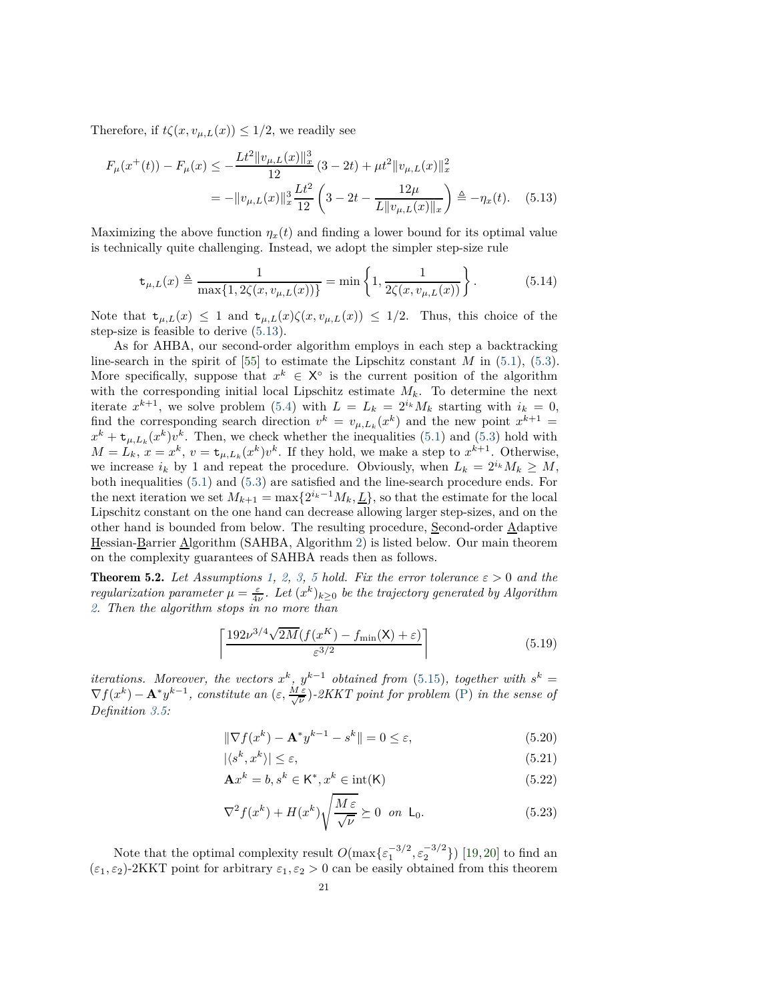Therefore, if  $t\zeta(x, v_{\mu,L}(x)) \leq 1/2$ , we readily see

$$
F_{\mu}(x^{+}(t)) - F_{\mu}(x) \le -\frac{Lt^{2}||v_{\mu,L}(x)||_{x}^{3}}{12} (3 - 2t) + \mu t^{2}||v_{\mu,L}(x)||_{x}^{2}
$$
  
= 
$$
-||v_{\mu,L}(x)||_{x}^{3} \frac{Lt^{2}}{12} \left(3 - 2t - \frac{12\mu}{L||v_{\mu,L}(x)||_{x}}\right) \triangleq -\eta_{x}(t). \quad (5.13)
$$

Maximizing the above function  $\eta_x(t)$  and finding a lower bound for its optimal value is technically quite challenging. Instead, we adopt the simpler step-size rule

<span id="page-20-2"></span><span id="page-20-1"></span>
$$
\mathbf{t}_{\mu,L}(x) \triangleq \frac{1}{\max\{1, 2\zeta(x, v_{\mu,L}(x))\}} = \min\left\{1, \frac{1}{2\zeta(x, v_{\mu,L}(x))}\right\}.
$$
 (5.14)

Note that  $t_{\mu,L}(x) \leq 1$  and  $t_{\mu,L}(x)\zeta(x,v_{\mu,L}(x)) \leq 1/2$ . Thus, this choice of the step-size is feasible to derive [\(5.13\)](#page-20-1).

As for AHBA, our second-order algorithm employs in each step a backtracking line-search in the spirit of [\[55\]](#page-28-6) to estimate the Lipschitz constant *M* in [\(5.1\)](#page-16-3), [\(5.3\)](#page-17-1). More specifically, suppose that  $x^k \in X^{\circ}$  is the current position of the algorithm with the corresponding initial local Lipschitz estimate  $M_k$ . To determine the next iterate  $x^{k+1}$ , we solve problem [\(5.4\)](#page-17-0) with  $L = L_k = 2^{i_k} M_k$  starting with  $i_k = 0$ , find the corresponding search direction  $v^k = v_{\mu, L_k}(x^k)$  and the new point  $x^{k+1} =$  $x^k + \mathbf{t}_{\mu, L_k}(x^k)v^k$ . Then, we check whether the inequalities [\(5.1\)](#page-16-3) and [\(5.3\)](#page-17-1) hold with  $M = L_k$ ,  $x = x^k$ ,  $v = \mathbf{t}_{\mu, L_k}(x^k)v^k$ . If they hold, we make a step to  $x^{k+1}$ . Otherwise, we increase  $i_k$  by 1 and repeat the procedure. Obviously, when  $L_k = 2^{i_k} M_k \geq M$ , both inequalities [\(5.1\)](#page-16-3) and [\(5.3\)](#page-17-1) are satisfied and the line-search procedure ends. For the next iteration we set  $M_{k+1} = \max\{2^{i_k-1}M_k, \underline{L}\}\)$ , so that the estimate for the local Lipschitz constant on the one hand can decrease allowing larger step-sizes, and on the other hand is bounded from below. The resulting procedure, Second-order  $\underline{A}$ daptive Hessian-Barrier Algorithm (SAHBA, Algorithm [2\)](#page-21-0) is listed below. Our main theorem on the complexity guarantees of SAHBA reads then as follows.

<span id="page-20-0"></span>**Theorem [5](#page-16-0).2.** Let Assumptions [1,](#page-0-2) [2,](#page-6-6) [3,](#page-6-7) 5 hold. Fix the error tolerance  $\varepsilon > 0$  and the *regularization parameter*  $\mu = \frac{\varepsilon}{4\nu}$ . Let  $(x^k)_{k\geq 0}$  be the trajectory generated by Algorithm *[2.](#page-21-0) Then the algorithm stops in no more than*

$$
\left\lceil \frac{192\nu^{3/4}\sqrt{2M}(f(x^K) - f_{\min}(\mathsf{X}) + \varepsilon)}{\varepsilon^{3/2}} \right\rceil \tag{5.19}
$$

*iterations.* Moreover, the vectors  $x^k$ ,  $y^{k-1}$  obtained from [\(5.15\)](#page-21-1), together with  $s^k =$  $\nabla f(x^k) - \mathbf{A}^* y^{k-1}$ , constitute an  $(\varepsilon, \frac{M \varepsilon}{\sqrt{\nu}})$ -2KKT point for problem [\(P\)](#page-0-0) in the sense of *Definition [3.5:](#page-9-2)*

$$
\|\nabla f(x^k) - \mathbf{A}^* y^{k-1} - s^k\| = 0 \le \varepsilon,
$$
\n(5.20)

<span id="page-20-5"></span><span id="page-20-4"></span><span id="page-20-3"></span>
$$
|\langle s^k, x^k \rangle| \le \varepsilon,\tag{5.21}
$$

$$
\mathbf{A}x^k = b, s^k \in \mathsf{K}^*, x^k \in \text{int}(\mathsf{K})
$$
\n(5.22)

<span id="page-20-6"></span>
$$
\nabla^2 f(x^k) + H(x^k) \sqrt{\frac{M \varepsilon}{\sqrt{\nu}}} \succeq 0 \quad \text{on } \quad \mathsf{L}_0. \tag{5.23}
$$

Note that the optimal complexity result  $O(\max{\{\varepsilon_1^{-3/2}, \varepsilon_2^{-3/2}\}})$  [\[19,](#page-27-3)[20\]](#page-27-4) to find an  $(\varepsilon_1, \varepsilon_2)$ -2KKT point for arbitrary  $\varepsilon_1, \varepsilon_2 > 0$  can be easily obtained from this theorem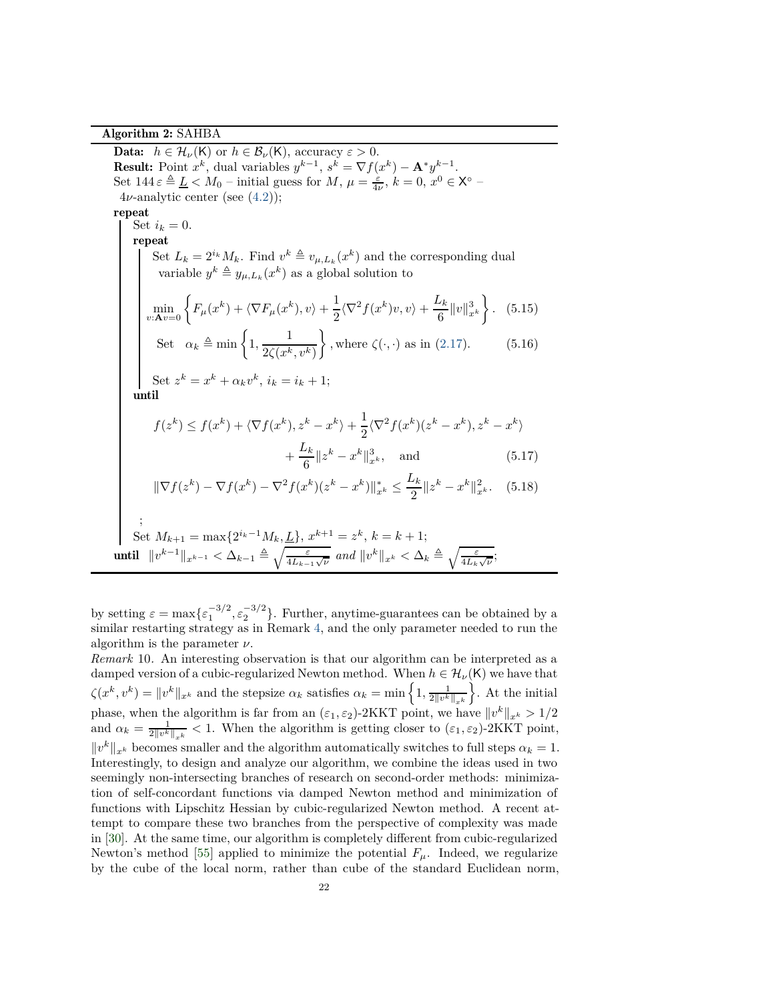Algorithm 2: SAHBA

<span id="page-21-0"></span>**Data:**  $h \in \mathcal{H}_{\nu}(\mathsf{K})$  or  $h \in \mathcal{B}_{\nu}(\mathsf{K})$ , accuracy  $\varepsilon > 0$ . **Result:** Point  $x^k$ , dual variables  $y^{k-1}$ ,  $s^k = \nabla f(x^k) - \mathbf{A}^* y^{k-1}$ . Set  $144 \varepsilon \triangleq \underline{L} < M_0$  – initial guess for  $M$ ,  $\mu = \frac{\varepsilon}{4\nu}$ ,  $k = 0$ ,  $x^0 \in X^\circ$  –  $4\nu$ -analytic center (see  $(4.2)$ ); repeat Set  $i_k = 0$ . repeat Set  $L_k = 2^{i_k} M_k$ . Find  $v^k \triangleq v_{\mu, L_k}(x^k)$  and the corresponding dual variable  $y^k \triangleq y_{\mu,L_k}(x^k)$  as a global solution to  $\min_{v: \mathbf{A}v=0} \left\{ F_{\mu}(x^k) + \langle \nabla F_{\mu}(x^k), v \rangle + \frac{1}{2} \right\}$  $\frac{1}{2}\langle \nabla^2 f(x^k)v, v\rangle + \frac{L_k}{6}$  $\frac{d}{6} \|v\|_{x^k}^3$  $\mathcal{L}$ *.* (5.15) Set  $\alpha_k \triangleq \min\left\{1, \frac{1}{\alpha \epsilon (k)}\right\}$ 2 $\zeta(x^k, v^k)$  $\mathcal{L}$ *,* where  $\zeta(\cdot, \cdot)$  as in [\(2.17\)](#page-6-2). (5.16) Set  $z^k = x^k + \alpha_k v^k$ ,  $i_k = i_k + 1$ ; until  $f(z^k) \leq f(x^k) + \langle \nabla f(x^k), z^k - x^k \rangle + \frac{1}{2}$  $\frac{1}{2}\langle \nabla^2 f(x^k)(z^k - x^k), z^k - x^k \rangle$  $+\frac{L_k}{c}$  $\frac{x}{6} \|z^k - x^k\|_{x^k}^3$ , and (5.17)

<span id="page-21-4"></span><span id="page-21-3"></span><span id="page-21-2"></span><span id="page-21-1"></span>
$$
\|\nabla f(z^k) - \nabla f(x^k) - \nabla^2 f(x^k)(z^k - x^k)\|_{x^k}^* \le \frac{L_k}{2} \|z^k - x^k\|_{x^k}^2. \tag{5.18}
$$

$$
\begin{aligned}\n\vdots \\
\text{Set } M_{k+1} &= \max\{2^{i_k-1}M_k, \underline{L}\}, \, x^{k+1} = z^k, \, k = k+1; \\
\text{until } & \|v^{k-1}\|_{x^{k-1}} < \Delta_{k-1} \triangleq \sqrt{\frac{\varepsilon}{4L_{k-1}\sqrt{\nu}}} \text{ and } \|v^k\|_{x^k} < \Delta_k \triangleq \sqrt{\frac{\varepsilon}{4L_k\sqrt{\nu}}};\n\end{aligned}
$$

by setting  $\varepsilon = \max{\{\varepsilon_1^{-3/2}, \varepsilon_2^{-3/2}\}}$ . Further, anytime-guarantees can be obtained by a similar restarting strategy as in Remark [4,](#page-13-3) and the only parameter needed to run the algorithm is the parameter *ν*.

*Remark* 10*.* An interesting observation is that our algorithm can be interpreted as a damped version of a cubic-regularized Newton method. When  $h \in \mathcal{H}_{\nu}(\mathsf{K})$  we have that  $\zeta(x^k, v^k) = \|v^k\|_{x^k}$  and the stepsize  $\alpha_k$  satisfies  $\alpha_k = \min\left\{1, \frac{1}{2\|v^k\|_{x^k}}\right\}$  $\bigg\}$ . At the initial phase, when the algorithm is far from an  $(\varepsilon_1, \varepsilon_2)$ -2KKT point, we have  $||v^k||_{x^k} > 1/2$ and  $\alpha_k = \frac{1}{2\|v^k\|_{x^k}} < 1$ . When the algorithm is getting closer to  $(\varepsilon_1, \varepsilon_2)$ -2KKT point,  $||v^k||_{x^k}$  becomes smaller and the algorithm automatically switches to full steps  $\alpha_k = 1$ . Interestingly, to design and analyze our algorithm, we combine the ideas used in two seemingly non-intersecting branches of research on second-order methods: minimization of self-concordant functions via damped Newton method and minimization of functions with Lipschitz Hessian by cubic-regularized Newton method. A recent attempt to compare these two branches from the perspective of complexity was made in [\[30\]](#page-27-21). At the same time, our algorithm is completely different from cubic-regularized Newton's method [\[55\]](#page-28-6) applied to minimize the potential  $F_\mu$ . Indeed, we regularize by the cube of the local norm, rather than cube of the standard Euclidean norm,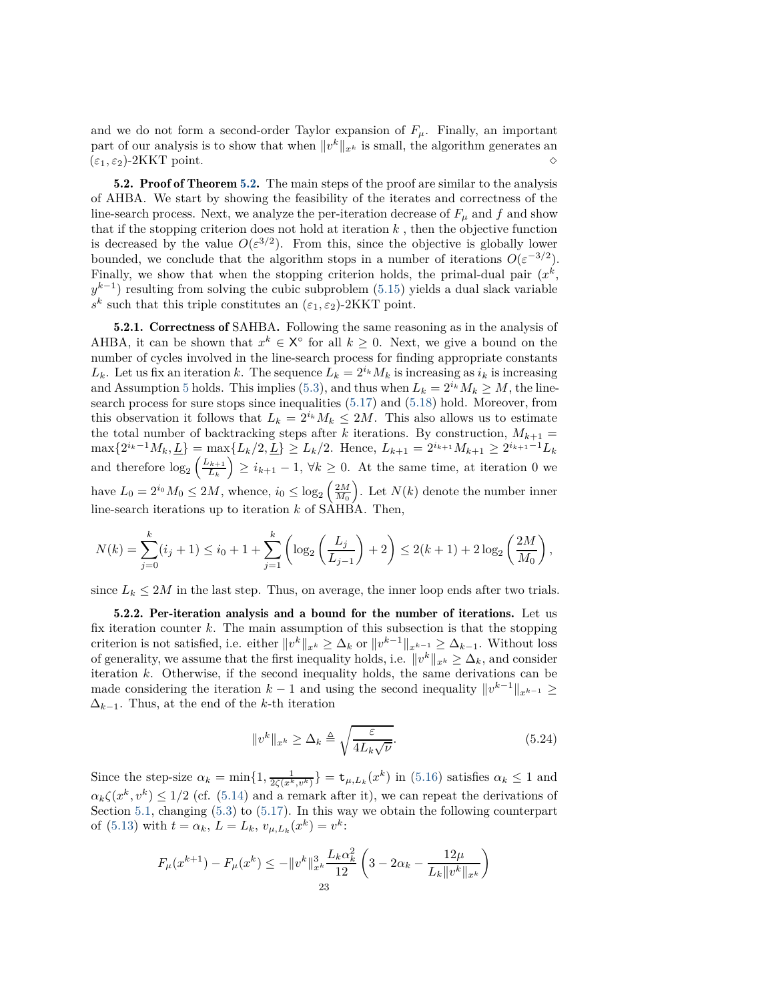and we do not form a second-order Taylor expansion of  $F_\mu$ . Finally, an important part of our analysis is to show that when  $||v^k||_{x^k}$  is small, the algorithm generates an  $(\varepsilon_1, \varepsilon_2)$ -2KKT point.  $\diamond$ 

[5.2.](#page-20-0) Proof of Theorem 5.2. The main steps of the proof are similar to the analysis of AHBA. We start by showing the feasibility of the iterates and correctness of the line-search process. Next, we analyze the per-iteration decrease of  $F_\mu$  and  $f$  and show that if the stopping criterion does not hold at iteration  $k$ , then the objective function is decreased by the value  $O(\varepsilon^{3/2})$ . From this, since the objective is globally lower bounded, we conclude that the algorithm stops in a number of iterations  $O(\varepsilon^{-3/2})$ . Finally, we show that when the stopping criterion holds, the primal-dual pair  $(x^k,$  $y^{k-1}$ ) resulting from solving the cubic subproblem [\(5.15\)](#page-21-1) yields a dual slack variable  $s^k$  such that this triple constitutes an  $(\varepsilon_1, \varepsilon_2)$ -2KKT point.

5.2.1. Correctness of SAHBA. Following the same reasoning as in the analysis of AHBA, it can be shown that  $x^k \in X^{\circ}$  for all  $k \geq 0$ . Next, we give a bound on the number of cycles involved in the line-search process for finding appropriate constants *L*<sub>*k*</sub>. Let us fix an iteration *k*. The sequence  $L_k = 2^{i_k} M_k$  is increasing as  $i_k$  is increasing and Assumption [5](#page-16-0) holds. This implies [\(5.3\)](#page-17-1), and thus when  $L_k = 2^{i_k} M_k \ge M$ , the linesearch process for sure stops since inequalities [\(5.17\)](#page-21-2) and [\(5.18\)](#page-21-3) hold. Moreover, from this observation it follows that  $L_k = 2^{i_k} M_k \leq 2M$ . This also allows us to estimate the total number of backtracking steps after *k* iterations. By construction,  $M_{k+1}$  =  $\max\{2^{i_k-1}M_k,\underline{L}\} = \max\{L_k/2,\underline{L}\} \ge L_k/2.$  Hence,  $L_{k+1} = 2^{i_{k+1}}M_{k+1} \ge 2^{i_{k+1}-1}L_k$ and therefore  $\log_2\left(\frac{L_{k+1}}{L_k}\right)$ *L<sup>k</sup>*  $\left(\sum_{k=1}^{n}$  = 1,  $\forall k \geq 0$ . At the same time, at iteration 0 we have  $L_0 = 2^{i_0} M_0 \le 2M$ , whence,  $i_0 \le \log_2 \left(\frac{2M}{M_0}\right)$ ). Let  $N(k)$  denote the number inner line-search iterations up to iteration *k* of SAHBA. Then,

$$
N(k) = \sum_{j=0}^{k} (i_j + 1) \le i_0 + 1 + \sum_{j=1}^{k} \left( \log_2 \left( \frac{L_j}{L_{j-1}} \right) + 2 \right) \le 2(k+1) + 2 \log_2 \left( \frac{2M}{M_0} \right),
$$

since  $L_k \leq 2M$  in the last step. Thus, on average, the inner loop ends after two trials.

5.2.2. Per-iteration analysis and a bound for the number of iterations. Let us fix iteration counter *k*. The main assumption of this subsection is that the stopping criterion is not satisfied, i.e. either  $||v^k||_{x^k} \geq \Delta_k$  or  $||v^{k-1}||_{x^{k-1}} \geq \Delta_{k-1}$ . Without loss of generality, we assume that the first inequality holds, i.e.  $\|v^k\|_{x^k} \geq \Delta_k$ , and consider iteration *k*. Otherwise, if the second inequality holds, the same derivations can be made considering the iteration  $k-1$  and using the second inequality  $||v^{k-1}||_{x^{k-1}} \ge$  $\Delta_{k-1}$ . Thus, at the end of the *k*-th iteration

<span id="page-22-0"></span>
$$
||v^k||_{x^k} \ge \Delta_k \triangleq \sqrt{\frac{\varepsilon}{4L_k\sqrt{\nu}}}.
$$
\n(5.24)

Since the step-size  $\alpha_k = \min\{1, \frac{1}{2\zeta(x^k, v^k)}\} = \mathbf{t}_{\mu, L_k}(x^k)$  in [\(5.16\)](#page-21-4) satisfies  $\alpha_k \leq 1$  and  $\alpha_k \zeta(x^k, v^k) \leq 1/2$  (cf. [\(5.14\)](#page-20-2) and a remark after it), we can repeat the derivations of Section [5.1,](#page-17-2) changing [\(5.3\)](#page-17-1) to [\(5.17\)](#page-21-2). In this way we obtain the following counterpart of [\(5.13\)](#page-20-1) with  $t = \alpha_k$ ,  $L = L_k$ ,  $v_{\mu, L_k}(x^k) = v^k$ :

$$
F_{\mu}(x^{k+1}) - F_{\mu}(x^k) \le -\|v^k\|_{x^k}^3 \frac{L_k \alpha_k^2}{12} \left(3 - 2\alpha_k - \frac{12\mu}{L_k \|v^k\|_{x^k}}\right)
$$
  
23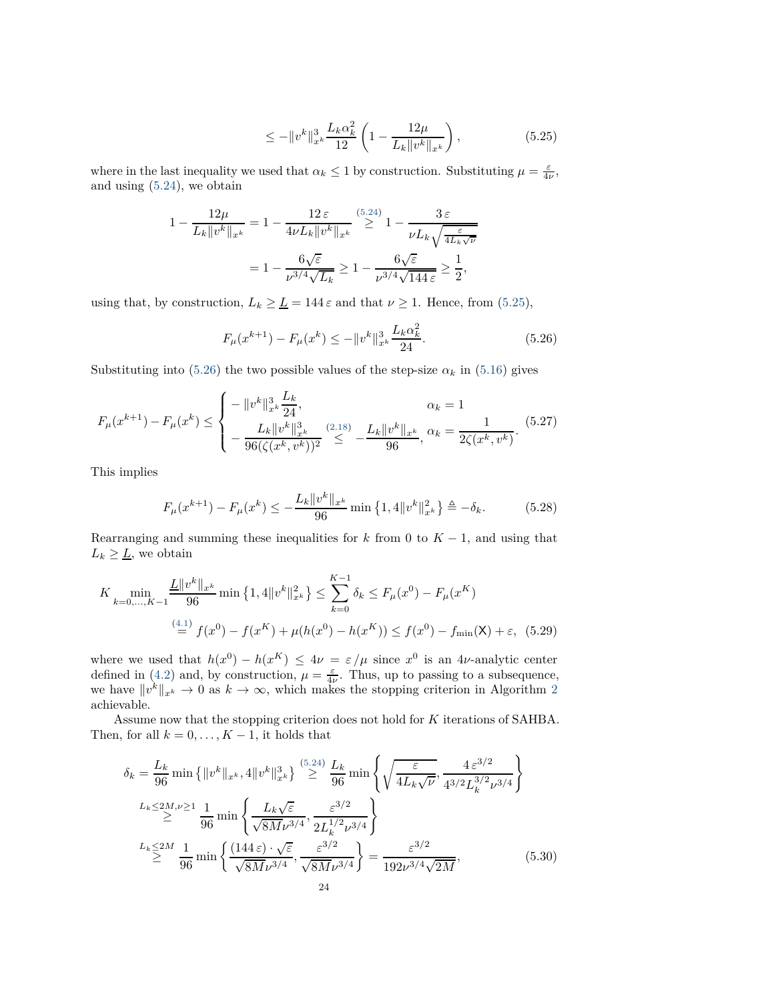<span id="page-23-0"></span>
$$
\leq -\|v^k\|_{x^k}^3 \frac{L_k \alpha_k^2}{12} \left(1 - \frac{12\mu}{L_k \|v^k\|_{x^k}}\right),\tag{5.25}
$$

where in the last inequality we used that  $\alpha_k \leq 1$  by construction. Substituting  $\mu = \frac{\varepsilon}{4\nu}$ , and using [\(5.24\)](#page-22-0), we obtain

$$
1 - \frac{12\mu}{L_k \|v^k\|_{x^k}} = 1 - \frac{12\epsilon}{4\nu L_k \|v^k\|_{x^k}} \stackrel{(5.24)}{\geq} 1 - \frac{3\epsilon}{\nu L_k \sqrt{\frac{\epsilon}{4L_k\sqrt{\nu}}}} = 1 - \frac{6\sqrt{\epsilon}}{\nu^{3/4}\sqrt{L_k}} \geq 1 - \frac{6\sqrt{\epsilon}}{\nu^{3/4}\sqrt{144\epsilon}} \geq \frac{1}{2},
$$

using that, by construction,  $L_k \geq \underline{L} = 144 \,\varepsilon$  and that  $\nu \geq 1$ . Hence, from [\(5.25\)](#page-23-0),

<span id="page-23-1"></span>
$$
F_{\mu}(x^{k+1}) - F_{\mu}(x^k) \le -\|v^k\|_{x^k}^3 \frac{L_k \alpha_k^2}{24}.
$$
\n(5.26)

Substituting into [\(5.26\)](#page-23-1) the two possible values of the step-size  $\alpha_k$  in [\(5.16\)](#page-21-4) gives

$$
F_{\mu}(x^{k+1}) - F_{\mu}(x^k) \le \begin{cases} -\|v^k\|_{x^k}^3 \frac{L_k}{24}, & \alpha_k = 1\\ -\frac{L_k \|v^k\|_{x^k}^3}{96(\zeta(x^k, v^k))^2} \le \frac{L_k \|v^k\|_{x^k}}{96}, & \alpha_k = \frac{1}{2\zeta(x^k, v^k)}. \end{cases}
$$
(5.27)

This implies

<span id="page-23-2"></span>
$$
F_{\mu}(x^{k+1}) - F_{\mu}(x^k) \le -\frac{L_k \|v^k\|_{x^k}}{96} \min\left\{1, 4\|v^k\|_{x^k}^2\right\} \triangleq -\delta_k. \tag{5.28}
$$

Rearranging and summing these inequalities for  $k$  from 0 to  $K - 1$ , and using that  $L_k \geq \underline{L}$ , we obtain

$$
K \min_{k=0,\dots,K-1} \frac{\underline{L}||v^k||_{x^k}}{96} \min\left\{1,4||v^k||_{x^k}^2\right\} \le \sum_{k=0}^{K-1} \delta_k \le F_\mu(x^0) - F_\mu(x^K)
$$
  

$$
\stackrel{(4.1)}{=} f(x^0) - f(x^K) + \mu(h(x^0) - h(x^K)) \le f(x^0) - f_{\min}(\mathsf{X}) + \varepsilon, \tag{5.29}
$$

where we used that  $h(x^0) - h(x^K) \le 4\nu = \varepsilon/\mu$  since  $x^0$  is an 4*ν*-analytic center defined in [\(4.2\)](#page-10-3) and, by construction,  $\mu = \frac{\varepsilon}{4\nu}$ . Thus, up to passing to a subsequence, we have  $||v^k||_{x^k} \to 0$  as  $k \to \infty$ , which makes the stopping criterion in Algorithm [2](#page-21-0) achievable.

Assume now that the stopping criterion does not hold for *K* iterations of SAHBA. Then, for all  $k = 0, \ldots, K - 1$ , it holds that

$$
\delta_{k} = \frac{L_{k}}{96} \min \left\{ \|v^{k}\|_{x^{k}}, 4\|v^{k}\|_{x^{k}}^{3} \right\} \stackrel{(5.24)}{\geq} \frac{L_{k}}{96} \min \left\{ \sqrt{\frac{\varepsilon}{4L_{k}\sqrt{\nu}}, \frac{4\,\varepsilon^{3/2}}{4^{3/2}L_{k}^{3/2}\nu^{3/4}}} \right\}
$$
\n
$$
\stackrel{L_{k} \leq 2M, \nu \geq 1}{\geq} \frac{1}{96} \min \left\{ \frac{L_{k}\sqrt{\varepsilon}}{\sqrt{8M}\nu^{3/4}}, \frac{\varepsilon^{3/2}}{2L_{k}^{1/2}\nu^{3/4}} \right\}
$$
\n
$$
\stackrel{L_{k} \leq 2M}{\geq} \frac{1}{96} \min \left\{ \frac{(144\,\varepsilon)\cdot\sqrt{\varepsilon}}{\sqrt{8M}\nu^{3/4}}, \frac{\varepsilon^{3/2}}{\sqrt{8M}\nu^{3/4}} \right\} = \frac{\varepsilon^{3/2}}{192\nu^{3/4}\sqrt{2M}}, \tag{5.30}
$$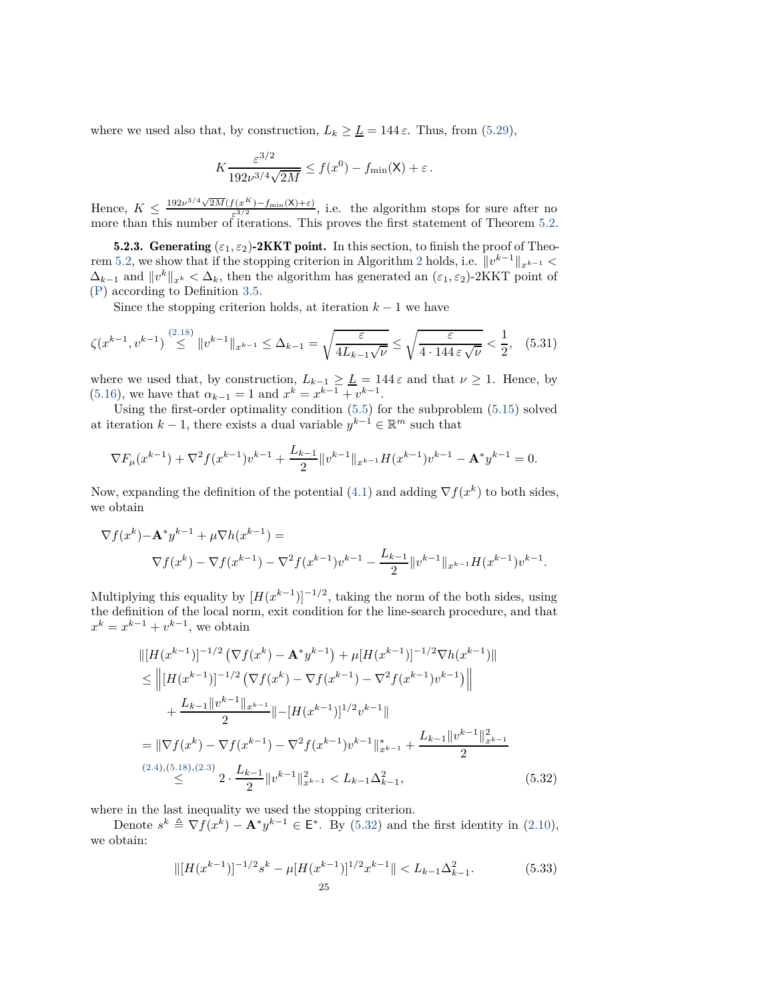where we used also that, by construction,  $L_k \geq \underline{L} = 144 \varepsilon$ . Thus, from [\(5.29\)](#page-23-2),

$$
K \frac{\varepsilon^{3/2}}{192 \nu^{3/4} \sqrt{2M}} \le f(x^0) - f_{\min}(\mathsf{X}) + \varepsilon.
$$

Hence,  $K \leq \frac{192\nu^{3/4}\sqrt{2M}(f(x^K) - f_{\min}(\mathsf{X}) + \varepsilon)}{\varepsilon^{3/2}}$ , i.e. the algorithm stops for sure after no more than this number of iterations. This proves the first statement of Theorem [5.2.](#page-20-0)

5.2.3. Generating  $(\varepsilon_1, \varepsilon_2)$ -2KKT point. In this section, to finish the proof of Theo-rem [5.2,](#page-20-0) we show that if the stopping criterion in Algorithm [2](#page-21-0) holds, i.e.  $||v^{k-1}||_{x^{k-1}} <$  $\Delta_{k-1}$  and  $||v^k||_{x^k} < \Delta_k$ , then the algorithm has generated an  $(\varepsilon_1, \varepsilon_2)$ -2KKT point of [\(P\)](#page-0-0) according to Definition [3.5.](#page-9-2)

Since the stopping criterion holds, at iteration  $k-1$  we have

$$
\zeta(x^{k-1}, v^{k-1}) \stackrel{(2.18)}{\leq} \|v^{k-1}\|_{x^{k-1}} \leq \Delta_{k-1} = \sqrt{\frac{\varepsilon}{4L_{k-1}\sqrt{\nu}}} \leq \sqrt{\frac{\varepsilon}{4 \cdot 144 \varepsilon \sqrt{\nu}}} < \frac{1}{2}, \quad (5.31)
$$

where we used that, by construction,  $L_{k-1} \geq \underline{L} = 144 \varepsilon$  and that  $\nu \geq 1$ . Hence, by [\(5.16\)](#page-21-4), we have that  $\alpha_{k-1} = 1$  and  $x^k = x^{k-1} + v^{k-1}$ .

Using the first-order optimality condition [\(5.5\)](#page-18-4) for the subproblem [\(5.15\)](#page-21-1) solved at iteration  $k - 1$ , there exists a dual variable  $y^{k-1} \in \mathbb{R}^m$  such that

$$
\nabla F_{\mu}(x^{k-1}) + \nabla^2 f(x^{k-1})v^{k-1} + \frac{L_{k-1}}{2} ||v^{k-1}||_{x^{k-1}} H(x^{k-1})v^{k-1} - \mathbf{A}^* y^{k-1} = 0.
$$

Now, expanding the definition of the potential [\(4.1\)](#page-10-4) and adding  $\nabla f(x^k)$  to both sides, we obtain

$$
\nabla f(x^k) - \mathbf{A}^* y^{k-1} + \mu \nabla h(x^{k-1}) =
$$
  

$$
\nabla f(x^k) - \nabla f(x^{k-1}) - \nabla^2 f(x^{k-1}) v^{k-1} - \frac{L_{k-1}}{2} ||v^{k-1}||_{x^{k-1}} H(x^{k-1}) v^{k-1}
$$

<span id="page-24-2"></span><span id="page-24-0"></span>*.*

Multiplying this equality by  $[H(x^{k-1})]^{-1/2}$ , taking the norm of the both sides, using the definition of the local norm, exit condition for the line-search procedure, and that  $x^k = x^{k-1} + v^{k-1}$ , we obtain

$$
\| [H(x^{k-1})]^{-1/2} \left( \nabla f(x^k) - \mathbf{A}^* y^{k-1} \right) + \mu [H(x^{k-1})]^{-1/2} \nabla h(x^{k-1}) \|
$$
  
\n
$$
\leq \| [H(x^{k-1})]^{-1/2} \left( \nabla f(x^k) - \nabla f(x^{k-1}) - \nabla^2 f(x^{k-1}) v^{k-1} \right) \|
$$
  
\n
$$
+ \frac{L_{k-1} \| v^{k-1} \|_{x^{k-1}}}{2} \| - [H(x^{k-1})]^{1/2} v^{k-1} \|
$$
  
\n
$$
= \| \nabla f(x^k) - \nabla f(x^{k-1}) - \nabla^2 f(x^{k-1}) v^{k-1} \|_{x^{k-1}}^* + \frac{L_{k-1} \| v^{k-1} \|_{x^{k-1}}^2}{2}
$$
  
\n(2.4),(5.18),(2.3) 2.  $\frac{L_{k-1}}{2} \| v^{k-1} \|_{x^{k-1}}^2 < L_{k-1} \Delta_{k-1}^2,$  (5.32)

where in the last inequality we used the stopping criterion.

Denote  $s^k \triangleq \nabla f(x^k) - \mathbf{A}^* y^{k-1} \in \mathbf{E}^*$ . By [\(5.32\)](#page-24-0) and the first identity in [\(2.10\)](#page-5-1), we obtain:

<span id="page-24-1"></span>
$$
\| [H(x^{k-1})]^{-1/2} s^k - \mu [H(x^{k-1})]^{1/2} x^{k-1} \| < L_{k-1} \Delta_{k-1}^2. \tag{5.33}
$$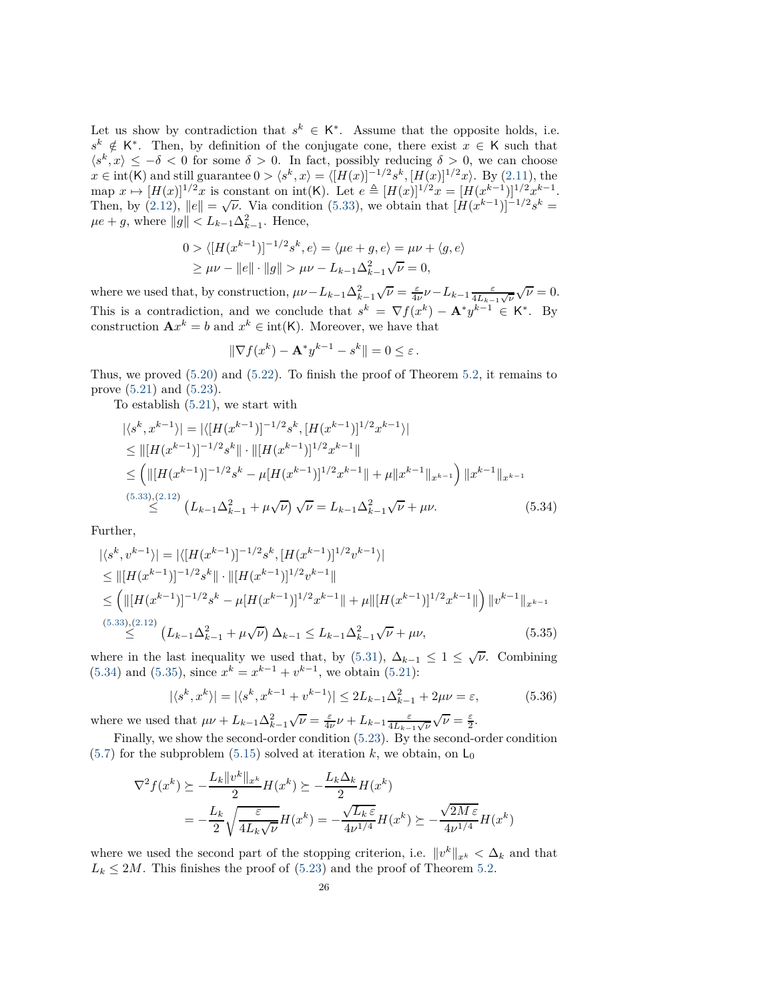Let us show by contradiction that  $s^k \in K^*$ . Assume that the opposite holds, i.e.  $s^k \notin K^*$ . Then, by definition of the conjugate cone, there exist *x* ∈ K such that  $\langle s^k, x \rangle \leq -\delta < 0$  for some  $\delta > 0$ . In fact, possibly reducing  $\delta > 0$ , we can choose *x* ∈ int(K) and still guarantee  $0 > \langle s^k, x \rangle = \langle [H(x)]^{-1/2} s^k, [H(x)]^{1/2} x \rangle$ . By [\(2.11\)](#page-5-8), the  $\text{map } x \mapsto [H(x)]^{1/2}x \text{ is constant on } \text{int}(\mathsf{K})$ . Let  $e \triangleq [H(x)]^{1/2}x = [H(x^{k-1})]^{1/2}x^{k-1}$ . Then, by  $(2.12)$ ,  $||e|| = \sqrt{\nu}$ . Via condition [\(5.33\)](#page-24-1), we obtain that  $[H(x^{k-1})]^{-1/2}s^k =$  $\mu e + g$ , where  $||g|| < L_{k-1} \Delta_{k-1}^2$ . Hence,

$$
0 > \langle [H(x^{k-1})]^{-1/2} s^k, e \rangle = \langle \mu e + g, e \rangle = \mu \nu + \langle g, e \rangle
$$
  
 
$$
\geq \mu \nu - \|e\| \cdot \|g\| > \mu \nu - L_{k-1} \Delta_{k-1}^2 \sqrt{\nu} = 0,
$$

where we used that, by construction,  $\mu\nu - L_{k-1}\Delta_{k-1}^2$  $\sqrt{\nu} = \frac{\varepsilon}{4\nu} \nu - L_{k-1} \frac{\varepsilon}{4L_{k-1}\sqrt{\nu}} \sqrt{\nu} = 0.$ This is a contradiction, and we conclude that  $s^k = \nabla f(x^k) - \mathbf{A}^* y^{k-1} \in \mathsf{K}^*$ . By construction  $\mathbf{A}x^k = b$  and  $x^k \in \text{int}(\mathsf{K})$ . Moreover, we have that

<span id="page-25-0"></span>
$$
\|\nabla f(x^k) - \mathbf{A}^* y^{k-1} - s^k\| = 0 \le \varepsilon.
$$

Thus, we proved [\(5.20\)](#page-20-3) and [\(5.22\)](#page-20-4). To finish the proof of Theorem [5.2,](#page-20-0) it remains to prove [\(5.21\)](#page-20-5) and [\(5.23\)](#page-20-6).

To establish [\(5.21\)](#page-20-5), we start with

$$
|\langle s^k, x^{k-1} \rangle| = |\langle [H(x^{k-1})]^{-1/2} s^k, [H(x^{k-1})]^{1/2} x^{k-1} \rangle|
$$
  
\n
$$
\leq ||[H(x^{k-1})]^{-1/2} s^k|| \cdot ||[H(x^{k-1})]^{1/2} x^{k-1}||
$$
  
\n
$$
\leq (||[H(x^{k-1})]^{-1/2} s^k - \mu [H(x^{k-1})]^{1/2} x^{k-1}|| + \mu ||x^{k-1}||_{x^{k-1}}) ||x^{k-1}||_{x^{k-1}}
$$
  
\n(5.33),(2.12)  
\n
$$
\leq (L_{k-1} \Delta_{k-1}^2 + \mu \sqrt{\nu}) \sqrt{\nu} = L_{k-1} \Delta_{k-1}^2 \sqrt{\nu} + \mu \nu.
$$
\n(5.34)

Further,

$$
|\langle s^k, v^{k-1} \rangle| = |\langle [H(x^{k-1})]^{-1/2} s^k, [H(x^{k-1})]^{1/2} v^{k-1} \rangle|
$$
  
\n
$$
\leq ||[H(x^{k-1})]^{-1/2} s^k || \cdot ||[H(x^{k-1})]^{1/2} v^{k-1} ||
$$
  
\n
$$
\leq (||[H(x^{k-1})]^{-1/2} s^k - \mu [H(x^{k-1})]^{1/2} x^{k-1} || + \mu ||[H(x^{k-1})]^{1/2} x^{k-1} ||) ||v^{k-1}||_{x^{k-1}}
$$
  
\n(5.33),(2.12)  
\n
$$
\leq (L_{k-1} \Delta_{k-1}^2 + \mu \sqrt{\nu}) \Delta_{k-1} \leq L_{k-1} \Delta_{k-1}^2 \sqrt{\nu} + \mu \nu,
$$
\n(5.35)

where in the last inequality we used that, by [\(5.31\)](#page-24-2),  $\Delta_{k-1} \leq 1 \leq \sqrt{\nu}$ . Combining  $(5.34)$  and  $(5.35)$ , since  $x^k = x^{k-1} + v^{k-1}$ , we obtain  $(5.21)$ :

<span id="page-25-1"></span>
$$
|\langle s^k, x^k \rangle| = |\langle s^k, x^{k-1} + v^{k-1} \rangle| \le 2L_{k-1}\Delta_{k-1}^2 + 2\mu\nu = \varepsilon,
$$
 (5.36)

where we used that  $\mu\nu + L_{k-1}\Delta_{k-1}^2$  $\sqrt{\nu} = \frac{\varepsilon}{4\nu}\nu + L_{k-1}\frac{\varepsilon}{4L_{k-1}\sqrt{\nu}}\sqrt{\nu} = \frac{\varepsilon}{2}.$ 

Finally, we show the second-order condition [\(5.23\)](#page-20-6). By the second-order condition  $(5.7)$  for the subproblem  $(5.15)$  solved at iteration k, we obtain, on L<sub>0</sub>

$$
\nabla^2 f(x^k) \succeq -\frac{L_k \|v^k\|_{x^k}}{2} H(x^k) \succeq -\frac{L_k \Delta_k}{2} H(x^k)
$$
  
= 
$$
-\frac{L_k}{2} \sqrt{\frac{\varepsilon}{4L_k \sqrt{\nu}}} H(x^k) = -\frac{\sqrt{L_k \varepsilon}}{4\nu^{1/4}} H(x^k) \succeq -\frac{\sqrt{2M \varepsilon}}{4\nu^{1/4}} H(x^k)
$$

where we used the second part of the stopping criterion, i.e.  $||v^k||_{x^k} < \Delta_k$  and that  $L_k \leq 2M$ . This finishes the proof of [\(5.23\)](#page-20-6) and the proof of Theorem [5.2.](#page-20-0)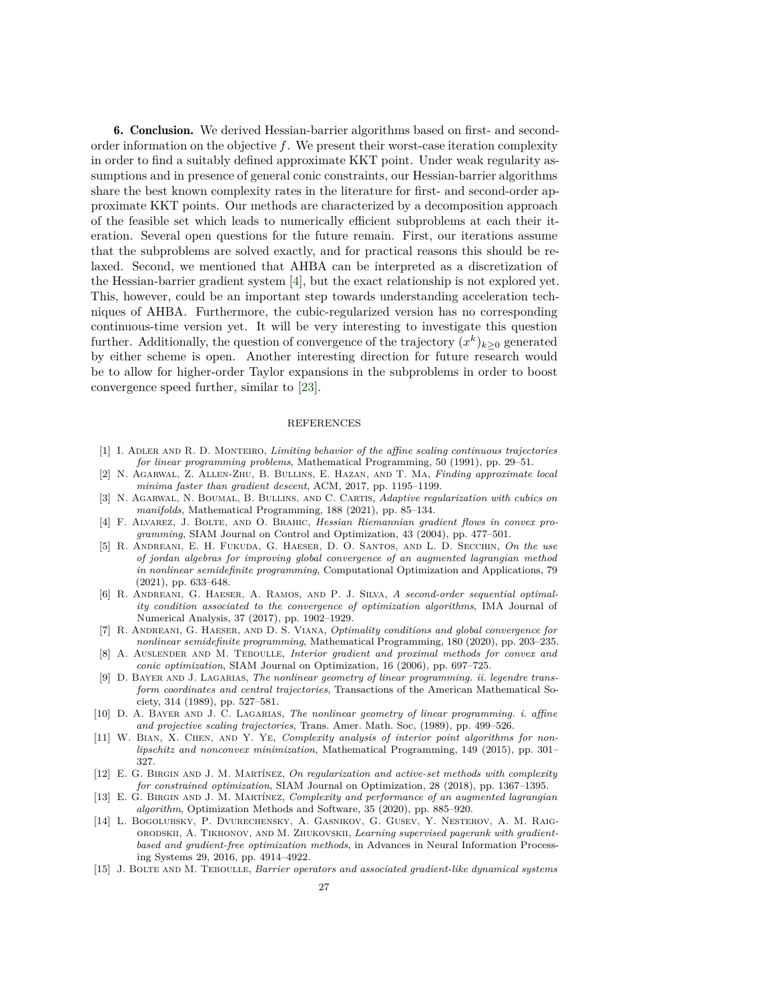6. Conclusion. We derived Hessian-barrier algorithms based on first- and secondorder information on the objective *f*. We present their worst-case iteration complexity in order to find a suitably defined approximate KKT point. Under weak regularity assumptions and in presence of general conic constraints, our Hessian-barrier algorithms share the best known complexity rates in the literature for first- and second-order approximate KKT points. Our methods are characterized by a decomposition approach of the feasible set which leads to numerically efficient subproblems at each their iteration. Several open questions for the future remain. First, our iterations assume that the subproblems are solved exactly, and for practical reasons this should be relaxed. Second, we mentioned that AHBA can be interpreted as a discretization of the Hessian-barrier gradient system [\[4\]](#page-26-10), but the exact relationship is not explored yet. This, however, could be an important step towards understanding acceleration techniques of AHBA. Furthermore, the cubic-regularized version has no corresponding continuous-time version yet. It will be very interesting to investigate this question further. Additionally, the question of convergence of the trajectory  $(x^k)_{k\geq 0}$  generated by either scheme is open. Another interesting direction for future research would be to allow for higher-order Taylor expansions in the subproblems in order to boost convergence speed further, similar to [\[23\]](#page-27-22).

## REFERENCES

- <span id="page-26-11"></span>[1] I. Adler and R. D. Monteiro, *Limiting behavior of the affine scaling continuous trajectories for linear programming problems*, Mathematical Programming, 50 (1991), pp. 29–51.
- <span id="page-26-1"></span>[2] N. Agarwal, Z. Allen-Zhu, B. Bullins, E. Hazan, and T. Ma, *Finding approximate local minima faster than gradient descent*, ACM, 2017, pp. 1195–1199.
- <span id="page-26-9"></span>[3] N. Agarwal, N. Boumal, B. Bullins, and C. Cartis, *Adaptive regularization with cubics on manifolds*, Mathematical Programming, 188 (2021), pp. 85–134.
- <span id="page-26-10"></span>[4] F. Alvarez, J. Bolte, and O. Brahic, *Hessian Riemannian gradient flows in convex programming*, SIAM Journal on Control and Optimization, 43 (2004), pp. 477–501.
- <span id="page-26-8"></span>[5] R. Andreani, E. H. Fukuda, G. Haeser, D. O. Santos, and L. D. Secchin, *On the use of jordan algebras for improving global convergence of an augmented lagrangian method in nonlinear semidefinite programming*, Computational Optimization and Applications, 79 (2021), pp. 633–648.
- <span id="page-26-7"></span>[6] R. Andreani, G. Haeser, A. Ramos, and P. J. Silva, *A second-order sequential optimality condition associated to the convergence of optimization algorithms*, IMA Journal of Numerical Analysis, 37 (2017), pp. 1902–1929.
- <span id="page-26-6"></span>[7] R. Andreani, G. Haeser, and D. S. Viana, *Optimality conditions and global convergence for nonlinear semidefinite programming*, Mathematical Programming, 180 (2020), pp. 203–235.
- <span id="page-26-2"></span>[8] A. Auslender and M. Teboulle, *Interior gradient and proximal methods for convex and conic optimization*, SIAM Journal on Optimization, 16 (2006), pp. 697–725.
- <span id="page-26-12"></span>[9] D. Bayer and J. Lagarias, *The nonlinear geometry of linear programming. ii. legendre transform coordinates and central trajectories*, Transactions of the American Mathematical Society, 314 (1989), pp. 527–581.
- <span id="page-26-13"></span>[10] D. A. Bayer and J. C. Lagarias, *The nonlinear geometry of linear programming. i. affine and projective scaling trajectories*, Trans. Amer. Math. Soc, (1989), pp. 499–526.
- <span id="page-26-5"></span>[11] W. Bian, X. Chen, and Y. Ye, *Complexity analysis of interior point algorithms for nonlipschitz and nonconvex minimization*, Mathematical Programming, 149 (2015), pp. 301– 327.
- <span id="page-26-3"></span>[12] E. G. Birgin and J. M. Martínez, *On regularization and active-set methods with complexity for constrained optimization*, SIAM Journal on Optimization, 28 (2018), pp. 1367–1395.
- <span id="page-26-4"></span>[13] E. G. Birgin and J. M. Martínez, *Complexity and performance of an augmented lagrangian algorithm*, Optimization Methods and Software, 35 (2020), pp. 885–920.
- <span id="page-26-0"></span>[14] L. Bogolubsky, P. Dvurechensky, A. Gasnikov, G. Gusev, Y. Nesterov, A. M. Raigorodskii, A. Tikhonov, and M. Zhukovskii, *Learning supervised pagerank with gradientbased and gradient-free optimization methods*, in Advances in Neural Information Processing Systems 29, 2016, pp. 4914–4922.
- <span id="page-26-14"></span>[15] J. Bolte and M. Teboulle, *Barrier operators and associated gradient-like dynamical systems*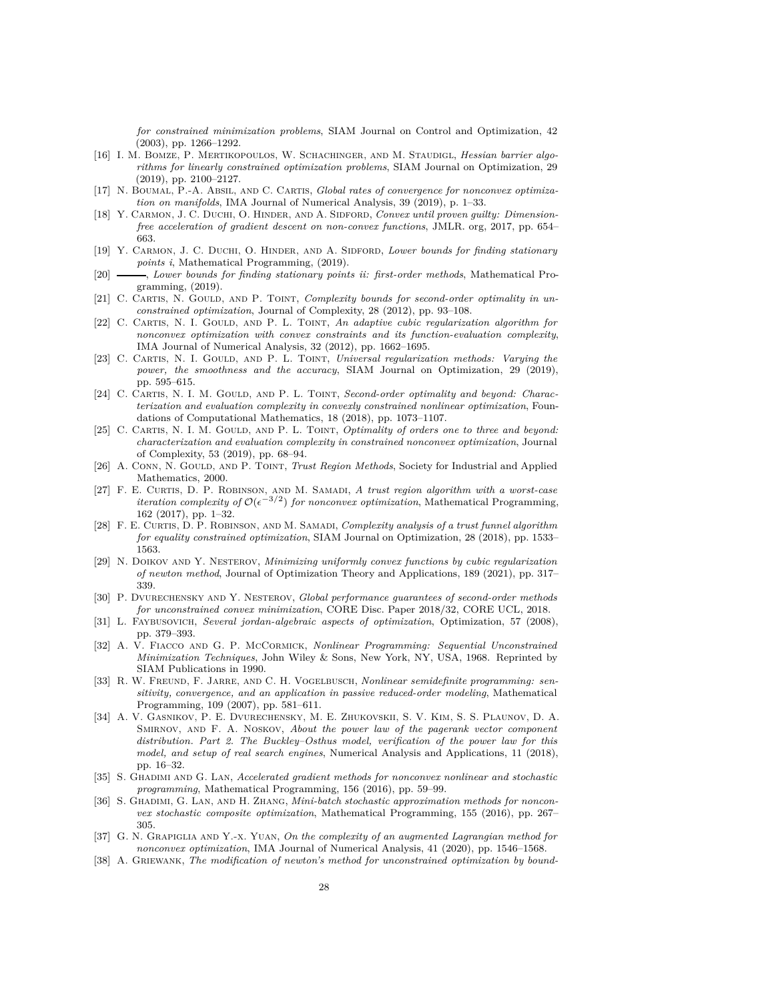*for constrained minimization problems*, SIAM Journal on Control and Optimization, 42 (2003), pp. 1266–1292.

- <span id="page-27-0"></span>[16] I. M. Bomze, P. Mertikopoulos, W. Schachinger, and M. Staudigl, *Hessian barrier algorithms for linearly constrained optimization problems*, SIAM Journal on Optimization, 29 (2019), pp. 2100–2127.
- <span id="page-27-20"></span>[17] N. Boumal, P.-A. Absil, and C. Cartis, *Global rates of convergence for nonconvex optimization on manifolds*, IMA Journal of Numerical Analysis, 39 (2019), p. 1–33.
- <span id="page-27-8"></span>[18] Y. CARMON, J. C. DUCHI, O. HINDER, AND A. SIDFORD, *Convex until proven guilty: Dimensionfree acceleration of gradient descent on non-convex functions*, JMLR. org, 2017, pp. 654– 663.
- <span id="page-27-3"></span>[19] Y. Carmon, J. C. Duchi, O. Hinder, and A. Sidford, *Lower bounds for finding stationary points i*, Mathematical Programming, (2019).
- <span id="page-27-4"></span>[20] , *Lower bounds for finding stationary points ii: first-order methods*, Mathematical Programming, (2019).
- <span id="page-27-10"></span>[21] C. CARTIS, N. GOULD, AND P. TOINT, *Complexity bounds for second-order optimality in unconstrained optimization*, Journal of Complexity, 28 (2012), pp. 93–108.
- <span id="page-27-2"></span>[22] C. CARTIS, N. I. GOULD, AND P. L. TOINT, *An adaptive cubic regularization algorithm for nonconvex optimization with convex constraints and its function-evaluation complexity*, IMA Journal of Numerical Analysis, 32 (2012), pp. 1662–1695.
- <span id="page-27-22"></span>[23] C. CARTIS, N. I. GOULD, AND P. L. TOINT, *Universal regularization methods: Varying the power, the smoothness and the accuracy*, SIAM Journal on Optimization, 29 (2019), pp. 595–615.
- <span id="page-27-13"></span>[24] C. CARTIS, N. I. M. GOULD, AND P. L. TOINT, *Second-order optimality and beyond: Characterization and evaluation complexity in convexly constrained nonlinear optimization*, Foundations of Computational Mathematics, 18 (2018), pp. 1073–1107.
- <span id="page-27-15"></span>[25] C. CARTIS, N. I. M. GOULD, AND P. L. TOINT, *Optimality of orders one to three and beyond: characterization and evaluation complexity in constrained nonconvex optimization*, Journal of Complexity, 53 (2019), pp. 68–94.
- <span id="page-27-11"></span>[26] A. CONN, N. GOULD, AND P. TOINT, *Trust Region Methods*, Society for Industrial and Applied Mathematics, 2000.
- <span id="page-27-12"></span>[27] F. E. Curtis, D. P. Robinson, and M. Samadi, *A trust region algorithm with a worst-case iteration complexity of*  $O(\epsilon^{-3/2})$  *for nonconvex optimization*, Mathematical Programming, 162 (2017), pp. 1–32.
- <span id="page-27-16"></span>[28] F. E. Curtis, D. P. Robinson, and M. Samadi, *Complexity analysis of a trust funnel algorithm for equality constrained optimization*, SIAM Journal on Optimization, 28 (2018), pp. 1533– 1563.
- <span id="page-27-14"></span>[29] N. Doikov and Y. Nesterov, *Minimizing uniformly convex functions by cubic regularization of newton method*, Journal of Optimization Theory and Applications, 189 (2021), pp. 317– 339.
- <span id="page-27-21"></span>[30] P. Dvurechensky and Y. Nesterov, *Global performance guarantees of second-order methods for unconstrained convex minimization*, CORE Disc. Paper 2018/32, CORE UCL, 2018.
- <span id="page-27-18"></span>[31] L. Faybusovich, *Several jordan-algebraic aspects of optimization*, Optimization, 57 (2008), pp. 379–393.
- <span id="page-27-19"></span>[32] A. V. Fiacco and G. P. McCormick, *Nonlinear Programming: Sequential Unconstrained Minimization Techniques*, John Wiley & Sons, New York, NY, USA, 1968. Reprinted by SIAM Publications in 1990.
- <span id="page-27-1"></span>[33] R. W. FREUND, F. JARRE, AND C. H. VOGELBUSCH, *Nonlinear semidefinite programming: sensitivity, convergence, and an application in passive reduced-order modeling*, Mathematical Programming, 109 (2007), pp. 581–611.
- <span id="page-27-5"></span>[34] A. V. Gasnikov, P. E. Dvurechensky, M. E. Zhukovskii, S. V. Kim, S. S. Plaunov, D. A. Smirnov, and F. A. Noskov, *About the power law of the pagerank vector component distribution. Part 2. The Buckley–Osthus model, verification of the power law for this model, and setup of real search engines*, Numerical Analysis and Applications, 11 (2018), pp. 16–32.
- <span id="page-27-7"></span>[35] S. Ghadimi and G. Lan, *Accelerated gradient methods for nonconvex nonlinear and stochastic programming*, Mathematical Programming, 156 (2016), pp. 59–99.
- <span id="page-27-6"></span>[36] S. GHADIMI, G. LAN, AND H. ZHANG, *Mini-batch stochastic approximation methods for nonconvex stochastic composite optimization*, Mathematical Programming, 155 (2016), pp. 267– 305.
- <span id="page-27-17"></span>[37] G. N. Grapiglia and Y.-x. Yuan, *On the complexity of an augmented Lagrangian method for nonconvex optimization*, IMA Journal of Numerical Analysis, 41 (2020), pp. 1546–1568.
- <span id="page-27-9"></span>[38] A. GRIEWANK, *The modification of newton's method for unconstrained optimization by bound-*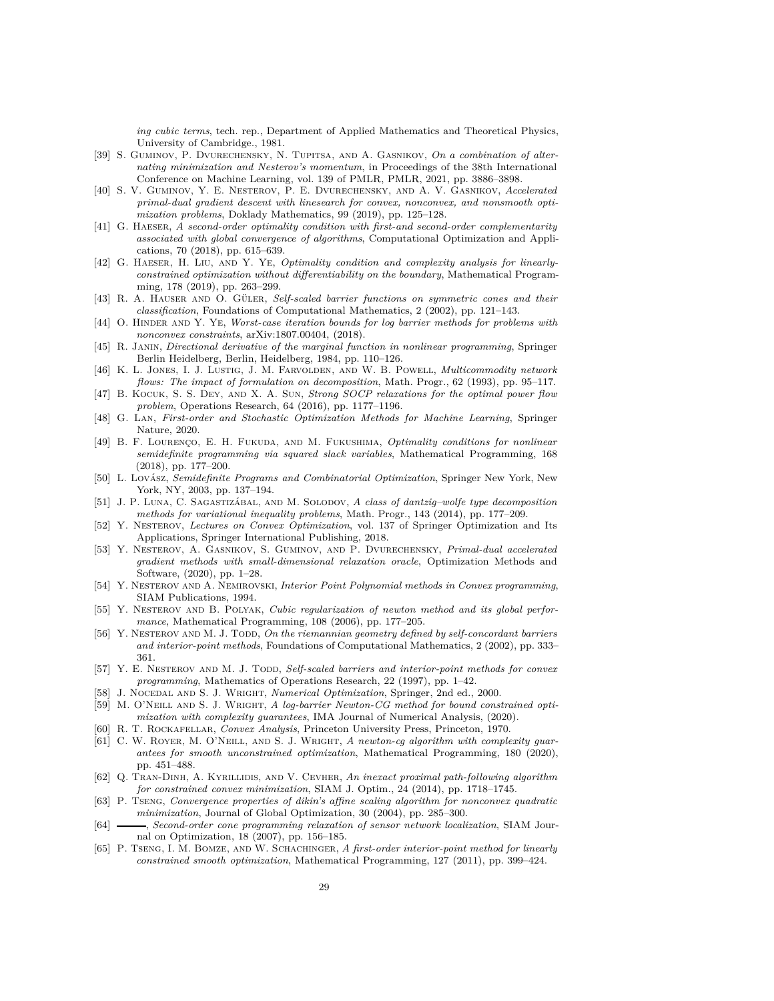*ing cubic terms*, tech. rep., Department of Applied Mathematics and Theoretical Physics, University of Cambridge., 1981.

- <span id="page-28-14"></span>[39] S. GUMINOV, P. DVURECHENSKY, N. TUPITSA, AND A. GASNIKOV, On a combination of alter*nating minimization and Nesterov's momentum*, in Proceedings of the 38th International Conference on Machine Learning, vol. 139 of PMLR, PMLR, 2021, pp. 3886–3898.
- <span id="page-28-15"></span>[40] S. V. Guminov, Y. E. Nesterov, P. E. Dvurechensky, and A. V. Gasnikov, *Accelerated primal-dual gradient descent with linesearch for convex, nonconvex, and nonsmooth optimization problems*, Doklady Mathematics, 99 (2019), pp. 125–128.
- <span id="page-28-21"></span>[41] G. HAESER, *A second-order optimality condition with first-and second-order complementarity associated with global convergence of algorithms*, Computational Optimization and Applications, 70 (2018), pp. 615–639.
- <span id="page-28-3"></span>[42] G. Haeser, H. Liu, and Y. Ye, *Optimality condition and complexity analysis for linearlyconstrained optimization without differentiability on the boundary*, Mathematical Programming, 178 (2019), pp. 263–299.
- <span id="page-28-19"></span>[43] R. A. Hauser and O. Güler, *Self-scaled barrier functions on symmetric cones and their classification*, Foundations of Computational Mathematics, 2 (2002), pp. 121–143.
- <span id="page-28-18"></span>[44] O. HINDER AND Y. YE, *Worst-case iteration bounds for log barrier methods for problems with nonconvex constraints*, arXiv:1807.00404, (2018).
- <span id="page-28-24"></span>[45] R. Janin, *Directional derivative of the marginal function in nonlinear programming*, Springer Berlin Heidelberg, Berlin, Heidelberg, 1984, pp. 110–126.
- <span id="page-28-8"></span>[46] K. L. Jones, I. J. Lustig, J. M. Farvolden, and W. B. Powell, *Multicommodity network flows: The impact of formulation on decomposition*, Math. Progr., 62 (1993), pp. 95–117.
- <span id="page-28-0"></span>[47] B. Kocuk, S. S. Dey, and X. A. Sun, *Strong SOCP relaxations for the optimal power flow problem*, Operations Research, 64 (2016), pp. 1177–1196.
- <span id="page-28-13"></span>[48] G. Lan, *First-order and Stochastic Optimization Methods for Machine Learning*, Springer Nature, 2020.
- <span id="page-28-22"></span>[49] B. F. Lourenço, E. H. Fukuda, and M. Fukushima, *Optimality conditions for nonlinear semidefinite programming via squared slack variables*, Mathematical Programming, 168 (2018), pp. 177–200.
- <span id="page-28-2"></span>[50] L. Lovász, *Semidefinite Programs and Combinatorial Optimization*, Springer New York, New York, NY, 2003, pp. 137–194.
- <span id="page-28-9"></span>[51] J. P. Luna, C. Sagastizábal, and M. Solodov, *A class of dantzig–wolfe type decomposition methods for variational inequality problems*, Math. Progr., 143 (2014), pp. 177–209.
- <span id="page-28-11"></span>[52] Y. Nesterov, *Lectures on Convex Optimization*, vol. 137 of Springer Optimization and Its Applications, Springer International Publishing, 2018.
- <span id="page-28-16"></span>[53] Y. Nesterov, A. Gasnikov, S. Guminov, and P. Dvurechensky, *Primal-dual accelerated gradient methods with small-dimensional relaxation oracle*, Optimization Methods and Software, (2020), pp. 1–28.
- <span id="page-28-7"></span>[54] Y. Nesterov and A. Nemirovski, *Interior Point Polynomial methods in Convex programming*, SIAM Publications, 1994.
- <span id="page-28-6"></span>[55] Y. NESTEROV AND B. POLYAK, *Cubic regularization of newton method and its global performance*, Mathematical Programming, 108 (2006), pp. 177–205.
- <span id="page-28-20"></span>[56] Y. NESTEROV AND M. J. TODD, On the riemannian geometry defined by self-concordant barriers *and interior-point methods*, Foundations of Computational Mathematics, 2 (2002), pp. 333– 361.
- <span id="page-28-12"></span>[57] Y. E. NESTEROV AND M. J. TODD, *Self-scaled barriers and interior-point methods for convex programming*, Mathematics of Operations Research, 22 (1997), pp. 1–42.
- <span id="page-28-23"></span><span id="page-28-4"></span>[58] J. NOCEDAL AND S. J. WRIGHT, *Numerical Optimization*, Springer, 2nd ed., 2000.
- [59] M. O'NEILL AND S. J. WRIGHT, *A log-barrier Newton-CG method for bound constrained optimization with complexity guarantees*, IMA Journal of Numerical Analysis, (2020).
- <span id="page-28-25"></span><span id="page-28-5"></span>[60] R. T. Rockafellar, *Convex Analysis*, Princeton University Press, Princeton, 1970.
- [61] C. W. Royer, M. O'Neill, and S. J. Wright, *A newton-cg algorithm with complexity guarantees for smooth unconstrained optimization*, Mathematical Programming, 180 (2020), pp. 451–488.
- <span id="page-28-10"></span>[62] Q. Tran-Dinh, A. Kyrillidis, and V. Cevher, *An inexact proximal path-following algorithm for constrained convex minimization*, SIAM J. Optim., 24 (2014), pp. 1718–1745.
- <span id="page-28-26"></span>[63] P. Tseng, *Convergence properties of dikin's affine scaling algorithm for nonconvex quadratic minimization*, Journal of Global Optimization, 30 (2004), pp. 285–300.
- <span id="page-28-1"></span>[64] , *Second-order cone programming relaxation of sensor network localization*, SIAM Journal on Optimization, 18 (2007), pp. 156–185.
- <span id="page-28-17"></span>[65] P. Tseng, I. M. Bomze, and W. Schachinger, *A first-order interior-point method for linearly constrained smooth optimization*, Mathematical Programming, 127 (2011), pp. 399–424.